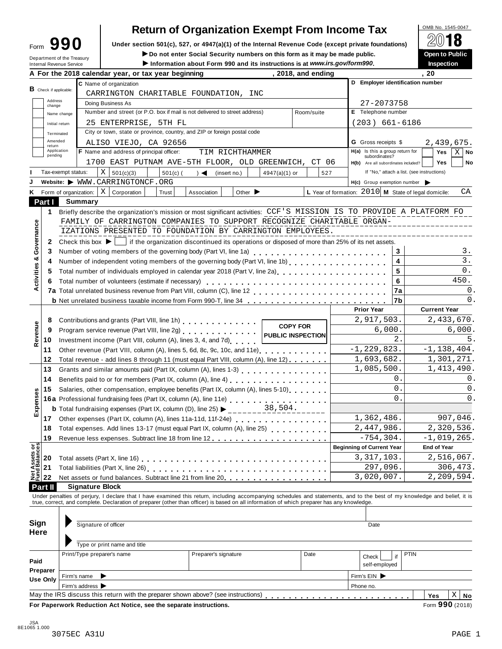| Form | 90                                                            |
|------|---------------------------------------------------------------|
|      | Department of the Treasury<br><b>Internal Revenue Service</b> |

# **Return of Organization Exempt From Income Tax**

**Under section 501(c), 527, or 4947(a)(1) of the Internal Revenue Code (except private foundations) <b>Form 990 E D** Do not enter Social Security numbers on this form as it may be made public. ● ● ● ● ● ● ● ● ● ● ● ● ●

I**Do not enter Social Security numbers on this form as it may be made public. Open to Public**

Information about Form 990 and its instructions is at www.irs.gov/form990.

|                                              |                    | A For the 2018 calendar year, or tax year beginning                                                                                                                        |                                            |                 | , 2018, and ending |  |                                                        |                   | , 20                   |
|----------------------------------------------|--------------------|----------------------------------------------------------------------------------------------------------------------------------------------------------------------------|--------------------------------------------|-----------------|--------------------|--|--------------------------------------------------------|-------------------|------------------------|
|                                              |                    | C Name of organization                                                                                                                                                     |                                            |                 |                    |  | D Employer identification number                       |                   |                        |
| <b>B</b> Check if applicable:                |                    | CARRINGTON CHARITABLE FOUNDATION, INC                                                                                                                                      |                                            |                 |                    |  |                                                        |                   |                        |
| Address<br>change                            |                    | Doing Business As                                                                                                                                                          |                                            |                 |                    |  | 27-2073758                                             |                   |                        |
|                                              | Name change        | Number and street (or P.O. box if mail is not delivered to street address)                                                                                                 |                                            |                 | Room/suite         |  | E Telephone number                                     |                   |                        |
|                                              | Initial return     | 25 ENTERPRISE, 5TH FL                                                                                                                                                      |                                            |                 |                    |  | $(203) 661 - 6186$                                     |                   |                        |
|                                              | Terminated         | City or town, state or province, country, and ZIP or foreign postal code                                                                                                   |                                            |                 |                    |  |                                                        |                   |                        |
| return                                       | Amended            | ALISO VIEJO, CA 92656                                                                                                                                                      |                                            |                 |                    |  | <b>G</b> Gross receipts \$                             |                   | 2,439,675.             |
| pending                                      | Application        | F Name and address of principal officer:                                                                                                                                   | TIM RICHTHAMMER                            |                 |                    |  | H(a) Is this a group return for                        |                   | Yes<br>$X \mid$ No     |
|                                              |                    | 1700 EAST PUTNAM AVE-5TH FLOOR, OLD GREENWICH, CT 06                                                                                                                       |                                            |                 |                    |  | subordinates?<br>H(b) Are all subordinates included?   |                   | <b>Yes</b><br>No       |
|                                              | Tax-exempt status: | $X \mid 501(c)(3)$<br>$501(c)$ (                                                                                                                                           | $) \triangleleft$ (insert no.)             | 4947(a)(1) or   | 527                |  | If "No," attach a list. (see instructions)             |                   |                        |
|                                              |                    | Website: WWW.CARRINGTONCF.ORG                                                                                                                                              |                                            |                 |                    |  | $H(c)$ Group exemption number $\triangleright$         |                   |                        |
| Κ                                            |                    | Form of organization: $\mid X \mid$ Corporation<br>Trust                                                                                                                   | Other $\blacktriangleright$<br>Association |                 |                    |  | L Year of formation: $2010$ M State of legal domicile: |                   | СA                     |
| Part I                                       |                    | <b>Summary</b>                                                                                                                                                             |                                            |                 |                    |  |                                                        |                   |                        |
| 1                                            |                    | Briefly describe the organization's mission or most significant activities: CCF'S MISSION IS TO PROVIDE A PLATFORM FO                                                      |                                            |                 |                    |  |                                                        |                   |                        |
|                                              |                    | FAMILY OF CARRINGTON COMPANIES TO SUPPORT RECOGNIZE CHARITABLE ORGAN-                                                                                                      |                                            |                 |                    |  |                                                        |                   |                        |
| Governance                                   |                    | IZATIONS PRESENTED TO FOUNDATION BY CARRINGTON EMPLOYEES.                                                                                                                  |                                            |                 |                    |  |                                                        |                   |                        |
|                                              |                    | Check this box $\blacktriangleright$   if the organization discontinued its operations or disposed of more than 25% of its net assets.                                     |                                            |                 |                    |  |                                                        |                   |                        |
| 2                                            |                    |                                                                                                                                                                            |                                            |                 |                    |  |                                                        |                   |                        |
| 3<br>ಳ                                       |                    | Number of voting members of the governing body (Part VI, line 1a)<br>                                                                                                      |                                            |                 |                    |  |                                                        | 3                 | з.<br>$\overline{3}$ . |
| 4                                            |                    |                                                                                                                                                                            |                                            |                 |                    |  |                                                        | 4<br>5            | 0.                     |
| 5                                            |                    | Total number of individuals employed in calendar year 2018 (Part V, line 2a)<br>The 2a)                                                                                    |                                            |                 |                    |  |                                                        |                   |                        |
| Activities<br>6                              |                    |                                                                                                                                                                            |                                            |                 |                    |  |                                                        | 6                 | 450.                   |
|                                              |                    |                                                                                                                                                                            |                                            |                 |                    |  |                                                        | 7a                | 0.                     |
|                                              |                    |                                                                                                                                                                            |                                            |                 |                    |  |                                                        | 7b                | 0.                     |
|                                              |                    |                                                                                                                                                                            |                                            |                 |                    |  | <b>Prior Year</b>                                      |                   | <b>Current Year</b>    |
| 8                                            |                    | Contributions and grants (Part VIII, line 1h)                                                                                                                              | 2,917,503.                                 |                 | 2,433,670.         |  |                                                        |                   |                        |
| Revenue<br>9                                 |                    |                                                                                                                                                                            |                                            | <b>COPY FOR</b> |                    |  | 6,000.                                                 |                   | 6,000.                 |
| 10                                           |                    | Investment income (Part VIII, column (A), lines 3, 4, and 7d)                                                                                                              |                                            |                 |                    |  |                                                        | 2.                | 5.                     |
| 11                                           |                    | Other revenue (Part VIII, column (A), lines 5, 6d, 8c, 9c, 10c, and 11e)                                                                                                   |                                            |                 |                    |  | $-1, 229, 823.$                                        |                   | $-1,138,404.$          |
| 12                                           |                    | Total revenue - add lines 8 through 11 (must equal Part VIII, column (A), line 12)                                                                                         |                                            |                 |                    |  | 1,693,682.                                             |                   | 1,301,271.             |
| 13                                           |                    |                                                                                                                                                                            |                                            |                 |                    |  | 1,085,500.                                             |                   | 1,413,490.             |
| 14                                           |                    | Benefits paid to or for members (Part IX, column (A), line 4)<br>                                                                                                          |                                            |                 |                    |  |                                                        | 0.                | 0.                     |
| 15                                           |                    | Salaries, other compensation, employee benefits (Part IX, column (A), lines 5-10)                                                                                          |                                            |                 |                    |  |                                                        | 0.                | 0.                     |
|                                              |                    | 16a Professional fundraising fees (Part IX, column (A), line 11e)<br>16a Professional fundraising fees (Part IX, column (A), line 11e)                                     |                                            |                 |                    |  |                                                        | $\Omega$ .        | 0.                     |
| Expenses                                     |                    | <b>b</b> Total fundraising expenses (Part IX, column (D), line 25) $\triangleright$ 38, 504.                                                                               |                                            |                 |                    |  |                                                        |                   |                        |
| 17                                           |                    |                                                                                                                                                                            |                                            |                 |                    |  | 1,362,486.                                             |                   | 907,046.               |
| 18                                           |                    | Total expenses. Add lines 13-17 (must equal Part IX, column (A), line 25)                                                                                                  |                                            |                 |                    |  | 2,447,986.                                             |                   | 2,320,536.             |
| 19                                           |                    | Revenue less expenses. Subtract line 18 from line 12 [11] [12] [12] [12] [13] Revenue less expenses. Subtract line 18 from line 12                                         |                                            |                 |                    |  | $-754, 304.$                                           |                   | $-1,019,265.$          |
|                                              |                    |                                                                                                                                                                            |                                            |                 |                    |  | <b>Beginning of Current Year</b>                       |                   | <b>End of Year</b>     |
| <b>Net Assets or<br/>Fund Balances</b><br>20 |                    |                                                                                                                                                                            |                                            |                 |                    |  | 3, 317, 103.                                           |                   | 2,516,067.             |
| 21                                           |                    |                                                                                                                                                                            |                                            |                 |                    |  | 297,096.                                               |                   | 306,473.               |
| 22                                           |                    | Net assets or fund balances. Subtract line 21 from line 20                                                                                                                 |                                            |                 |                    |  | 3,020,007.                                             |                   | 2, 209, 594.           |
| <b>Part II</b>                               |                    | <b>Signature Block</b>                                                                                                                                                     |                                            |                 |                    |  |                                                        |                   |                        |
|                                              |                    | Under penalties of perjury, I declare that I have examined this return, including accompanying schedules and statements, and to the best of my knowledge and belief, it is |                                            |                 |                    |  |                                                        |                   |                        |
|                                              |                    | true, correct, and complete. Declaration of preparer (other than officer) is based on all information of which preparer has any knowledge.                                 |                                            |                 |                    |  |                                                        |                   |                        |
|                                              |                    |                                                                                                                                                                            |                                            |                 |                    |  |                                                        |                   |                        |
| Sign                                         |                    | Signature of officer                                                                                                                                                       |                                            |                 |                    |  | Date                                                   |                   |                        |
| <b>Here</b>                                  |                    |                                                                                                                                                                            |                                            |                 |                    |  |                                                        |                   |                        |
|                                              |                    | Type or print name and title                                                                                                                                               |                                            |                 |                    |  |                                                        |                   |                        |
|                                              |                    | Print/Type preparer's name                                                                                                                                                 | Preparer's signature                       |                 | Date               |  | Check                                                  | <b>PTIN</b><br>if |                        |
| Paid                                         |                    |                                                                                                                                                                            |                                            |                 |                    |  | self-employed                                          |                   |                        |
| Preparer                                     |                    |                                                                                                                                                                            |                                            |                 |                    |  |                                                        |                   |                        |
| <b>Use Only</b>                              |                    | Firm's name                                                                                                                                                                |                                            |                 |                    |  | Firm's EIN                                             |                   |                        |
|                                              |                    | Firm's address ▶<br>May the IRS discuss this return with the preparer shown above? (see instructions)                                                                      |                                            |                 |                    |  | Phone no.                                              |                   | Χ                      |
|                                              |                    |                                                                                                                                                                            |                                            |                 |                    |  |                                                        |                   | Yes<br>No              |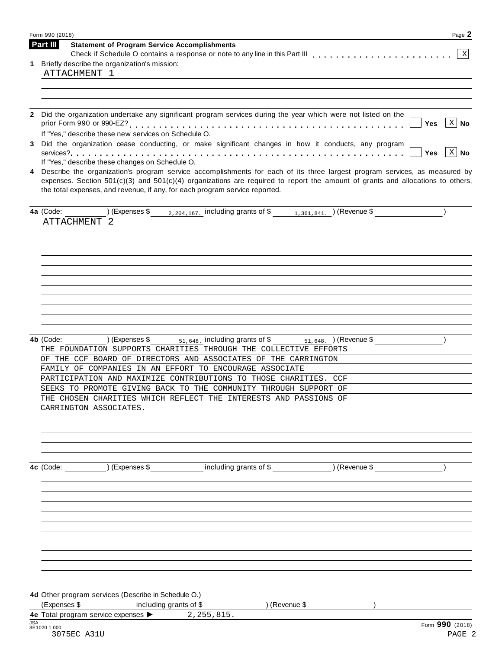| $\mid$ X $\mid$ No<br>Yes                                                                                                                                                                                                                                        |
|------------------------------------------------------------------------------------------------------------------------------------------------------------------------------------------------------------------------------------------------------------------|
|                                                                                                                                                                                                                                                                  |
|                                                                                                                                                                                                                                                                  |
|                                                                                                                                                                                                                                                                  |
|                                                                                                                                                                                                                                                                  |
|                                                                                                                                                                                                                                                                  |
| $\vert$ $\chi$ $\vert$ No<br><b>Yes</b>                                                                                                                                                                                                                          |
| Describe the organization's program service accomplishments for each of its three largest program services, as measured by<br>expenses. Section $501(c)(3)$ and $501(c)(4)$ organizations are required to report the amount of grants and allocations to others, |
| 4a (Code: $($ ) (Expenses \$ $_{2,204,167}$ including grants of \$ $_{1,361,841}$ ) (Revenue \$                                                                                                                                                                  |
|                                                                                                                                                                                                                                                                  |
|                                                                                                                                                                                                                                                                  |
|                                                                                                                                                                                                                                                                  |
|                                                                                                                                                                                                                                                                  |
| 4b (Code: $(2.648)$ ) (Expenses \$ <sub>51,648</sub> including grants of \$ <sub>51,648</sub> ) (Revenue \$                                                                                                                                                      |
|                                                                                                                                                                                                                                                                  |
|                                                                                                                                                                                                                                                                  |
|                                                                                                                                                                                                                                                                  |
|                                                                                                                                                                                                                                                                  |
|                                                                                                                                                                                                                                                                  |
|                                                                                                                                                                                                                                                                  |
|                                                                                                                                                                                                                                                                  |
|                                                                                                                                                                                                                                                                  |
|                                                                                                                                                                                                                                                                  |
|                                                                                                                                                                                                                                                                  |
|                                                                                                                                                                                                                                                                  |
|                                                                                                                                                                                                                                                                  |
| Form 990 (2018)                                                                                                                                                                                                                                                  |
|                                                                                                                                                                                                                                                                  |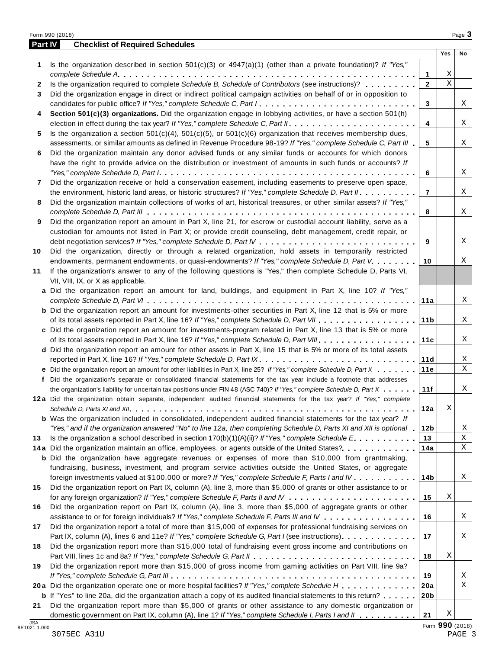|            | Form 990 (2018)                                                                                                                                                                                                                                                                                                                                                                               |                 |             | Page 3 |
|------------|-----------------------------------------------------------------------------------------------------------------------------------------------------------------------------------------------------------------------------------------------------------------------------------------------------------------------------------------------------------------------------------------------|-----------------|-------------|--------|
| Part IV    | <b>Checklist of Required Schedules</b>                                                                                                                                                                                                                                                                                                                                                        |                 |             |        |
|            |                                                                                                                                                                                                                                                                                                                                                                                               |                 | Yes         | No     |
| 1          | Is the organization described in section $501(c)(3)$ or $4947(a)(1)$ (other than a private foundation)? If "Yes,"                                                                                                                                                                                                                                                                             |                 |             |        |
|            |                                                                                                                                                                                                                                                                                                                                                                                               | 1               | Χ           |        |
| 2          | Is the organization required to complete Schedule B, Schedule of Contributors (see instructions)?                                                                                                                                                                                                                                                                                             | $\overline{2}$  | $\mathbf X$ |        |
| 3          | Did the organization engage in direct or indirect political campaign activities on behalf of or in opposition to                                                                                                                                                                                                                                                                              |                 |             |        |
|            | candidates for public office? If "Yes," complete Schedule C, Part I.                                                                                                                                                                                                                                                                                                                          | 3               |             | X      |
| 4          | Section 501(c)(3) organizations. Did the organization engage in lobbying activities, or have a section 501(h)                                                                                                                                                                                                                                                                                 |                 |             |        |
|            |                                                                                                                                                                                                                                                                                                                                                                                               | 4               |             | X      |
| 5          | Is the organization a section $501(c)(4)$ , $501(c)(5)$ , or $501(c)(6)$ organization that receives membership dues,                                                                                                                                                                                                                                                                          |                 |             |        |
|            | assessments, or similar amounts as defined in Revenue Procedure 98-19? If "Yes," complete Schedule C, Part III                                                                                                                                                                                                                                                                                | 5               |             | X      |
| 6          | Did the organization maintain any donor advised funds or any similar funds or accounts for which donors                                                                                                                                                                                                                                                                                       |                 |             |        |
|            | have the right to provide advice on the distribution or investment of amounts in such funds or accounts? If                                                                                                                                                                                                                                                                                   |                 |             |        |
|            | "Yes," complete Schedule D, Part $l_1, \ldots, l_k, \ldots, l_k, \ldots, l_k, \ldots, l_k, \ldots, l_k, \ldots, l_k, \ldots, l_k, \ldots, l_k, \ldots, l_k, \ldots, l_k, \ldots, l_k, \ldots, l_k, \ldots, l_k, \ldots, l_k, \ldots, l_k, \ldots, l_k, \ldots, l_k, \ldots, l_k, \ldots, l_k, \ldots, l_k, \ldots, l_k, \ldots, l_k, \ldots, l_k, \ldots, l_k, \ldots, l_k, \ldots, l_k, \ld$ | 6               |             | X      |
| 7          | Did the organization receive or hold a conservation easement, including easements to preserve open space,                                                                                                                                                                                                                                                                                     |                 |             |        |
|            | the environment, historic land areas, or historic structures? If "Yes," complete Schedule D, Part II.                                                                                                                                                                                                                                                                                         | $\overline{7}$  |             | X      |
| 8          | Did the organization maintain collections of works of art, historical treasures, or other similar assets? If "Yes,"                                                                                                                                                                                                                                                                           |                 |             |        |
|            |                                                                                                                                                                                                                                                                                                                                                                                               | 8               |             | X      |
| 9          | Did the organization report an amount in Part X, line 21, for escrow or custodial account liability, serve as a                                                                                                                                                                                                                                                                               |                 |             |        |
|            | custodian for amounts not listed in Part X; or provide credit counseling, debt management, credit repair, or                                                                                                                                                                                                                                                                                  |                 |             |        |
|            |                                                                                                                                                                                                                                                                                                                                                                                               | 9               |             | X      |
| 10         | Did the organization, directly or through a related organization, hold assets in temporarily restricted                                                                                                                                                                                                                                                                                       |                 |             |        |
|            | endowments, permanent endowments, or quasi-endowments? If "Yes," complete Schedule D, Part V.                                                                                                                                                                                                                                                                                                 | 10              |             | Χ      |
| 11         | If the organization's answer to any of the following questions is "Yes," then complete Schedule D, Parts VI,                                                                                                                                                                                                                                                                                  |                 |             |        |
|            | VII, VIII, IX, or X as applicable.                                                                                                                                                                                                                                                                                                                                                            |                 |             |        |
|            | a Did the organization report an amount for land, buildings, and equipment in Part X, line 10? If "Yes,"                                                                                                                                                                                                                                                                                      |                 |             |        |
|            |                                                                                                                                                                                                                                                                                                                                                                                               | 11a             |             | Χ      |
|            | <b>b</b> Did the organization report an amount for investments-other securities in Part X, line 12 that is 5% or more                                                                                                                                                                                                                                                                         |                 |             |        |
|            |                                                                                                                                                                                                                                                                                                                                                                                               |                 |             | Χ      |
|            |                                                                                                                                                                                                                                                                                                                                                                                               | 11 <sub>b</sub> |             |        |
|            | c Did the organization report an amount for investments-program related in Part X, line 13 that is 5% or more                                                                                                                                                                                                                                                                                 |                 |             |        |
|            |                                                                                                                                                                                                                                                                                                                                                                                               | 11c             |             | Χ      |
|            | d Did the organization report an amount for other assets in Part X, line 15 that is 5% or more of its total assets                                                                                                                                                                                                                                                                            |                 |             |        |
|            | reported in Part X, line 16? If "Yes," complete Schedule D, Part IX.                                                                                                                                                                                                                                                                                                                          | 11d             |             | X      |
|            | e Did the organization report an amount for other liabilities in Part X, line 25? If "Yes," complete Schedule D, Part X                                                                                                                                                                                                                                                                       | 11e             |             | Χ      |
|            | f Did the organization's separate or consolidated financial statements for the tax year include a footnote that addresses                                                                                                                                                                                                                                                                     |                 |             |        |
|            | the organization's liability for uncertain tax positions under FIN 48 (ASC 740)? If "Yes," complete Schedule D, Part X                                                                                                                                                                                                                                                                        | 11f             |             | X      |
|            | 12a Did the organization obtain separate, independent audited financial statements for the tax year? If "Yes," complete                                                                                                                                                                                                                                                                       |                 |             |        |
|            |                                                                                                                                                                                                                                                                                                                                                                                               | 12a             | X           |        |
|            | <b>b</b> Was the organization included in consolidated, independent audited financial statements for the tax year? If                                                                                                                                                                                                                                                                         |                 |             |        |
|            | "Yes," and if the organization answered "No" to line 12a, then completing Schedule D, Parts XI and XII is optional 1                                                                                                                                                                                                                                                                          | 12b             |             | Χ      |
| 13         | Is the organization a school described in section $170(b)(1)(A)(ii)?$ If "Yes," complete Schedule E.                                                                                                                                                                                                                                                                                          | 13              |             | Χ      |
|            | 14a Did the organization maintain an office, employees, or agents outside of the United States?                                                                                                                                                                                                                                                                                               | 14a             |             | X      |
|            | <b>b</b> Did the organization have aggregate revenues or expenses of more than \$10,000 from grantmaking,                                                                                                                                                                                                                                                                                     |                 |             |        |
|            | fundraising, business, investment, and program service activities outside the United States, or aggregate                                                                                                                                                                                                                                                                                     |                 |             |        |
|            | foreign investments valued at \$100,000 or more? If "Yes," complete Schedule F, Parts I and IV                                                                                                                                                                                                                                                                                                | 14b             |             | X      |
| 15         | Did the organization report on Part IX, column (A), line 3, more than \$5,000 of grants or other assistance to or                                                                                                                                                                                                                                                                             |                 |             |        |
|            |                                                                                                                                                                                                                                                                                                                                                                                               | 15              | X           |        |
| 16         | Did the organization report on Part IX, column (A), line 3, more than \$5,000 of aggregate grants or other                                                                                                                                                                                                                                                                                    |                 |             |        |
|            | assistance to or for foreign individuals? If "Yes," complete Schedule F, Parts III and IV                                                                                                                                                                                                                                                                                                     | 16              |             | Χ      |
| 17         | Did the organization report a total of more than \$15,000 of expenses for professional fundraising services on                                                                                                                                                                                                                                                                                |                 |             |        |
|            | Part IX, column (A), lines 6 and 11e? If "Yes," complete Schedule G, Part I (see instructions)                                                                                                                                                                                                                                                                                                | 17              |             | Χ      |
| 18         | Did the organization report more than \$15,000 total of fundraising event gross income and contributions on                                                                                                                                                                                                                                                                                   |                 |             |        |
|            |                                                                                                                                                                                                                                                                                                                                                                                               | 18              | X           |        |
| 19         | Did the organization report more than \$15,000 of gross income from gaming activities on Part VIII, line 9a?                                                                                                                                                                                                                                                                                  |                 |             |        |
|            |                                                                                                                                                                                                                                                                                                                                                                                               | 19              |             | Χ      |
|            | 20a Did the organization operate one or more hospital facilities? If "Yes," complete Schedule H                                                                                                                                                                                                                                                                                               |                 |             | Χ      |
|            |                                                                                                                                                                                                                                                                                                                                                                                               | 20a             |             |        |
|            | <b>b</b> If "Yes" to line 20a, did the organization attach a copy of its audited financial statements to this return?                                                                                                                                                                                                                                                                         | 20 <sub>b</sub> |             |        |
| 21         | Did the organization report more than \$5,000 of grants or other assistance to any domestic organization or                                                                                                                                                                                                                                                                                   |                 | Χ           |        |
| <b>JSA</b> | domestic government on Part IX, column (A), line 1? If "Yes," complete Schedule I, Parts I and II                                                                                                                                                                                                                                                                                             | 21              |             |        |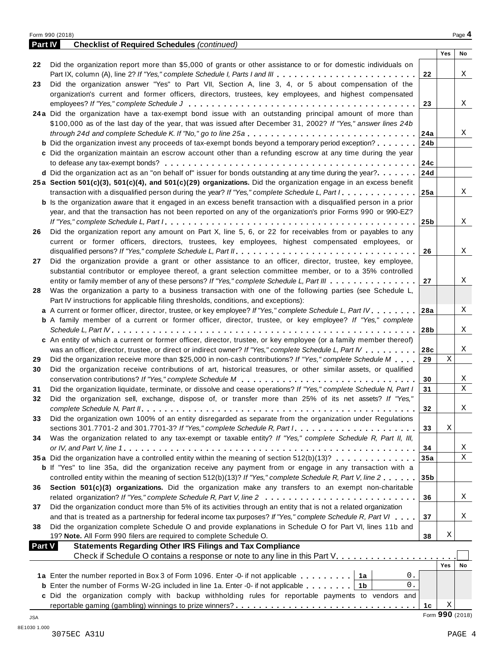| <b>Part IV</b> | <b>Checklist of Required Schedules (continued)</b>                                                                        |                 |                 |    |
|----------------|---------------------------------------------------------------------------------------------------------------------------|-----------------|-----------------|----|
|                |                                                                                                                           |                 | Yes             | No |
| 22             | Did the organization report more than \$5,000 of grants or other assistance to or for domestic individuals on             |                 |                 |    |
|                | Part IX, column (A), line 2? If "Yes," complete Schedule I, Parts I and III                                               | 22              |                 | X  |
| 23             | Did the organization answer "Yes" to Part VII, Section A, line 3, 4, or 5 about compensation of the                       |                 |                 |    |
|                | organization's current and former officers, directors, trustees, key employees, and highest compensated                   |                 |                 |    |
|                |                                                                                                                           | 23              |                 | X  |
|                | 24a Did the organization have a tax-exempt bond issue with an outstanding principal amount of more than                   |                 |                 |    |
|                | \$100,000 as of the last day of the year, that was issued after December 31, 2002? If "Yes," answer lines 24b             |                 |                 |    |
|                |                                                                                                                           | 24a             |                 | Χ  |
|                | <b>b</b> Did the organization invest any proceeds of tax-exempt bonds beyond a temporary period exception?                | 24 <sub>b</sub> |                 |    |
|                | c Did the organization maintain an escrow account other than a refunding escrow at any time during the year               |                 |                 |    |
|                |                                                                                                                           | 24c             |                 |    |
|                | d Did the organization act as an "on behalf of" issuer for bonds outstanding at any time during the year?                 | 24d             |                 |    |
|                | 25a Section 501(c)(3), 501(c)(4), and 501(c)(29) organizations. Did the organization engage in an excess benefit          |                 |                 |    |
|                | transaction with a disqualified person during the year? If "Yes," complete Schedule L, Part I                             | 25a             |                 | X  |
|                | <b>b</b> Is the organization aware that it engaged in an excess benefit transaction with a disqualified person in a prior |                 |                 |    |
|                | year, and that the transaction has not been reported on any of the organization's prior Forms 990 or 990-EZ?              |                 |                 |    |
|                |                                                                                                                           | 25 <sub>b</sub> |                 | X  |
| 26             | Did the organization report any amount on Part X, line 5, 6, or 22 for receivables from or payables to any                |                 |                 |    |
|                | current or former officers, directors, trustees, key employees, highest compensated employees, or                         |                 |                 |    |
|                |                                                                                                                           | 26              |                 | X  |
| 27             | Did the organization provide a grant or other assistance to an officer, director, trustee, key employee,                  |                 |                 |    |
|                | substantial contributor or employee thereof, a grant selection committee member, or to a 35% controlled                   |                 |                 |    |
|                | entity or family member of any of these persons? If "Yes," complete Schedule L, Part III                                  | 27              |                 | Χ  |
| 28             | Was the organization a party to a business transaction with one of the following parties (see Schedule L,                 |                 |                 |    |
|                | Part IV instructions for applicable filing thresholds, conditions, and exceptions):                                       |                 |                 |    |
|                | a A current or former officer, director, trustee, or key employee? If "Yes," complete Schedule L, Part IV 28a             |                 |                 | X  |
|                | <b>b</b> A family member of a current or former officer, director, trustee, or key employee? If "Yes," complete           |                 |                 |    |
|                |                                                                                                                           | 28b             |                 | Χ  |
|                | c An entity of which a current or former officer, director, trustee, or key employee (or a family member thereof)         |                 |                 |    |
|                | was an officer, director, trustee, or direct or indirect owner? If "Yes," complete Schedule L, Part IV                    | 28c             | $\mathbf X$     | X  |
| 29             | Did the organization receive more than \$25,000 in non-cash contributions? If "Yes," complete Schedule M                  | 29              |                 |    |
| 30             | Did the organization receive contributions of art, historical treasures, or other similar assets, or qualified            |                 |                 |    |
|                |                                                                                                                           | 30              |                 | Χ  |
| 31             | Did the organization liquidate, terminate, or dissolve and cease operations? If "Yes," complete Schedule N, Part I        | 31              |                 | Χ  |
| 32             | Did the organization sell, exchange, dispose of, or transfer more than 25% of its net assets? If "Yes,"                   |                 |                 |    |
|                |                                                                                                                           | 32              |                 | Χ  |
| 33             | Did the organization own 100% of an entity disregarded as separate from the organization under Regulations                |                 | Χ               |    |
|                | Was the organization related to any tax-exempt or taxable entity? If "Yes," complete Schedule R, Part II, III,            | 33              |                 |    |
| 34             |                                                                                                                           |                 |                 | Χ  |
|                | 35a Did the organization have a controlled entity within the meaning of section 512(b)(13)?                               | 34<br>35a       |                 | Χ  |
|                | <b>b</b> If "Yes" to line 35a, did the organization receive any payment from or engage in any transaction with a          |                 |                 |    |
|                | controlled entity within the meaning of section 512(b)(13)? If "Yes," complete Schedule R, Part V, line 2                 | 35 <sub>b</sub> |                 |    |
| 36             | Section 501(c)(3) organizations. Did the organization make any transfers to an exempt non-charitable                      |                 |                 |    |
|                |                                                                                                                           | 36              |                 | Χ  |
| 37             | Did the organization conduct more than 5% of its activities through an entity that is not a related organization          |                 |                 |    |
|                | and that is treated as a partnership for federal income tax purposes? If "Yes," complete Schedule R, Part VI              | 37              |                 | Χ  |
| 38             | Did the organization complete Schedule O and provide explanations in Schedule O for Part VI, lines 11b and                |                 |                 |    |
|                | 19? Note. All Form 990 filers are required to complete Schedule O.                                                        | 38              | Χ               |    |
| Part V         | <b>Statements Regarding Other IRS Filings and Tax Compliance</b>                                                          |                 |                 |    |
|                | Check if Schedule O contains a response or note to any line in this Part V.                                               |                 |                 |    |
|                |                                                                                                                           |                 | Yes             | No |
|                | 0.<br>1a Enter the number reported in Box 3 of Form 1096. Enter -0- if not applicable<br>1a                               |                 |                 |    |
|                | 0.<br><b>b</b> Enter the number of Forms W-2G included in line 1a. Enter -0- if not applicable<br>1b                      |                 |                 |    |
|                | c Did the organization comply with backup withholding rules for reportable payments to vendors and                        |                 |                 |    |
|                |                                                                                                                           | 1c              | Χ               |    |
| JSA            |                                                                                                                           |                 | Form 990 (2018) |    |
|                |                                                                                                                           |                 |                 |    |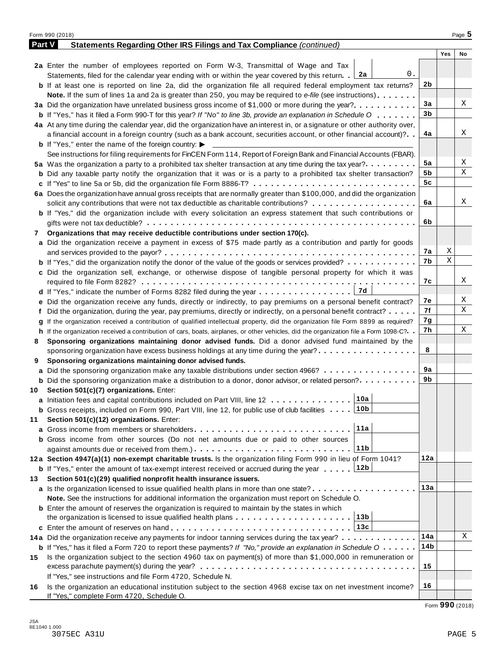|        | Form 990 (2018)                                                                                                                              |     |     | Page 5 |
|--------|----------------------------------------------------------------------------------------------------------------------------------------------|-----|-----|--------|
| Part V | Statements Regarding Other IRS Filings and Tax Compliance (continued)                                                                        |     |     |        |
|        |                                                                                                                                              |     | Yes | No     |
|        | 2a Enter the number of employees reported on Form W-3, Transmittal of Wage and Tax                                                           |     |     |        |
|        | 0.<br>Statements, filed for the calendar year ending with or within the year covered by this return. 2a                                      |     |     |        |
|        | <b>b</b> If at least one is reported on line 2a, did the organization file all required federal employment tax returns?                      | 2b  |     |        |
|        | <b>Note.</b> If the sum of lines 1a and 2a is greater than 250, you may be required to e-file (see instructions).                            |     |     |        |
|        | 3a Did the organization have unrelated business gross income of \$1,000 or more during the year?                                             | 3a  |     | Χ      |
|        | <b>b</b> If "Yes," has it filed a Form 990-T for this year? If "No" to line 3b, provide an explanation in Schedule O                         | 3b  |     |        |
|        | 4a At any time during the calendar year, did the organization have an interest in, or a signature or other authority over,                   |     |     |        |
|        | a financial account in a foreign country (such as a bank account, securities account, or other financial account)?                           | 4a  |     | X      |
|        | <b>b</b> If "Yes," enter the name of the foreign country: $\blacktriangleright$                                                              |     |     |        |
|        | See instructions for filing requirements for FinCEN Form 114, Report of Foreign Bank and Financial Accounts (FBAR).                          |     |     |        |
|        | 5a Was the organization a party to a prohibited tax shelter transaction at any time during the tax year?                                     | 5a  |     | Χ      |
|        | <b>b</b> Did any taxable party notify the organization that it was or is a party to a prohibited tax shelter transaction?                    | 5b  |     | Χ      |
|        |                                                                                                                                              | 5c  |     |        |
|        | 6a Does the organization have annual gross receipts that are normally greater than \$100,000, and did the organization                       |     |     |        |
|        | solicit any contributions that were not tax deductible as charitable contributions?                                                          | 6a  |     | Χ      |
|        | <b>b</b> If "Yes," did the organization include with every solicitation an express statement that such contributions or                      |     |     |        |
|        |                                                                                                                                              | 6b  |     |        |
| 7      | Organizations that may receive deductible contributions under section 170(c).                                                                |     |     |        |
|        | a Did the organization receive a payment in excess of \$75 made partly as a contribution and partly for goods                                |     |     |        |
|        |                                                                                                                                              | 7а  | X   |        |
|        | <b>b</b> If "Yes," did the organization notify the donor of the value of the goods or services provided?                                     | 7b  | X   |        |
|        | c Did the organization sell, exchange, or otherwise dispose of tangible personal property for which it was                                   |     |     |        |
|        |                                                                                                                                              | 7с  |     | Х      |
|        | 7d                                                                                                                                           |     |     |        |
|        | e Did the organization receive any funds, directly or indirectly, to pay premiums on a personal benefit contract?                            | 7е  |     | Χ      |
|        | f Did the organization, during the year, pay premiums, directly or indirectly, on a personal benefit contract?                               | 7f  |     | Χ      |
|        | If the organization received a contribution of qualified intellectual property, did the organization file Form 8899 as required?             | 7g  |     |        |
|        | h If the organization received a contribution of cars, boats, airplanes, or other vehicles, did the organization file a Form 1098-C?         | 7h  |     | Χ      |
| 8      | Sponsoring organizations maintaining donor advised funds. Did a donor advised fund maintained by the                                         |     |     |        |
|        | sponsoring organization have excess business holdings at any time during the year?                                                           | 8   |     |        |
| 9      | Sponsoring organizations maintaining donor advised funds.                                                                                    |     |     |        |
|        | <b>a</b> Did the sponsoring organization make any taxable distributions under section 4966?                                                  | 9а  |     |        |
|        | <b>b</b> Did the sponsoring organization make a distribution to a donor, donor advisor, or related person?                                   | 9b  |     |        |
|        | 10 Section 501(c)(7) organizations. Enter:                                                                                                   |     |     |        |
|        | 10a <br>a Initiation fees and capital contributions included on Part VIII, line 12                                                           |     |     |        |
|        | 10b<br><b>b</b> Gross receipts, included on Form 990, Part VIII, line 12, for public use of club facilities                                  |     |     |        |
| 11     | Section 501(c)(12) organizations. Enter:                                                                                                     |     |     |        |
|        | 11a<br><b>a</b> Gross income from members or shareholders                                                                                    |     |     |        |
|        | b Gross income from other sources (Do not net amounts due or paid to other sources                                                           |     |     |        |
|        | 11b                                                                                                                                          |     |     |        |
|        | 12a Section 4947(a)(1) non-exempt charitable trusts. Is the organization filing Form 990 in lieu of Form 1041?                               | 12a |     |        |
|        | 12b<br><b>b</b> If "Yes," enter the amount of tax-exempt interest received or accrued during the year                                        |     |     |        |
| 13.    | Section 501(c)(29) qualified nonprofit health insurance issuers.                                                                             |     |     |        |
|        | <b>a</b> Is the organization licensed to issue qualified health plans in more than one state?                                                | 13а |     |        |
|        | Note. See the instructions for additional information the organization must report on Schedule O.                                            |     |     |        |
|        | <b>b</b> Enter the amount of reserves the organization is required to maintain by the states in which                                        |     |     |        |
|        | 13b<br>the organization is licensed to issue qualified health plans                                                                          |     |     |        |
|        | 13c                                                                                                                                          |     |     |        |
|        | 14a Did the organization receive any payments for indoor tanning services during the tax year?                                               | 14a |     | Χ      |
|        | <b>b</b> If "Yes," has it filed a Form 720 to report these payments? If "No," provide an explanation in Schedule $0 \cdot \cdot \cdot \cdot$ | 14b |     |        |
| 15     | Is the organization subject to the section 4960 tax on payment(s) of more than \$1,000,000 in remuneration or                                |     |     |        |
|        |                                                                                                                                              | 15  |     |        |
|        | If "Yes," see instructions and file Form 4720, Schedule N.                                                                                   |     |     |        |
| 16     | Is the organization an educational institution subject to the section 4968 excise tax on net investment income?                              | 16  |     |        |
|        | If "Yes," complete Form 4720, Schedule O.                                                                                                    |     |     |        |

Form **990** (2018)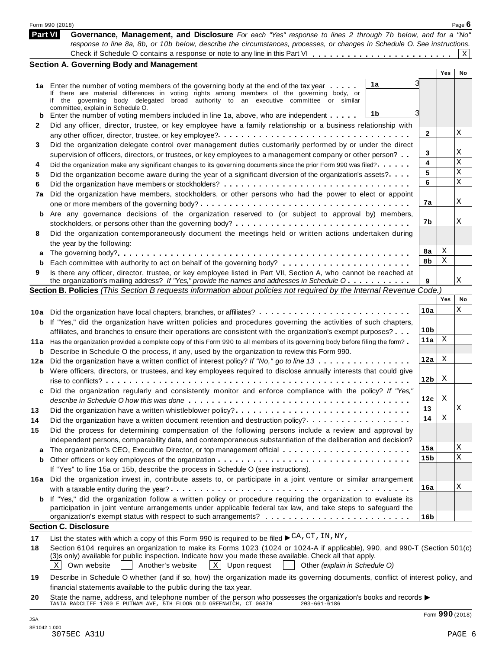|      | Form 990 (2018)                                                                                                                                                                                                                                    |                 |     | Page $6$ |
|------|----------------------------------------------------------------------------------------------------------------------------------------------------------------------------------------------------------------------------------------------------|-----------------|-----|----------|
|      | Part VI<br>Governance, Management, and Disclosure For each "Yes" response to lines 2 through 7b below, and for a "No"<br>response to line 8a, 8b, or 10b below, describe the circumstances, processes, or changes in Schedule O. See instructions. |                 |     |          |
|      |                                                                                                                                                                                                                                                    |                 |     | Χ        |
|      | <b>Section A. Governing Body and Management</b>                                                                                                                                                                                                    |                 | Yes | No       |
|      |                                                                                                                                                                                                                                                    |                 |     |          |
|      | 1a<br>1a Enter the number of voting members of the governing body at the end of the tax year<br>If there are material differences in voting rights among members of the governing body, or                                                         |                 |     |          |
|      | if the governing body delegated broad authority to an executive committee or similar                                                                                                                                                               |                 |     |          |
|      | committee, explain in Schedule O.                                                                                                                                                                                                                  |                 |     |          |
| b    | 1b<br>Enter the number of voting members included in line 1a, above, who are independent                                                                                                                                                           |                 |     |          |
| 2    | Did any officer, director, trustee, or key employee have a family relationship or a business relationship with                                                                                                                                     |                 |     |          |
|      |                                                                                                                                                                                                                                                    | 2               |     | X        |
| 3    | Did the organization delegate control over management duties customarily performed by or under the direct                                                                                                                                          |                 |     |          |
|      | supervision of officers, directors, or trustees, or key employees to a management company or other person?                                                                                                                                         | 3               |     | Χ        |
| 4    | Did the organization make any significant changes to its governing documents since the prior Form 990 was filed?                                                                                                                                   | 4               |     | X        |
| 5    | Did the organization become aware during the year of a significant diversion of the organization's assets?                                                                                                                                         | 5               |     | X        |
| 6    |                                                                                                                                                                                                                                                    | 6               |     | X        |
| 7a   | Did the organization have members, stockholders, or other persons who had the power to elect or appoint                                                                                                                                            |                 |     |          |
|      |                                                                                                                                                                                                                                                    | 7a              |     | X        |
|      | <b>b</b> Are any governance decisions of the organization reserved to (or subject to approval by) members,                                                                                                                                         |                 |     |          |
|      |                                                                                                                                                                                                                                                    | 7b              |     | Χ        |
| 8    | Did the organization contemporaneously document the meetings held or written actions undertaken during                                                                                                                                             |                 |     |          |
|      | the year by the following:                                                                                                                                                                                                                         |                 |     |          |
| а    |                                                                                                                                                                                                                                                    | 8а              | Χ   |          |
|      |                                                                                                                                                                                                                                                    | 8b              | Χ   |          |
| 9    | Is there any officer, director, trustee, or key employee listed in Part VII, Section A, who cannot be reached at                                                                                                                                   |                 |     |          |
|      | the organization's mailing address? If "Yes," provide the names and addresses in Schedule O                                                                                                                                                        | 9               |     | Χ        |
|      | Section B. Policies (This Section B requests information about policies not required by the Internal Revenue Code.)                                                                                                                                |                 |     |          |
|      |                                                                                                                                                                                                                                                    |                 | Yes | No       |
|      | 10a Did the organization have local chapters, branches, or affiliates?                                                                                                                                                                             | 10a             |     | Χ        |
|      | If "Yes," did the organization have written policies and procedures governing the activities of such chapters,                                                                                                                                     |                 |     |          |
| b    |                                                                                                                                                                                                                                                    | 10 <sub>b</sub> |     |          |
|      | affiliates, and branches to ensure their operations are consistent with the organization's exempt purposes?                                                                                                                                        | 11a             | X   |          |
| 11 a | Has the organization provided a complete copy of this Form 990 to all members of its governing body before filing the form?                                                                                                                        |                 |     |          |
| b    | Describe in Schedule O the process, if any, used by the organization to review this Form 990.                                                                                                                                                      | 12a             | X   |          |
| 12a  | Did the organization have a written conflict of interest policy? If "No," go to line 13                                                                                                                                                            |                 |     |          |
|      | <b>b</b> Were officers, directors, or trustees, and key employees required to disclose annually interests that could give                                                                                                                          | 12 <sub>b</sub> | X   |          |
|      |                                                                                                                                                                                                                                                    |                 |     |          |
|      | Did the organization regularly and consistently monitor and enforce compliance with the policy? If "Yes,                                                                                                                                           |                 |     |          |
|      |                                                                                                                                                                                                                                                    | 12c             | X   |          |
| 13   | Did the organization have a written whistleblower policy?                                                                                                                                                                                          | 13              |     | X        |
| 14   | Did the organization have a written document retention and destruction policy?                                                                                                                                                                     | 14              | Χ   |          |
| 15   | Did the process for determining compensation of the following persons include a review and approval by                                                                                                                                             |                 |     |          |
|      | independent persons, comparability data, and contemporaneous substantiation of the deliberation and decision?                                                                                                                                      |                 |     |          |
| a    |                                                                                                                                                                                                                                                    | 15a             |     | Χ        |
| b    |                                                                                                                                                                                                                                                    | 15b             |     | X        |
|      | If "Yes" to line 15a or 15b, describe the process in Schedule O (see instructions).                                                                                                                                                                |                 |     |          |
|      | 16a Did the organization invest in, contribute assets to, or participate in a joint venture or similar arrangement                                                                                                                                 |                 |     |          |
|      |                                                                                                                                                                                                                                                    | 16a             |     | X        |
|      | <b>b</b> If "Yes," did the organization follow a written policy or procedure requiring the organization to evaluate its                                                                                                                            |                 |     |          |
|      | participation in joint venture arrangements under applicable federal tax law, and take steps to safeguard the                                                                                                                                      |                 |     |          |
|      |                                                                                                                                                                                                                                                    | 16 <sub>b</sub> |     |          |
|      | <b>Section C. Disclosure</b>                                                                                                                                                                                                                       |                 |     |          |
| 17   | List the states with which a copy of this Form 990 is required to be filed $\blacktriangleright \frac{\text{CA}}{\text{CA}}, \text{CT}, \text{IN}, \text{NY},$                                                                                     |                 |     |          |
| 18   | Section 6104 requires an organization to make its Forms 1023 (1024 or 1024-A if applicable), 990, and 990-T (Section 501(c)                                                                                                                        |                 |     |          |
|      | (3)s only) available for public inspection. Indicate how you made these available. Check all that apply.                                                                                                                                           |                 |     |          |
|      | $X$ Upon request<br>Own website<br>Another's website<br>Other (explain in Schedule O)<br>ХI                                                                                                                                                        |                 |     |          |
|      | Describe in Schedule O whether (and if so, how) the organization made its governing documents, conflict of interest policy, and                                                                                                                    |                 |     |          |

**20** financial statements available to the public during the tax year. Inflancial statements available to the public during the tax year.<br>State the name, address, and telephone number of the person who possesses the organization's books and records<br>TANIA RADCLIFF 1700 E PUTNAM AVE, 5TH FLOOR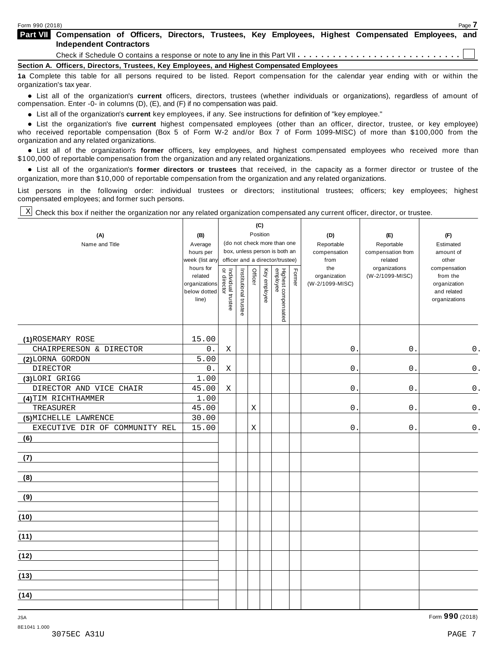| <b>Part VII</b> Compensation of Officers, Directors, Trustees, Key Employees, Highest Compensated Employees, and                  |  |  |  |  |  |  |  |  |
|-----------------------------------------------------------------------------------------------------------------------------------|--|--|--|--|--|--|--|--|
| <b>Independent Contractors</b>                                                                                                    |  |  |  |  |  |  |  |  |
|                                                                                                                                   |  |  |  |  |  |  |  |  |
| Section A. Officers, Directors, Trustees, Key Employees, and Highest Compensated Employees                                        |  |  |  |  |  |  |  |  |
| 1a Complete this table for all persons required to be listed. Report compensation for the calendar year ending with or within the |  |  |  |  |  |  |  |  |

table for all persons required to be listed. Report compensation for the calendar year ending with or within the organization's tax year.

anization's lax year.<br>● List all of the organization's **current** officers, directors, trustees (whether individuals or organizations), regardless of amount of<br>nnensation Enter -0- in columns (D) (E) and (E) if no compensa compensation. Enter -0- in columns (D), (E), and (F) if no compensation was paid.

• List all of the organization's **current** key employees, if any. See instructions for definition of "key employee."<br>● List the experientials five expect highest expressed explores (other than an efficer director of

**Example in the organization's current** key employees, if any. See instructions for definition of key employee.<br>• List the organization's five **current** highest compensated employees (other than an officer, director, trust who received reportable compensation (Box 5 of Form W-2 and/or Box 7 of Form 1099-MISC) of more than \$100,000 from the

organization and any related organizations.<br>• List all of the organization's **former** officers, key employees, and highest compensated employees who received more than<br>\$1.00.000 of reportable componention from the erganiza \$100,000 of reportable compensation from the organization and any related organizations.

% List all of the organization's **former directors or trustees** that received, in the capacity as a former director or trustee of the organization, more than \$10,000 of reportable compensation from the organization and any related organizations.

List persons in the following order: individual trustees or directors; institutional trustees; officers; key employees; highest compensated employees; and former such persons.

Check this box if neither the organization nor any related organization compensated any current officer, director, or trustee. X

|                                |                                                                |                                   |                       | (C)         |              |                                 |        |                                        |                                  |                                                                          |
|--------------------------------|----------------------------------------------------------------|-----------------------------------|-----------------------|-------------|--------------|---------------------------------|--------|----------------------------------------|----------------------------------|--------------------------------------------------------------------------|
| (A)                            | (B)                                                            |                                   |                       |             | Position     | (do not check more than one     |        | (D)                                    | (E)                              | (F)                                                                      |
| Name and Title                 | Average<br>hours per                                           |                                   |                       |             |              | box, unless person is both an   |        | Reportable<br>compensation             | Reportable<br>compensation from  | Estimated<br>amount of                                                   |
|                                | week (list any                                                 |                                   |                       |             |              | officer and a director/trustee) |        | from                                   | related                          | other                                                                    |
|                                | hours for<br>related<br>organizations<br>below dotted<br>line) | Individual trustee<br>or director | Institutional trustee | Officer     | Key employee | Highest compensated<br>employee | Former | the<br>organization<br>(W-2/1099-MISC) | organizations<br>(W-2/1099-MISC) | compensation<br>from the<br>organization<br>and related<br>organizations |
| (1) ROSEMARY ROSE              | 15.00                                                          |                                   |                       |             |              |                                 |        |                                        |                                  |                                                                          |
| CHAIRPERESON & DIRECTOR        | $0$ .                                                          | Χ                                 |                       |             |              |                                 |        | $0$ .                                  | $0$ .                            | 0.                                                                       |
| (2) LORNA GORDON               | 5.00                                                           |                                   |                       |             |              |                                 |        |                                        |                                  |                                                                          |
| <b>DIRECTOR</b>                | $0$ .                                                          | Χ                                 |                       |             |              |                                 |        | $0$ .                                  | 0.                               | 0.                                                                       |
| (3)LORI GRIGG                  | 1.00                                                           |                                   |                       |             |              |                                 |        |                                        |                                  |                                                                          |
| DIRECTOR AND VICE CHAIR        | 45.00                                                          | Χ                                 |                       |             |              |                                 |        | $0$ .                                  | $\boldsymbol{0}$ .               | $\mathsf 0$ .                                                            |
| (4) TIM RICHTHAMMER            | 1.00                                                           |                                   |                       |             |              |                                 |        |                                        |                                  |                                                                          |
| TREASURER                      | 45.00                                                          |                                   |                       | $\mathbf X$ |              |                                 |        | 0.                                     | 0.                               | $\mathsf{0}$ .                                                           |
| (5) MICHELLE LAWRENCE          | 30.00                                                          |                                   |                       |             |              |                                 |        |                                        |                                  |                                                                          |
| EXECUTIVE DIR OF COMMUNITY REL | 15.00                                                          |                                   |                       | Χ           |              |                                 |        | 0.                                     | $0$ .                            | $\mathsf 0$ .                                                            |
| (6)                            |                                                                |                                   |                       |             |              |                                 |        |                                        |                                  |                                                                          |
| (7)                            |                                                                |                                   |                       |             |              |                                 |        |                                        |                                  |                                                                          |
| (8)                            |                                                                |                                   |                       |             |              |                                 |        |                                        |                                  |                                                                          |
| (9)                            |                                                                |                                   |                       |             |              |                                 |        |                                        |                                  |                                                                          |
| (10)                           |                                                                |                                   |                       |             |              |                                 |        |                                        |                                  |                                                                          |
| (11)                           |                                                                |                                   |                       |             |              |                                 |        |                                        |                                  |                                                                          |
| (12)                           |                                                                |                                   |                       |             |              |                                 |        |                                        |                                  |                                                                          |
| (13)                           |                                                                |                                   |                       |             |              |                                 |        |                                        |                                  |                                                                          |
| (14)                           |                                                                |                                   |                       |             |              |                                 |        |                                        |                                  |                                                                          |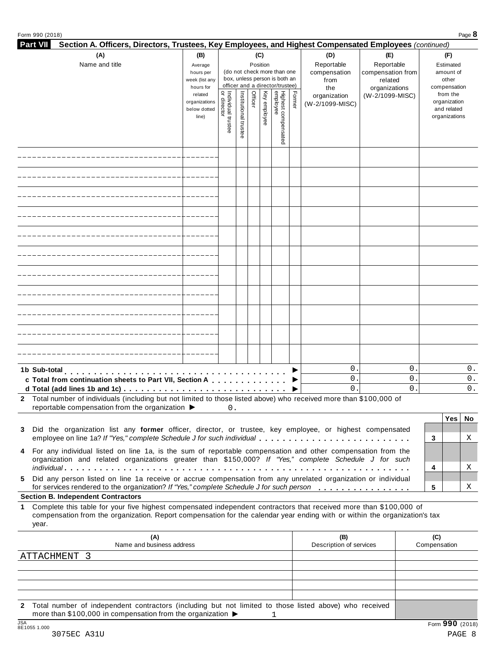|  |  | Form 990 (2018) |
|--|--|-----------------|
|--|--|-----------------|

| <b>Part VII</b><br>Section A. Officers, Directors, Trustees, Key Employees, and Highest Compensated Employees (continued)                                                                                                                                                                      |                                                            |                                   |                       |                 |                                                                                                 |                                 |        |                                                  |                                                                    |                                  |                                                          |          |
|------------------------------------------------------------------------------------------------------------------------------------------------------------------------------------------------------------------------------------------------------------------------------------------------|------------------------------------------------------------|-----------------------------------|-----------------------|-----------------|-------------------------------------------------------------------------------------------------|---------------------------------|--------|--------------------------------------------------|--------------------------------------------------------------------|----------------------------------|----------------------------------------------------------|----------|
| (A)<br>Name and title                                                                                                                                                                                                                                                                          | (B)<br>Average<br>hours per<br>week (list any<br>hours for |                                   |                       | (C)<br>Position | (do not check more than one<br>box, unless person is both an<br>officer and a director/trustee) |                                 |        | (D)<br>Reportable<br>compensation<br>from<br>the | (E)<br>Reportable<br>compensation from<br>related<br>organizations |                                  | (F)<br>Estimated<br>amount of<br>other<br>compensation   |          |
|                                                                                                                                                                                                                                                                                                | related<br>organizations<br>below dotted<br>line)          | Individual trustee<br>or director | Institutional trustee | Officer         | Key employee                                                                                    | Highest compensated<br>employee | Former | organization<br>(W-2/1099-MISC)                  | (W-2/1099-MISC)                                                    |                                  | from the<br>organization<br>and related<br>organizations |          |
|                                                                                                                                                                                                                                                                                                |                                                            |                                   |                       |                 |                                                                                                 |                                 |        |                                                  |                                                                    |                                  |                                                          |          |
|                                                                                                                                                                                                                                                                                                |                                                            |                                   |                       |                 |                                                                                                 |                                 |        |                                                  |                                                                    |                                  |                                                          |          |
|                                                                                                                                                                                                                                                                                                |                                                            |                                   |                       |                 |                                                                                                 |                                 |        |                                                  |                                                                    |                                  |                                                          |          |
|                                                                                                                                                                                                                                                                                                |                                                            |                                   |                       |                 |                                                                                                 |                                 |        |                                                  |                                                                    |                                  |                                                          |          |
|                                                                                                                                                                                                                                                                                                |                                                            |                                   |                       |                 |                                                                                                 |                                 |        |                                                  |                                                                    |                                  |                                                          |          |
|                                                                                                                                                                                                                                                                                                |                                                            |                                   |                       |                 |                                                                                                 |                                 |        |                                                  |                                                                    |                                  |                                                          |          |
|                                                                                                                                                                                                                                                                                                |                                                            |                                   |                       |                 |                                                                                                 |                                 |        |                                                  |                                                                    |                                  |                                                          |          |
|                                                                                                                                                                                                                                                                                                |                                                            |                                   |                       |                 |                                                                                                 |                                 |        |                                                  |                                                                    |                                  |                                                          |          |
|                                                                                                                                                                                                                                                                                                |                                                            |                                   |                       |                 |                                                                                                 |                                 |        |                                                  |                                                                    |                                  |                                                          |          |
|                                                                                                                                                                                                                                                                                                |                                                            |                                   |                       |                 |                                                                                                 |                                 |        |                                                  |                                                                    |                                  |                                                          |          |
| 1b Sub-total                                                                                                                                                                                                                                                                                   |                                                            |                                   |                       |                 |                                                                                                 |                                 |        | $\mathsf{O}$ .<br>$\mathbf 0$ .                  |                                                                    | $\mathsf{O}$ .<br>$\mathsf{O}$ . |                                                          | 0.<br>0. |
| c Total from continuation sheets to Part VII, Section A<br>d Total (add lines 1b and 1c) $\ldots \ldots \ldots \ldots \ldots \ldots \ldots \ldots \ldots \ldots \ldots$<br>2 Total number of individuals (including but not limited to those listed above) who received more than \$100,000 of |                                                            |                                   |                       |                 |                                                                                                 |                                 |        | 0.                                               |                                                                    | $\mathbf 0$ .                    |                                                          | 0.       |
| reportable compensation from the organization $\blacktriangleright$                                                                                                                                                                                                                            |                                                            | 0.                                |                       |                 |                                                                                                 |                                 |        |                                                  |                                                                    |                                  | Yes                                                      | No       |
| 3 Did the organization list any former officer, director, or trustee, key employee, or highest compensated<br>employee on line 1a? If "Yes," complete Schedule J for such individual                                                                                                           |                                                            |                                   |                       |                 |                                                                                                 |                                 |        |                                                  |                                                                    | 3                                |                                                          | Χ        |
| 4 For any individual listed on line 1a, is the sum of reportable compensation and other compensation from the<br>organization and related organizations greater than \$150,000? If "Yes," complete Schedule J for such                                                                         |                                                            |                                   |                       |                 |                                                                                                 |                                 |        |                                                  |                                                                    |                                  |                                                          |          |
| Did any person listed on line 1a receive or accrue compensation from any unrelated organization or individual                                                                                                                                                                                  |                                                            |                                   |                       |                 |                                                                                                 |                                 |        |                                                  |                                                                    | 4                                |                                                          | Χ        |
| for services rendered to the organization? If "Yes," complete Schedule J for such person<br><b>Section B. Independent Contractors</b>                                                                                                                                                          |                                                            |                                   |                       |                 |                                                                                                 |                                 |        |                                                  |                                                                    | 5                                |                                                          | Χ        |
| Complete this table for your five highest compensated independent contractors that received more than \$100,000 of<br>compensation from the organization. Report compensation for the calendar year ending with or within the organization's tax<br>year.                                      |                                                            |                                   |                       |                 |                                                                                                 |                                 |        |                                                  |                                                                    |                                  |                                                          |          |
| (A)<br>Name and business address                                                                                                                                                                                                                                                               |                                                            |                                   |                       |                 |                                                                                                 |                                 |        | (B)<br>Description of services                   |                                                                    |                                  | (C)<br>Compensation                                      |          |
| ATTACHMENT 3                                                                                                                                                                                                                                                                                   |                                                            |                                   |                       |                 |                                                                                                 |                                 |        |                                                  |                                                                    |                                  |                                                          |          |
|                                                                                                                                                                                                                                                                                                |                                                            |                                   |                       |                 |                                                                                                 |                                 |        |                                                  |                                                                    |                                  |                                                          |          |
|                                                                                                                                                                                                                                                                                                |                                                            |                                   |                       |                 |                                                                                                 |                                 |        |                                                  |                                                                    |                                  |                                                          |          |

**2** Total number of independent contractors (including but not limited to those listed above) who received more than \$100,000 in compensation from the organization  $\rightarrow$  1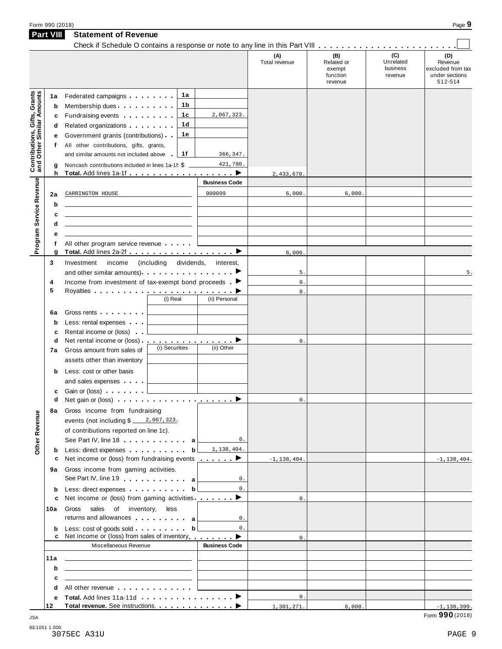|                                                                  |                                                                                                                       |                      | (A)<br>Total revenue | (B)<br>Related or<br>exempt<br>function<br>revenue | (C)<br>Unrelated<br>business<br>revenue | (D)<br>Revenue<br>excluded from tax<br>under sections<br>512-514 |
|------------------------------------------------------------------|-----------------------------------------------------------------------------------------------------------------------|----------------------|----------------------|----------------------------------------------------|-----------------------------------------|------------------------------------------------------------------|
| <b>Contributions, Gifts, Grants</b><br>and Other Similar Amounts | 1а<br>Federated campaigns <b>Federated</b><br>1a                                                                      |                      |                      |                                                    |                                         |                                                                  |
|                                                                  | 1b<br>Membership dues<br>b                                                                                            |                      |                      |                                                    |                                         |                                                                  |
|                                                                  | 1c<br>Fundraising events <b>Fundraising</b><br>с                                                                      | 2,067,323.           |                      |                                                    |                                         |                                                                  |
|                                                                  | 1d<br>Related organizations <b>contains</b><br>d                                                                      |                      |                      |                                                    |                                         |                                                                  |
|                                                                  | 1e<br>Government grants (contributions)<br>е                                                                          |                      |                      |                                                    |                                         |                                                                  |
|                                                                  | All other contributions, gifts, grants,<br>f                                                                          |                      |                      |                                                    |                                         |                                                                  |
|                                                                  | 1f<br>and similar amounts not included above<br>in a                                                                  | 366,347.             |                      |                                                    |                                         |                                                                  |
|                                                                  | Noncash contributions included in lines 1a-1f: \$<br>g                                                                | 421,780.             |                      |                                                    |                                         |                                                                  |
|                                                                  | h                                                                                                                     | <b>Business Code</b> | 2,433,670.           |                                                    |                                         |                                                                  |
| Program Service Revenue                                          | CARRINGTON HOUSE                                                                                                      | 900099               | 6,000.               | 6,000.                                             |                                         |                                                                  |
|                                                                  | 2a<br>b                                                                                                               |                      |                      |                                                    |                                         |                                                                  |
|                                                                  | c                                                                                                                     |                      |                      |                                                    |                                         |                                                                  |
|                                                                  | d                                                                                                                     |                      |                      |                                                    |                                         |                                                                  |
|                                                                  | е                                                                                                                     |                      |                      |                                                    |                                         |                                                                  |
|                                                                  | All other program service revenue<br>f                                                                                |                      |                      |                                                    |                                         |                                                                  |
|                                                                  | Total. Add lines 2a-2f ▶<br>g                                                                                         |                      | 6,000                |                                                    |                                         |                                                                  |
| 3                                                                | Investment<br>income<br>(including dividends,                                                                         | interest,            |                      |                                                    |                                         |                                                                  |
|                                                                  | and other similar amounts) $\qquad \qquad$ $\qquad \qquad$ $\qquad \qquad$                                            |                      | 5.                   |                                                    |                                         | 5.                                                               |
| 4                                                                | Income from investment of tax-exempt bond proceeds $\blacksquare$                                                     |                      | $\mathbf 0$ .        |                                                    |                                         |                                                                  |
| 5                                                                |                                                                                                                       |                      | $\mathbf{0}$ .       |                                                    |                                         |                                                                  |
|                                                                  | (i) Real                                                                                                              | (ii) Personal        |                      |                                                    |                                         |                                                                  |
|                                                                  | Gross rents <b>Container and Street Street Street Street</b><br>6а                                                    |                      |                      |                                                    |                                         |                                                                  |
|                                                                  | Less: rental expenses<br>$\mathbf b$                                                                                  |                      |                      |                                                    |                                         |                                                                  |
|                                                                  | Rental income or (loss)<br>c<br>Net rental income or (loss) ▶                                                         |                      |                      |                                                    |                                         |                                                                  |
|                                                                  | d<br>(i) Securities<br>Gross amount from sales of<br>7а                                                               | (ii) Other           | 0.                   |                                                    |                                         |                                                                  |
|                                                                  | assets other than inventory                                                                                           |                      |                      |                                                    |                                         |                                                                  |
|                                                                  | Less: cost or other basis                                                                                             |                      |                      |                                                    |                                         |                                                                  |
|                                                                  | b<br>and sales expenses                                                                                               |                      |                      |                                                    |                                         |                                                                  |
|                                                                  | Gain or (loss)<br>c                                                                                                   |                      |                      |                                                    |                                         |                                                                  |
|                                                                  | d                                                                                                                     |                      | 0.                   |                                                    |                                         |                                                                  |
|                                                                  | 8a Gross income from fundraising                                                                                      |                      |                      |                                                    |                                         |                                                                  |
| Other Revenue                                                    | events (not including $\frac{2}{10}$ , 067, 323.                                                                      |                      |                      |                                                    |                                         |                                                                  |
|                                                                  | of contributions reported on line 1c).                                                                                |                      |                      |                                                    |                                         |                                                                  |
|                                                                  | See Part IV, line 18 a                                                                                                | $0$ .                |                      |                                                    |                                         |                                                                  |
|                                                                  | Less: direct expenses b<br>b                                                                                          | 1,138,404.           |                      |                                                    |                                         |                                                                  |
|                                                                  | Net income or (loss) from fundraising events <u></u> ▶<br>c                                                           |                      | $-1, 138, 404.$      |                                                    |                                         | $-1,138,404.$                                                    |
|                                                                  | Gross income from gaming activities.<br>9а                                                                            |                      |                      |                                                    |                                         |                                                                  |
|                                                                  | See Part IV, line 19 a                                                                                                | 0.                   |                      |                                                    |                                         |                                                                  |
|                                                                  | Less: direct expenses b<br>b                                                                                          | $0$ .                |                      |                                                    |                                         |                                                                  |
|                                                                  | Net income or (loss) from gaming activities ________ ▶<br>c                                                           |                      | 0.                   |                                                    |                                         |                                                                  |
| 10a                                                              | sales of inventory,<br>Gross<br>less<br>returns and allowances and allowances                                         | 0.                   |                      |                                                    |                                         |                                                                  |
|                                                                  | b                                                                                                                     | $\mathsf{0}$ .       |                      |                                                    |                                         |                                                                  |
|                                                                  | Net income or (loss) from sales of inventory ▶<br>c                                                                   |                      | 0.                   |                                                    |                                         |                                                                  |
|                                                                  | Miscellaneous Revenue                                                                                                 | <b>Business Code</b> |                      |                                                    |                                         |                                                                  |
| 11a                                                              | <u> 1989 - John Harry Harry Harry Harry Harry Harry Harry Harry Harry Harry Harry Harry Harry Harry Harry Harry H</u> |                      |                      |                                                    |                                         |                                                                  |
|                                                                  | b<br>the contract of the contract of the contract of the contract of the contract of                                  |                      |                      |                                                    |                                         |                                                                  |
|                                                                  | c<br>the control of the control of the control of the control of the control of the control of                        |                      |                      |                                                    |                                         |                                                                  |
|                                                                  | All other revenue entitled and a series of the series of the series of the series of the series of the series<br>d    |                      |                      |                                                    |                                         |                                                                  |
|                                                                  | е                                                                                                                     |                      | $0$ .                |                                                    |                                         |                                                                  |
| 12                                                               |                                                                                                                       |                      | 1,301,271.           | 6,000.                                             |                                         | $-1, 138, 399.$                                                  |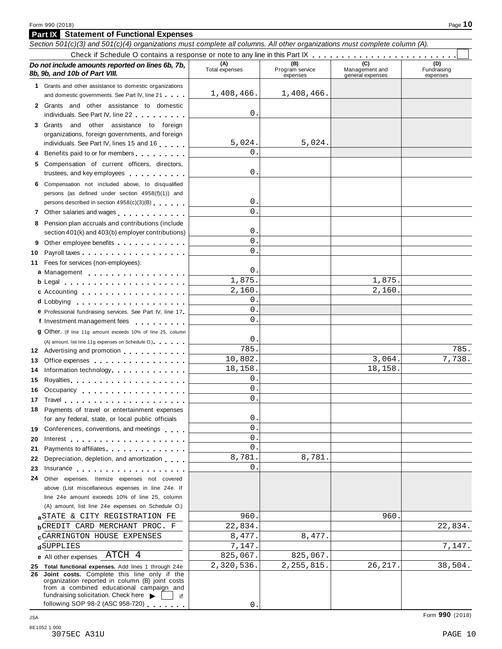|    | <b>Part IX</b> Statement of Functional Expenses                                                                                                                                                                                |                       |                                    |                                    |                                |  |  |  |
|----|--------------------------------------------------------------------------------------------------------------------------------------------------------------------------------------------------------------------------------|-----------------------|------------------------------------|------------------------------------|--------------------------------|--|--|--|
|    | Section 501(c)(3) and 501(c)(4) organizations must complete all columns. All other organizations must complete column (A).                                                                                                     |                       |                                    |                                    |                                |  |  |  |
|    |                                                                                                                                                                                                                                |                       |                                    |                                    |                                |  |  |  |
|    | Do not include amounts reported on lines 6b, 7b,<br>8b, 9b, and 10b of Part VIII.                                                                                                                                              | (A)<br>Total expenses | (B)<br>Program service<br>expenses | Management and<br>general expenses | (D)<br>Fundraising<br>expenses |  |  |  |
|    | 1 Grants and other assistance to domestic organizations                                                                                                                                                                        |                       |                                    |                                    |                                |  |  |  |
|    | and domestic governments. See Part IV, line 21                                                                                                                                                                                 | 1,408,466.            | 1,408,466.                         |                                    |                                |  |  |  |
|    | 2 Grants and other assistance to domestic                                                                                                                                                                                      |                       |                                    |                                    |                                |  |  |  |
|    | individuals. See Part IV, line 22                                                                                                                                                                                              | 0                     |                                    |                                    |                                |  |  |  |
|    | 3 Grants and other assistance to foreign                                                                                                                                                                                       |                       |                                    |                                    |                                |  |  |  |
|    | organizations, foreign governments, and foreign                                                                                                                                                                                |                       |                                    |                                    |                                |  |  |  |
|    | individuals. See Part IV, lines 15 and 16                                                                                                                                                                                      | 5,024.                | 5,024.                             |                                    |                                |  |  |  |
|    | 4 Benefits paid to or for members                                                                                                                                                                                              | $\Omega$              |                                    |                                    |                                |  |  |  |
|    | 5 Compensation of current officers, directors,                                                                                                                                                                                 |                       |                                    |                                    |                                |  |  |  |
|    | trustees, and key employees                                                                                                                                                                                                    | 0                     |                                    |                                    |                                |  |  |  |
|    | 6 Compensation not included above, to disqualified                                                                                                                                                                             |                       |                                    |                                    |                                |  |  |  |
|    | persons (as defined under section 4958(f)(1)) and                                                                                                                                                                              |                       |                                    |                                    |                                |  |  |  |
|    | persons described in section 4958(c)(3)(B)                                                                                                                                                                                     | 0                     |                                    |                                    |                                |  |  |  |
|    | 7 Other salaries and wages                                                                                                                                                                                                     | $\Omega$              |                                    |                                    |                                |  |  |  |
|    | 8 Pension plan accruals and contributions (include                                                                                                                                                                             |                       |                                    |                                    |                                |  |  |  |
|    | section 401(k) and 403(b) employer contributions)                                                                                                                                                                              | 0                     |                                    |                                    |                                |  |  |  |
|    |                                                                                                                                                                                                                                | $\Omega$              |                                    |                                    |                                |  |  |  |
| 10 |                                                                                                                                                                                                                                | $\Omega$              |                                    |                                    |                                |  |  |  |
| 11 | Fees for services (non-employees):                                                                                                                                                                                             |                       |                                    |                                    |                                |  |  |  |
|    | a Management                                                                                                                                                                                                                   | 0                     |                                    |                                    |                                |  |  |  |
|    | b Legal experience in the set of the set of the set of the set of the set of the set of the set of the set of the set of the set of the set of the set of the set of the set of the set of the set of the set of the set of th | 1,875.                |                                    | 1,875.                             |                                |  |  |  |
|    | c Accounting                                                                                                                                                                                                                   | 2,160.                |                                    | 2,160.                             |                                |  |  |  |
|    |                                                                                                                                                                                                                                | 0                     |                                    |                                    |                                |  |  |  |
|    | e Professional fundraising services. See Part IV, line 17                                                                                                                                                                      | 0                     |                                    |                                    |                                |  |  |  |
|    | f Investment management fees                                                                                                                                                                                                   | $\Omega$              |                                    |                                    |                                |  |  |  |
|    | <b>g</b> Other. (If line 11g amount exceeds 10% of line 25, column                                                                                                                                                             |                       |                                    |                                    |                                |  |  |  |
|    | (A) amount, list line 11g expenses on Schedule O.)                                                                                                                                                                             | 0                     |                                    |                                    |                                |  |  |  |
|    | 12 Advertising and promotion                                                                                                                                                                                                   | 785                   |                                    |                                    | 785.                           |  |  |  |
| 13 | Office expenses example and the set of the set of the set of the set of the set of the set of the set of the set of the set of the set of the set of the set of the set of the set of the set of the set of the set of the set | 10,802.               |                                    | 3,064.                             | 7,738.                         |  |  |  |
| 14 | Information technology experience and the state of the state of the state of the state of the state of the state of the state of the state of the state of the state of the state of the state of the state of the state of th | 18,158.               |                                    | 18,158.                            |                                |  |  |  |
| 15 | Royalties <b>Royalties Royalties Royalties Royalties Royalties Royalties Royalties Royalties Royalties Royalties Royalties Royalties Royalties Royalties Royalties Royalties Royalties Royalti</b>                             | 0                     |                                    |                                    |                                |  |  |  |
| 16 | Occupancy                                                                                                                                                                                                                      | 0                     |                                    |                                    |                                |  |  |  |
|    |                                                                                                                                                                                                                                | 0                     |                                    |                                    |                                |  |  |  |
|    | 18 Payments of travel or entertainment expenses                                                                                                                                                                                |                       |                                    |                                    |                                |  |  |  |
|    | for any federal, state, or local public officials                                                                                                                                                                              | 0                     |                                    |                                    |                                |  |  |  |
| 19 | Conferences, conventions, and meetings                                                                                                                                                                                         | 0                     |                                    |                                    |                                |  |  |  |
| 20 |                                                                                                                                                                                                                                | 0                     |                                    |                                    |                                |  |  |  |
| 21 | Payments to affiliates experience and the property of the set of the set of the set of the set of the set of the                                                                                                               | 0                     |                                    |                                    |                                |  |  |  |
| 22 | Depreciation, depletion, and amortization                                                                                                                                                                                      | 8,781.<br>0           | 8,781.                             |                                    |                                |  |  |  |
| 23 | Insurance experience and the set of the set of the set of the set of the set of the set of the set of the set o                                                                                                                |                       |                                    |                                    |                                |  |  |  |
| 24 | Other expenses. Itemize expenses not covered                                                                                                                                                                                   |                       |                                    |                                    |                                |  |  |  |
|    | above (List miscellaneous expenses in line 24e. If                                                                                                                                                                             |                       |                                    |                                    |                                |  |  |  |
|    | line 24e amount exceeds 10% of line 25, column                                                                                                                                                                                 |                       |                                    |                                    |                                |  |  |  |
|    | (A) amount, list line 24e expenses on Schedule O.)                                                                                                                                                                             | 960.                  |                                    | 960.                               |                                |  |  |  |
|    | aSTATE & CITY REGISTRATION FE                                                                                                                                                                                                  | 22,834.               |                                    |                                    | 22,834.                        |  |  |  |
|    | <b>b</b> CREDIT CARD MERCHANT PROC. F<br><b>CCARRINGTON HOUSE EXPENSES</b>                                                                                                                                                     | 8,477.                | 8,477.                             |                                    |                                |  |  |  |
|    | dSUPPLIES                                                                                                                                                                                                                      | 7,147.                |                                    |                                    | 7,147.                         |  |  |  |
|    | e All other expenses ATCH 4                                                                                                                                                                                                    | 825,067.              | 825,067.                           |                                    |                                |  |  |  |
|    | 25 Total functional expenses. Add lines 1 through 24e                                                                                                                                                                          | 2,320,536.            | 2, 255, 815.                       | 26,217.                            | 38,504.                        |  |  |  |
|    | 26 Joint costs. Complete this line only if the<br>organization reported in column (B) joint costs                                                                                                                              |                       |                                    |                                    |                                |  |  |  |
|    | from a combined educational campaign and                                                                                                                                                                                       |                       |                                    |                                    |                                |  |  |  |

0.

fundraising solicitation. Check here  $\blacktriangleright$   $\Box$  if following SOP 98-2 (ASC 958-720)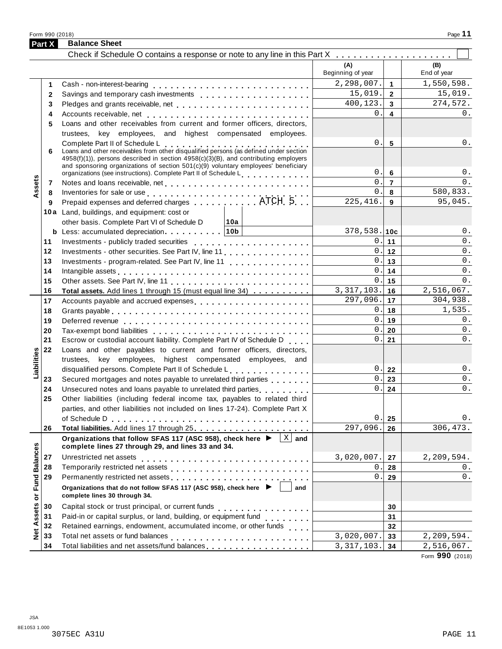Form <sup>990</sup> (2018) Page **11**

|                             | <b>Part X</b> | <b>Balance Sheet</b>                                                                                                                                                                                                                                                              |                          |                         |                    |
|-----------------------------|---------------|-----------------------------------------------------------------------------------------------------------------------------------------------------------------------------------------------------------------------------------------------------------------------------------|--------------------------|-------------------------|--------------------|
|                             |               |                                                                                                                                                                                                                                                                                   |                          |                         |                    |
|                             |               |                                                                                                                                                                                                                                                                                   | (A)<br>Beginning of year |                         | (B)<br>End of year |
|                             | 1             |                                                                                                                                                                                                                                                                                   | 2, 298, 007.             | $\overline{1}$          | 1,550,598.         |
|                             | $\mathbf{2}$  |                                                                                                                                                                                                                                                                                   | 15,019.                  | $\overline{2}$          | 15,019.            |
|                             | 3             | Pledges and grants receivable, net enterpresent resources and grants receivable, net enterpresent resources                                                                                                                                                                       | 400,123.                 | $\overline{\mathbf{3}}$ | 274,572.           |
|                             | 4             |                                                                                                                                                                                                                                                                                   | 0.1                      | 4                       | 0.                 |
|                             | 5             | Loans and other receivables from current and former officers, directors,                                                                                                                                                                                                          |                          |                         |                    |
|                             |               | trustees, key employees, and highest compensated employees.                                                                                                                                                                                                                       |                          |                         |                    |
|                             |               | Complete Part II of Schedule L<br>Loans and other receivables from other disqualified persons (as defined under section                                                                                                                                                           | 0.                       | $5\overline{5}$         | 0.                 |
|                             | 6             | $4958(f)(1)$ , persons described in section $4958(c)(3)(B)$ , and contributing employers<br>and sponsoring organizations of section $501(c)(9)$ voluntary employees' beneficiary<br>organizations (see instructions). Complete Part II of Schedule Learning and Learning Material | 0.1                      | 6                       | 0.                 |
| ssets                       | 7             |                                                                                                                                                                                                                                                                                   | 0.                       | $\overline{7}$          | 0.                 |
|                             | 8             |                                                                                                                                                                                                                                                                                   | 0.1                      | 8                       | 580,833.           |
|                             | 9             | Inventories for sale or use<br>Prepaid expenses and deferred charges<br>$\dots\dots\dots\dots$ . ATCH 5                                                                                                                                                                           | 225, 416.                | 9                       | 95,045.            |
|                             |               | 10a Land, buildings, and equipment: cost or                                                                                                                                                                                                                                       |                          |                         |                    |
|                             |               | other basis. Complete Part VI of Schedule D<br>∣10a                                                                                                                                                                                                                               |                          |                         |                    |
|                             |               | <b>b</b> Less: accumulated depreciation   10b                                                                                                                                                                                                                                     | $378,538.$ 10c           |                         | 0.                 |
|                             | 11            | Investments - publicly traded securities                                                                                                                                                                                                                                          |                          | 0.111                   | 0.                 |
|                             | 12            | Investments - other securities. See Part IV, line 11                                                                                                                                                                                                                              |                          | $0$ .   12              | 0.                 |
|                             | 13            | Investments - program-related. See Part IV, line 11                                                                                                                                                                                                                               |                          | $0$ .   13              | 0.                 |
|                             | 14            |                                                                                                                                                                                                                                                                                   | 0.1                      | 14                      | 0.                 |
|                             | 15            |                                                                                                                                                                                                                                                                                   |                          | 0.115                   | $0$ .              |
|                             | 16            | Total assets. Add lines 1 through 15 (must equal line 34)                                                                                                                                                                                                                         | 3, 317, 103.             | 16                      | 2,516,067.         |
|                             | 17            | Accounts payable and accrued expenses                                                                                                                                                                                                                                             | 297,096.                 | 17                      | 304,938.           |
|                             | 18            |                                                                                                                                                                                                                                                                                   |                          | 0.118                   | 1,535.             |
|                             | 19            |                                                                                                                                                                                                                                                                                   | 0.1                      | 19                      | 0.                 |
|                             | 20            |                                                                                                                                                                                                                                                                                   | 0.                       | 20                      | $0$ .              |
|                             | 21            | Escrow or custodial account liability. Complete Part IV of Schedule D                                                                                                                                                                                                             | 0.1                      | 21                      | $0$ .              |
|                             | 22            | Loans and other payables to current and former officers, directors,                                                                                                                                                                                                               |                          |                         |                    |
| Liabilities                 |               | trustees, key employees, highest compensated employees, and                                                                                                                                                                                                                       |                          |                         |                    |
|                             |               | disqualified persons. Complete Part II of Schedule L.                                                                                                                                                                                                                             |                          | 0.22                    | 0.                 |
|                             | 23            | Secured mortgages and notes payable to unrelated third parties                                                                                                                                                                                                                    | $0$ .                    | 23                      | 0.                 |
|                             | 24            | Unsecured notes and loans payable to unrelated third parties [1, 1, 1, 1, 1, 1]                                                                                                                                                                                                   | $0$ .                    | 24                      | 0.                 |
|                             | 25            | Other liabilities (including federal income tax, payables to related third                                                                                                                                                                                                        |                          |                         |                    |
|                             |               | parties, and other liabilities not included on lines 17-24). Complete Part X                                                                                                                                                                                                      |                          |                         |                    |
|                             |               |                                                                                                                                                                                                                                                                                   | 0.                       | 25                      | 0.                 |
|                             | 26            |                                                                                                                                                                                                                                                                                   | 297,096.                 | 26                      | 306, 473.          |
|                             |               | $ X $ and<br>Organizations that follow SFAS 117 (ASC 958), check here ▶<br>complete lines 27 through 29, and lines 33 and 34.                                                                                                                                                     |                          |                         |                    |
|                             | 27            | Unrestricted net assets                                                                                                                                                                                                                                                           | 3,020,007.               | 27                      | 2,209,594.         |
|                             | 28            |                                                                                                                                                                                                                                                                                   | 0.                       | 28                      | 0.                 |
| Net Assets or Fund Balances | 29            |                                                                                                                                                                                                                                                                                   | 0.                       | 29                      | 0.                 |
|                             |               | Organizations that do not follow SFAS 117 (ASC 958), check here $\blacktriangleright$<br>and<br>complete lines 30 through 34.                                                                                                                                                     |                          |                         |                    |
|                             | 30            |                                                                                                                                                                                                                                                                                   |                          | 30                      |                    |
|                             | 31            | Paid-in or capital surplus, or land, building, or equipment fund<br>                                                                                                                                                                                                              |                          | 31                      |                    |
|                             | 32            | Retained earnings, endowment, accumulated income, or other funds                                                                                                                                                                                                                  |                          | 32                      |                    |
|                             | 33            |                                                                                                                                                                                                                                                                                   | 3,020,007.               | 33                      | 2,209,594.         |
|                             | 34            |                                                                                                                                                                                                                                                                                   | 3, 317, 103.             | 34                      | 2,516,067.         |
|                             |               |                                                                                                                                                                                                                                                                                   |                          |                         |                    |

Form **990** (2018)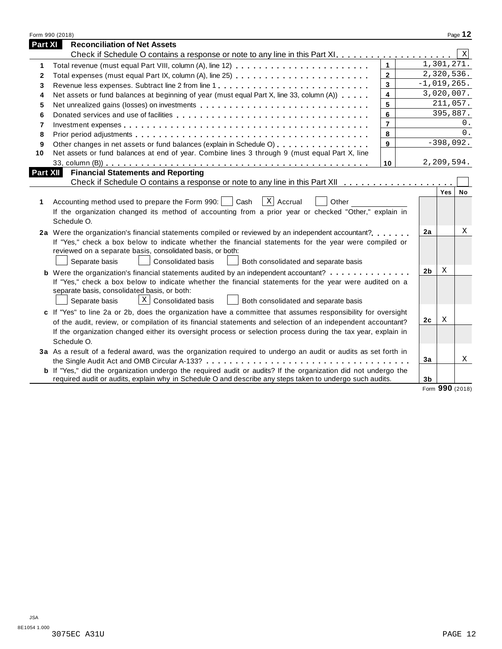|              | Form 990 (2018)                                                                                                       |                         |                |                 | Page 12 |
|--------------|-----------------------------------------------------------------------------------------------------------------------|-------------------------|----------------|-----------------|---------|
| Part XI      | <b>Reconciliation of Net Assets</b>                                                                                   |                         |                |                 |         |
|              |                                                                                                                       |                         |                |                 | X       |
| 1            |                                                                                                                       | $\mathbf{1}$            |                | 1,301,271.      |         |
| $\mathbf{2}$ |                                                                                                                       | $\mathbf{2}$            |                | 2,320,536.      |         |
| 3            | Revenue less expenses. Subtract line 2 from line 1                                                                    | $\overline{\mathbf{3}}$ |                | $-1,019,265.$   |         |
| 4            | Net assets or fund balances at beginning of year (must equal Part X, line 33, column (A))                             | $\overline{\mathbf{4}}$ |                | 3,020,007.      |         |
| 5            | Net unrealized gains (losses) on investments                                                                          | 5                       |                | 211,057.        |         |
| 6            |                                                                                                                       | 6                       |                | 395,887.        |         |
| 7            |                                                                                                                       | $\overline{7}$          |                |                 | 0.      |
| 8            |                                                                                                                       | 8                       |                |                 | $0$ .   |
| 9            | Other changes in net assets or fund balances (explain in Schedule O)                                                  | 9                       |                | $-398,092.$     |         |
| 10           | Net assets or fund balances at end of year. Combine lines 3 through 9 (must equal Part X, line                        |                         |                |                 |         |
|              |                                                                                                                       | 10                      |                | 2,209,594.      |         |
| Part XII     | <b>Financial Statements and Reporting</b>                                                                             |                         |                |                 |         |
|              |                                                                                                                       |                         |                |                 |         |
|              |                                                                                                                       |                         |                | Yes             | No      |
| 1            | X Accrual<br>Accounting method used to prepare the Form 990:  <br>Cash<br>Other                                       |                         |                |                 |         |
|              | If the organization changed its method of accounting from a prior year or checked "Other," explain in                 |                         |                |                 |         |
|              | Schedule O.                                                                                                           |                         |                |                 |         |
|              | 2a Were the organization's financial statements compiled or reviewed by an independent accountant?                    |                         | 2a             |                 | X       |
|              | If "Yes," check a box below to indicate whether the financial statements for the year were compiled or                |                         |                |                 |         |
|              | reviewed on a separate basis, consolidated basis, or both:                                                            |                         |                |                 |         |
|              | Separate basis<br>Consolidated basis<br>Both consolidated and separate basis                                          |                         |                |                 |         |
|              | <b>b</b> Were the organization's financial statements audited by an independent accountant?                           |                         | 2 <sub>b</sub> | X               |         |
|              | If "Yes," check a box below to indicate whether the financial statements for the year were audited on a               |                         |                |                 |         |
|              | separate basis, consolidated basis, or both:                                                                          |                         |                |                 |         |
|              | $X \mid$ Consolidated basis<br>Both consolidated and separate basis<br>Separate basis                                 |                         |                |                 |         |
|              | c If "Yes" to line 2a or 2b, does the organization have a committee that assumes responsibility for oversight         |                         |                |                 |         |
|              | of the audit, review, or compilation of its financial statements and selection of an independent accountant?          |                         | 2 <sub>c</sub> | Χ               |         |
|              | If the organization changed either its oversight process or selection process during the tax year, explain in         |                         |                |                 |         |
|              | Schedule O.                                                                                                           |                         |                |                 |         |
|              | 3a As a result of a federal award, was the organization required to undergo an audit or audits as set forth in        |                         |                |                 |         |
|              |                                                                                                                       |                         | 3a             |                 | Χ       |
|              | <b>b</b> If "Yes," did the organization undergo the required audit or audits? If the organization did not undergo the |                         |                |                 |         |
|              | required audit or audits, explain why in Schedule O and describe any steps taken to undergo such audits.              |                         | 3 <sub>b</sub> |                 |         |
|              |                                                                                                                       |                         |                | Form 990 (2018) |         |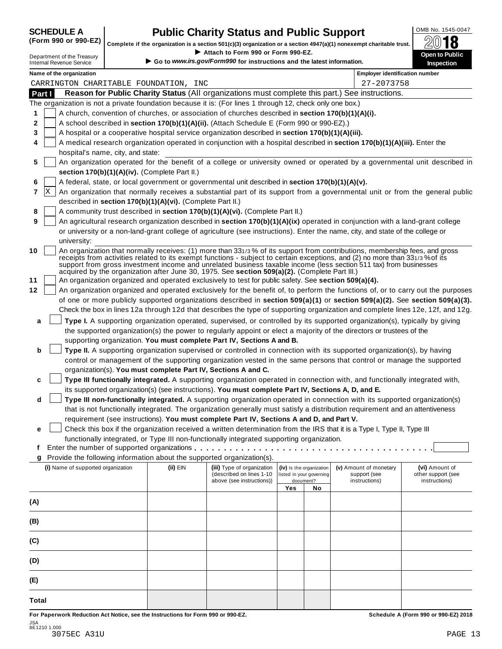| <b>SCHEDULE A</b>             |  |  |  |  |  |
|-------------------------------|--|--|--|--|--|
| $\sqrt{2}$ and and $\sqrt{2}$ |  |  |  |  |  |

## **CHEDULE A Public Charity Status and Public Support**  $\frac{\text{OMB No. 1545-0047}}{\text{OMB}}$

(Form 990 or 990-EZ) complete if the organization is a section 501(c)(3) organization or a section 4947(a)(1) nonexempt charitable trust.  $2018$ 

|                                                                                                           |   |                                                               |  |                                                            | Attach to Form 990 or Form 990-EZ.                                                                        |     |                                                      | Complete if the organization is a section 501(c)(3) organization or a section $4947(a)(1)$ nonexempt charitable trust.         | ZW IO                                                                                                                            |  |  |
|-----------------------------------------------------------------------------------------------------------|---|---------------------------------------------------------------|--|------------------------------------------------------------|-----------------------------------------------------------------------------------------------------------|-----|------------------------------------------------------|--------------------------------------------------------------------------------------------------------------------------------|----------------------------------------------------------------------------------------------------------------------------------|--|--|
|                                                                                                           |   | Department of the Treasury<br><b>Internal Revenue Service</b> |  |                                                            | Go to www.irs.gov/Form990 for instructions and the latest information.                                    |     |                                                      |                                                                                                                                | Open to Public<br>Inspection                                                                                                     |  |  |
| Name of the organization                                                                                  |   |                                                               |  |                                                            |                                                                                                           |     |                                                      |                                                                                                                                | <b>Employer identification number</b>                                                                                            |  |  |
| CARRINGTON CHARITABLE FOUNDATION, INC                                                                     |   |                                                               |  | 27-2073758                                                 |                                                                                                           |     |                                                      |                                                                                                                                |                                                                                                                                  |  |  |
| Reason for Public Charity Status (All organizations must complete this part.) See instructions.<br>Part I |   |                                                               |  |                                                            |                                                                                                           |     |                                                      |                                                                                                                                |                                                                                                                                  |  |  |
|                                                                                                           |   |                                                               |  |                                                            | The organization is not a private foundation because it is: (For lines 1 through 12, check only one box.) |     |                                                      |                                                                                                                                |                                                                                                                                  |  |  |
| 1                                                                                                         |   |                                                               |  |                                                            | A church, convention of churches, or association of churches described in section 170(b)(1)(A)(i).        |     |                                                      |                                                                                                                                |                                                                                                                                  |  |  |
| 2                                                                                                         |   |                                                               |  |                                                            | A school described in section 170(b)(1)(A)(ii). (Attach Schedule E (Form 990 or 990-EZ).)                 |     |                                                      |                                                                                                                                |                                                                                                                                  |  |  |
| 3                                                                                                         |   |                                                               |  |                                                            | A hospital or a cooperative hospital service organization described in section 170(b)(1)(A)(iii).         |     |                                                      |                                                                                                                                |                                                                                                                                  |  |  |
| 4                                                                                                         |   |                                                               |  |                                                            |                                                                                                           |     |                                                      | A medical research organization operated in conjunction with a hospital described in section 170(b)(1)(A)(iii). Enter the      |                                                                                                                                  |  |  |
|                                                                                                           |   | hospital's name, city, and state:                             |  |                                                            |                                                                                                           |     |                                                      |                                                                                                                                |                                                                                                                                  |  |  |
| 5                                                                                                         |   |                                                               |  |                                                            |                                                                                                           |     |                                                      |                                                                                                                                | An organization operated for the benefit of a college or university owned or operated by a governmental unit described in        |  |  |
|                                                                                                           |   |                                                               |  | section 170(b)(1)(A)(iv). (Complete Part II.)              |                                                                                                           |     |                                                      |                                                                                                                                |                                                                                                                                  |  |  |
| 6                                                                                                         |   |                                                               |  |                                                            | A federal, state, or local government or governmental unit described in section 170(b)(1)(A)(v).          |     |                                                      |                                                                                                                                |                                                                                                                                  |  |  |
| 7                                                                                                         | X |                                                               |  |                                                            |                                                                                                           |     |                                                      |                                                                                                                                | An organization that normally receives a substantial part of its support from a governmental unit or from the general public     |  |  |
|                                                                                                           |   |                                                               |  | described in section 170(b)(1)(A)(vi). (Complete Part II.) |                                                                                                           |     |                                                      |                                                                                                                                |                                                                                                                                  |  |  |
| 8                                                                                                         |   |                                                               |  |                                                            | A community trust described in section 170(b)(1)(A)(vi). (Complete Part II.)                              |     |                                                      |                                                                                                                                |                                                                                                                                  |  |  |
| 9                                                                                                         |   |                                                               |  |                                                            |                                                                                                           |     |                                                      | An agricultural research organization described in section 170(b)(1)(A)(ix) operated in conjunction with a land-grant college  |                                                                                                                                  |  |  |
|                                                                                                           |   |                                                               |  |                                                            |                                                                                                           |     |                                                      | or university or a non-land-grant college of agriculture (see instructions). Enter the name, city, and state of the college or |                                                                                                                                  |  |  |
|                                                                                                           |   | university:                                                   |  |                                                            |                                                                                                           |     |                                                      |                                                                                                                                |                                                                                                                                  |  |  |
| 10                                                                                                        |   |                                                               |  |                                                            |                                                                                                           |     |                                                      | An organization that normally receives: (1) more than 331/3% of its support from contributions, membership fees, and gross     |                                                                                                                                  |  |  |
|                                                                                                           |   |                                                               |  |                                                            |                                                                                                           |     |                                                      | receipts from activities related to its exempt functions - subject to certain exceptions, and (2) no more than 331/3% of its   |                                                                                                                                  |  |  |
|                                                                                                           |   |                                                               |  |                                                            | acquired by the organization after June 30, 1975. See section 509(a)(2). (Complete Part III.)             |     |                                                      | support from gross investment income and unrelated business taxable income (less section 511 tax) from businesses              |                                                                                                                                  |  |  |
| 11                                                                                                        |   |                                                               |  |                                                            | An organization organized and operated exclusively to test for public safety. See section 509(a)(4).      |     |                                                      |                                                                                                                                |                                                                                                                                  |  |  |
| 12                                                                                                        |   |                                                               |  |                                                            |                                                                                                           |     |                                                      |                                                                                                                                | An organization organized and operated exclusively for the benefit of, to perform the functions of, or to carry out the purposes |  |  |
|                                                                                                           |   |                                                               |  |                                                            |                                                                                                           |     |                                                      |                                                                                                                                | of one or more publicly supported organizations described in section 509(a)(1) or section 509(a)(2). See section 509(a)(3).      |  |  |
|                                                                                                           |   |                                                               |  |                                                            |                                                                                                           |     |                                                      |                                                                                                                                | Check the box in lines 12a through 12d that describes the type of supporting organization and complete lines 12e, 12f, and 12g.  |  |  |
| a                                                                                                         |   |                                                               |  |                                                            |                                                                                                           |     |                                                      | Type I. A supporting organization operated, supervised, or controlled by its supported organization(s), typically by giving    |                                                                                                                                  |  |  |
|                                                                                                           |   |                                                               |  |                                                            |                                                                                                           |     |                                                      | the supported organization(s) the power to regularly appoint or elect a majority of the directors or trustees of the           |                                                                                                                                  |  |  |
|                                                                                                           |   |                                                               |  |                                                            | supporting organization. You must complete Part IV, Sections A and B.                                     |     |                                                      |                                                                                                                                |                                                                                                                                  |  |  |
| b                                                                                                         |   |                                                               |  |                                                            |                                                                                                           |     |                                                      | Type II. A supporting organization supervised or controlled in connection with its supported organization(s), by having        |                                                                                                                                  |  |  |
|                                                                                                           |   |                                                               |  |                                                            |                                                                                                           |     |                                                      | control or management of the supporting organization vested in the same persons that control or manage the supported           |                                                                                                                                  |  |  |
|                                                                                                           |   |                                                               |  |                                                            | organization(s). You must complete Part IV, Sections A and C.                                             |     |                                                      |                                                                                                                                |                                                                                                                                  |  |  |
| c                                                                                                         |   |                                                               |  |                                                            |                                                                                                           |     |                                                      | Type III functionally integrated. A supporting organization operated in connection with, and functionally integrated with,     |                                                                                                                                  |  |  |
|                                                                                                           |   |                                                               |  |                                                            | its supported organization(s) (see instructions). You must complete Part IV, Sections A, D, and E.        |     |                                                      |                                                                                                                                |                                                                                                                                  |  |  |
| d                                                                                                         |   |                                                               |  |                                                            |                                                                                                           |     |                                                      | Type III non-functionally integrated. A supporting organization operated in connection with its supported organization(s)      |                                                                                                                                  |  |  |
|                                                                                                           |   |                                                               |  |                                                            |                                                                                                           |     |                                                      | that is not functionally integrated. The organization generally must satisfy a distribution requirement and an attentiveness   |                                                                                                                                  |  |  |
|                                                                                                           |   |                                                               |  |                                                            | requirement (see instructions). You must complete Part IV, Sections A and D, and Part V.                  |     |                                                      |                                                                                                                                |                                                                                                                                  |  |  |
| е                                                                                                         |   |                                                               |  |                                                            |                                                                                                           |     |                                                      | Check this box if the organization received a written determination from the IRS that it is a Type I, Type II, Type III        |                                                                                                                                  |  |  |
|                                                                                                           |   |                                                               |  |                                                            | functionally integrated, or Type III non-functionally integrated supporting organization.                 |     |                                                      |                                                                                                                                |                                                                                                                                  |  |  |
| t                                                                                                         |   |                                                               |  |                                                            |                                                                                                           |     |                                                      |                                                                                                                                |                                                                                                                                  |  |  |
| g                                                                                                         |   |                                                               |  |                                                            | Provide the following information about the supported organization(s).                                    |     |                                                      |                                                                                                                                |                                                                                                                                  |  |  |
|                                                                                                           |   | (i) Name of supported organization                            |  | (ii) EIN                                                   | (iii) Type of organization<br>(described on lines 1-10                                                    |     | (iv) Is the organization<br>listed in your governing | (v) Amount of monetary                                                                                                         | (vi) Amount of                                                                                                                   |  |  |
|                                                                                                           |   |                                                               |  |                                                            | above (see instructions))                                                                                 |     | document?                                            | support (see<br>instructions)                                                                                                  | other support (see<br>instructions)                                                                                              |  |  |
|                                                                                                           |   |                                                               |  |                                                            |                                                                                                           | Yes | No                                                   |                                                                                                                                |                                                                                                                                  |  |  |
| (A)                                                                                                       |   |                                                               |  |                                                            |                                                                                                           |     |                                                      |                                                                                                                                |                                                                                                                                  |  |  |
|                                                                                                           |   |                                                               |  |                                                            |                                                                                                           |     |                                                      |                                                                                                                                |                                                                                                                                  |  |  |
| (B)                                                                                                       |   |                                                               |  |                                                            |                                                                                                           |     |                                                      |                                                                                                                                |                                                                                                                                  |  |  |
|                                                                                                           |   |                                                               |  |                                                            |                                                                                                           |     |                                                      |                                                                                                                                |                                                                                                                                  |  |  |
| (C)                                                                                                       |   |                                                               |  |                                                            |                                                                                                           |     |                                                      |                                                                                                                                |                                                                                                                                  |  |  |
| (D)                                                                                                       |   |                                                               |  |                                                            |                                                                                                           |     |                                                      |                                                                                                                                |                                                                                                                                  |  |  |
|                                                                                                           |   |                                                               |  |                                                            |                                                                                                           |     |                                                      |                                                                                                                                |                                                                                                                                  |  |  |
| (E)                                                                                                       |   |                                                               |  |                                                            |                                                                                                           |     |                                                      |                                                                                                                                |                                                                                                                                  |  |  |
| Total                                                                                                     |   |                                                               |  |                                                            |                                                                                                           |     |                                                      |                                                                                                                                |                                                                                                                                  |  |  |

For Paperwork Reduction Act Notice, see the Instructions for Form 990 or 990-EZ. Schedule A (Form 990 or 990-EZ) 2018 JSA 8E1210 1.000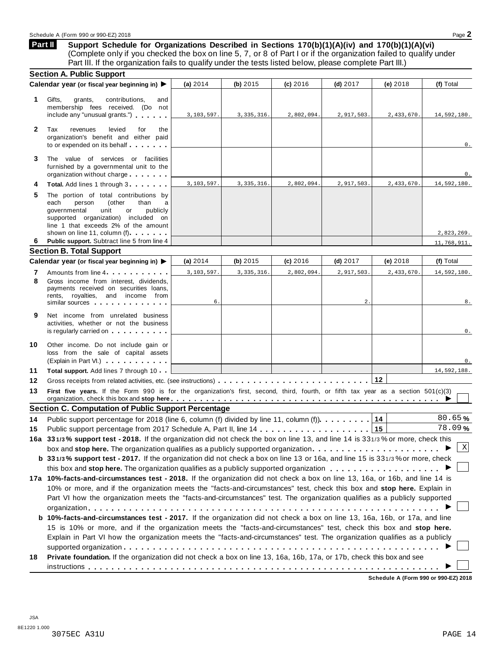**Support Schedule for Organizations Described in Sections 170(b)(1)(A)(iv) and 170(b)(1)(A)(vi)** (Complete only if you checked the box on line 5, 7, or 8 of Part I or if the organization failed to qualify under Part III. If the organization fails to qualify under the tests listed below, please complete Part III.) **Part II**

| <b>Section A. Public Support</b>                                                                                                                                                                                                                                                                                |                                                                                                                                                                 |              |                                                            |                  |                                                                                                              |                                                                                                                                                                                                                                                                                                                                                                                                                                                                                                                                                                                                                                                                                                                                                                                                                                                                                                                                                                                                                                                                                                                                                                                                                                                                                                                                                                                                                                                                                                                                                                       |
|-----------------------------------------------------------------------------------------------------------------------------------------------------------------------------------------------------------------------------------------------------------------------------------------------------------------|-----------------------------------------------------------------------------------------------------------------------------------------------------------------|--------------|------------------------------------------------------------|------------------|--------------------------------------------------------------------------------------------------------------|-----------------------------------------------------------------------------------------------------------------------------------------------------------------------------------------------------------------------------------------------------------------------------------------------------------------------------------------------------------------------------------------------------------------------------------------------------------------------------------------------------------------------------------------------------------------------------------------------------------------------------------------------------------------------------------------------------------------------------------------------------------------------------------------------------------------------------------------------------------------------------------------------------------------------------------------------------------------------------------------------------------------------------------------------------------------------------------------------------------------------------------------------------------------------------------------------------------------------------------------------------------------------------------------------------------------------------------------------------------------------------------------------------------------------------------------------------------------------------------------------------------------------------------------------------------------------|
|                                                                                                                                                                                                                                                                                                                 | (a) $2014$                                                                                                                                                      | (b) $2015$   | (c) 2016                                                   | $(d)$ 2017       | (e) 2018                                                                                                     | (f) Total                                                                                                                                                                                                                                                                                                                                                                                                                                                                                                                                                                                                                                                                                                                                                                                                                                                                                                                                                                                                                                                                                                                                                                                                                                                                                                                                                                                                                                                                                                                                                             |
| Gifts,<br>grants,<br>contributions,<br>and<br>membership fees received. (Do not<br>include any "unusual grants.")                                                                                                                                                                                               | 3,103,597.                                                                                                                                                      | 3, 335, 316. | 2,802,094.                                                 | 2,917,503.       | 2,433,670.                                                                                                   | 14,592,180.                                                                                                                                                                                                                                                                                                                                                                                                                                                                                                                                                                                                                                                                                                                                                                                                                                                                                                                                                                                                                                                                                                                                                                                                                                                                                                                                                                                                                                                                                                                                                           |
| Tax<br>revenues<br>levied<br>for<br>the<br>organization's benefit and either paid<br>to or expended on its behalf                                                                                                                                                                                               |                                                                                                                                                                 |              |                                                            |                  |                                                                                                              | 0.                                                                                                                                                                                                                                                                                                                                                                                                                                                                                                                                                                                                                                                                                                                                                                                                                                                                                                                                                                                                                                                                                                                                                                                                                                                                                                                                                                                                                                                                                                                                                                    |
| The value of services or facilities<br>furnished by a governmental unit to the<br>organization without charge                                                                                                                                                                                                   |                                                                                                                                                                 |              |                                                            |                  |                                                                                                              | 0.                                                                                                                                                                                                                                                                                                                                                                                                                                                                                                                                                                                                                                                                                                                                                                                                                                                                                                                                                                                                                                                                                                                                                                                                                                                                                                                                                                                                                                                                                                                                                                    |
| Total. Add lines 1 through 3.                                                                                                                                                                                                                                                                                   | 3,103,597.                                                                                                                                                      | 3, 335, 316. | 2,802,094.                                                 | 2,917,503.       | 2,433,670.                                                                                                   | 14,592,180.                                                                                                                                                                                                                                                                                                                                                                                                                                                                                                                                                                                                                                                                                                                                                                                                                                                                                                                                                                                                                                                                                                                                                                                                                                                                                                                                                                                                                                                                                                                                                           |
| The portion of total contributions by<br>(other<br>than<br>each<br>person<br>a<br>governmental<br>unit<br>publicly<br>or<br>supported organization) included on<br>line 1 that exceeds 2% of the amount                                                                                                         |                                                                                                                                                                 |              |                                                            |                  |                                                                                                              | 2,823,269.                                                                                                                                                                                                                                                                                                                                                                                                                                                                                                                                                                                                                                                                                                                                                                                                                                                                                                                                                                                                                                                                                                                                                                                                                                                                                                                                                                                                                                                                                                                                                            |
| Public support. Subtract line 5 from line 4                                                                                                                                                                                                                                                                     |                                                                                                                                                                 |              |                                                            |                  |                                                                                                              | 11,768,911.                                                                                                                                                                                                                                                                                                                                                                                                                                                                                                                                                                                                                                                                                                                                                                                                                                                                                                                                                                                                                                                                                                                                                                                                                                                                                                                                                                                                                                                                                                                                                           |
|                                                                                                                                                                                                                                                                                                                 |                                                                                                                                                                 |              |                                                            |                  |                                                                                                              |                                                                                                                                                                                                                                                                                                                                                                                                                                                                                                                                                                                                                                                                                                                                                                                                                                                                                                                                                                                                                                                                                                                                                                                                                                                                                                                                                                                                                                                                                                                                                                       |
|                                                                                                                                                                                                                                                                                                                 | (a) $2014$                                                                                                                                                      | (b) $2015$   | (c) 2016                                                   | $(d)$ 2017       | (e) 2018                                                                                                     | (f) Total                                                                                                                                                                                                                                                                                                                                                                                                                                                                                                                                                                                                                                                                                                                                                                                                                                                                                                                                                                                                                                                                                                                                                                                                                                                                                                                                                                                                                                                                                                                                                             |
| Amounts from line 4                                                                                                                                                                                                                                                                                             | 3,103,597.                                                                                                                                                      | 3, 335, 316. | 2,802,094                                                  | 2,917,503        | 2,433,670                                                                                                    | 14,592,180.                                                                                                                                                                                                                                                                                                                                                                                                                                                                                                                                                                                                                                                                                                                                                                                                                                                                                                                                                                                                                                                                                                                                                                                                                                                                                                                                                                                                                                                                                                                                                           |
| Gross income from interest, dividends,<br>payments received on securities loans,<br>rents, royalties, and income from<br>similar sources experiences                                                                                                                                                            | 6.                                                                                                                                                              |              |                                                            | $\overline{2}$ . |                                                                                                              | 8.                                                                                                                                                                                                                                                                                                                                                                                                                                                                                                                                                                                                                                                                                                                                                                                                                                                                                                                                                                                                                                                                                                                                                                                                                                                                                                                                                                                                                                                                                                                                                                    |
| Net income from unrelated business<br>activities, whether or not the business<br>is regularly carried on the control of the state of the state of the state of the state of the state of the state of the state of the state of the state of the state of the state of the state of the state of the state of t |                                                                                                                                                                 |              |                                                            |                  |                                                                                                              | 0.                                                                                                                                                                                                                                                                                                                                                                                                                                                                                                                                                                                                                                                                                                                                                                                                                                                                                                                                                                                                                                                                                                                                                                                                                                                                                                                                                                                                                                                                                                                                                                    |
| Other income. Do not include gain or<br>loss from the sale of capital assets<br>(Explain in Part VI.)                                                                                                                                                                                                           |                                                                                                                                                                 |              |                                                            |                  |                                                                                                              | 0.                                                                                                                                                                                                                                                                                                                                                                                                                                                                                                                                                                                                                                                                                                                                                                                                                                                                                                                                                                                                                                                                                                                                                                                                                                                                                                                                                                                                                                                                                                                                                                    |
| Total support. Add lines 7 through 10                                                                                                                                                                                                                                                                           |                                                                                                                                                                 |              |                                                            |                  |                                                                                                              | 14,592,188.                                                                                                                                                                                                                                                                                                                                                                                                                                                                                                                                                                                                                                                                                                                                                                                                                                                                                                                                                                                                                                                                                                                                                                                                                                                                                                                                                                                                                                                                                                                                                           |
|                                                                                                                                                                                                                                                                                                                 |                                                                                                                                                                 |              |                                                            |                  |                                                                                                              |                                                                                                                                                                                                                                                                                                                                                                                                                                                                                                                                                                                                                                                                                                                                                                                                                                                                                                                                                                                                                                                                                                                                                                                                                                                                                                                                                                                                                                                                                                                                                                       |
|                                                                                                                                                                                                                                                                                                                 |                                                                                                                                                                 |              |                                                            |                  |                                                                                                              |                                                                                                                                                                                                                                                                                                                                                                                                                                                                                                                                                                                                                                                                                                                                                                                                                                                                                                                                                                                                                                                                                                                                                                                                                                                                                                                                                                                                                                                                                                                                                                       |
|                                                                                                                                                                                                                                                                                                                 |                                                                                                                                                                 |              |                                                            |                  |                                                                                                              |                                                                                                                                                                                                                                                                                                                                                                                                                                                                                                                                                                                                                                                                                                                                                                                                                                                                                                                                                                                                                                                                                                                                                                                                                                                                                                                                                                                                                                                                                                                                                                       |
|                                                                                                                                                                                                                                                                                                                 |                                                                                                                                                                 |              |                                                            |                  |                                                                                                              | 80.65%                                                                                                                                                                                                                                                                                                                                                                                                                                                                                                                                                                                                                                                                                                                                                                                                                                                                                                                                                                                                                                                                                                                                                                                                                                                                                                                                                                                                                                                                                                                                                                |
|                                                                                                                                                                                                                                                                                                                 |                                                                                                                                                                 |              |                                                            |                  |                                                                                                              | 78.09%                                                                                                                                                                                                                                                                                                                                                                                                                                                                                                                                                                                                                                                                                                                                                                                                                                                                                                                                                                                                                                                                                                                                                                                                                                                                                                                                                                                                                                                                                                                                                                |
|                                                                                                                                                                                                                                                                                                                 |                                                                                                                                                                 |              |                                                            |                  |                                                                                                              |                                                                                                                                                                                                                                                                                                                                                                                                                                                                                                                                                                                                                                                                                                                                                                                                                                                                                                                                                                                                                                                                                                                                                                                                                                                                                                                                                                                                                                                                                                                                                                       |
|                                                                                                                                                                                                                                                                                                                 |                                                                                                                                                                 |              |                                                            |                  |                                                                                                              | X                                                                                                                                                                                                                                                                                                                                                                                                                                                                                                                                                                                                                                                                                                                                                                                                                                                                                                                                                                                                                                                                                                                                                                                                                                                                                                                                                                                                                                                                                                                                                                     |
|                                                                                                                                                                                                                                                                                                                 |                                                                                                                                                                 |              |                                                            |                  |                                                                                                              |                                                                                                                                                                                                                                                                                                                                                                                                                                                                                                                                                                                                                                                                                                                                                                                                                                                                                                                                                                                                                                                                                                                                                                                                                                                                                                                                                                                                                                                                                                                                                                       |
|                                                                                                                                                                                                                                                                                                                 |                                                                                                                                                                 |              |                                                            |                  |                                                                                                              |                                                                                                                                                                                                                                                                                                                                                                                                                                                                                                                                                                                                                                                                                                                                                                                                                                                                                                                                                                                                                                                                                                                                                                                                                                                                                                                                                                                                                                                                                                                                                                       |
|                                                                                                                                                                                                                                                                                                                 |                                                                                                                                                                 |              |                                                            |                  |                                                                                                              |                                                                                                                                                                                                                                                                                                                                                                                                                                                                                                                                                                                                                                                                                                                                                                                                                                                                                                                                                                                                                                                                                                                                                                                                                                                                                                                                                                                                                                                                                                                                                                       |
|                                                                                                                                                                                                                                                                                                                 |                                                                                                                                                                 |              |                                                            |                  |                                                                                                              |                                                                                                                                                                                                                                                                                                                                                                                                                                                                                                                                                                                                                                                                                                                                                                                                                                                                                                                                                                                                                                                                                                                                                                                                                                                                                                                                                                                                                                                                                                                                                                       |
|                                                                                                                                                                                                                                                                                                                 |                                                                                                                                                                 |              |                                                            |                  |                                                                                                              |                                                                                                                                                                                                                                                                                                                                                                                                                                                                                                                                                                                                                                                                                                                                                                                                                                                                                                                                                                                                                                                                                                                                                                                                                                                                                                                                                                                                                                                                                                                                                                       |
|                                                                                                                                                                                                                                                                                                                 |                                                                                                                                                                 |              |                                                            |                  |                                                                                                              |                                                                                                                                                                                                                                                                                                                                                                                                                                                                                                                                                                                                                                                                                                                                                                                                                                                                                                                                                                                                                                                                                                                                                                                                                                                                                                                                                                                                                                                                                                                                                                       |
|                                                                                                                                                                                                                                                                                                                 |                                                                                                                                                                 |              |                                                            |                  |                                                                                                              |                                                                                                                                                                                                                                                                                                                                                                                                                                                                                                                                                                                                                                                                                                                                                                                                                                                                                                                                                                                                                                                                                                                                                                                                                                                                                                                                                                                                                                                                                                                                                                       |
|                                                                                                                                                                                                                                                                                                                 |                                                                                                                                                                 |              |                                                            |                  |                                                                                                              |                                                                                                                                                                                                                                                                                                                                                                                                                                                                                                                                                                                                                                                                                                                                                                                                                                                                                                                                                                                                                                                                                                                                                                                                                                                                                                                                                                                                                                                                                                                                                                       |
|                                                                                                                                                                                                                                                                                                                 |                                                                                                                                                                 |              |                                                            |                  |                                                                                                              |                                                                                                                                                                                                                                                                                                                                                                                                                                                                                                                                                                                                                                                                                                                                                                                                                                                                                                                                                                                                                                                                                                                                                                                                                                                                                                                                                                                                                                                                                                                                                                       |
|                                                                                                                                                                                                                                                                                                                 |                                                                                                                                                                 |              |                                                            |                  |                                                                                                              |                                                                                                                                                                                                                                                                                                                                                                                                                                                                                                                                                                                                                                                                                                                                                                                                                                                                                                                                                                                                                                                                                                                                                                                                                                                                                                                                                                                                                                                                                                                                                                       |
|                                                                                                                                                                                                                                                                                                                 |                                                                                                                                                                 |              |                                                            |                  |                                                                                                              |                                                                                                                                                                                                                                                                                                                                                                                                                                                                                                                                                                                                                                                                                                                                                                                                                                                                                                                                                                                                                                                                                                                                                                                                                                                                                                                                                                                                                                                                                                                                                                       |
|                                                                                                                                                                                                                                                                                                                 |                                                                                                                                                                 |              |                                                            |                  |                                                                                                              |                                                                                                                                                                                                                                                                                                                                                                                                                                                                                                                                                                                                                                                                                                                                                                                                                                                                                                                                                                                                                                                                                                                                                                                                                                                                                                                                                                                                                                                                                                                                                                       |
|                                                                                                                                                                                                                                                                                                                 | Calendar year (or fiscal year beginning in)<br>shown on line 11, column (f)<br><b>Section B. Total Support</b><br>Calendar year (or fiscal year beginning in) ▶ |              | <b>Section C. Computation of Public Support Percentage</b> |                  | Public support percentage for 2018 (line 6, column (f) divided by line 11, column (f) $\ldots \ldots \ldots$ | 12<br>First five years. If the Form 990 is for the organization's first, second, third, fourth, or fifth tax year as a section 501(c)(3)<br>organization, check this box and stop here entitled as a series of the series of the series of the series of the series of $\blacktriangleright$<br>14<br>16a 331/3% support test - 2018. If the organization did not check the box on line 13, and line 14 is 331/3% or more, check this<br>box and stop here. The organization qualifies as a publicly supported organization<br>b 331/3% support test - 2017. If the organization did not check a box on line 13 or 16a, and line 15 is 331/3% or more, check<br>17a 10%-facts-and-circumstances test - 2018. If the organization did not check a box on line 13, 16a, or 16b, and line 14 is<br>10% or more, and if the organization meets the "facts-and-circumstances" test, check this box and stop here. Explain in<br>Part VI how the organization meets the "facts-and-circumstances" test. The organization qualifies as a publicly supported<br><b>b 10%-facts-and-circumstances test - 2017.</b> If the organization did not check a box on line 13, 16a, 16b, or 17a, and line<br>15 is 10% or more, and if the organization meets the "facts-and-circumstances" test, check this box and stop here.<br>Explain in Part VI how the organization meets the "facts-and-circumstances" test. The organization qualifies as a publicly<br>Private foundation. If the organization did not check a box on line 13, 16a, 16b, 17a, or 17b, check this box and see |

**Schedule A (Form 990 or 990-EZ) 2018**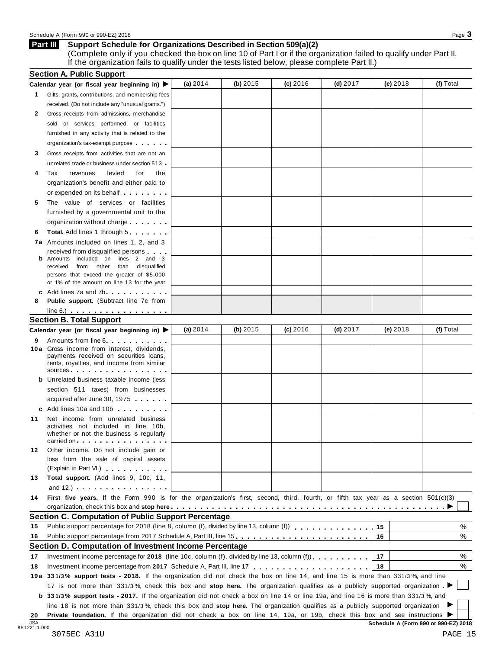## Schedule <sup>A</sup> (Form <sup>990</sup> or 990-EZ) <sup>2018</sup> Page **3**

#### **Support Schedule for Organizations Described in Section 509(a)(2) Part III**

(Complete only if you checked the box on line 10 of Part I or if the organization failed to qualify under Part II. If the organization fails to qualify under the tests listed below, please complete Part II.)

| 1 Gifts, grants, contributions, and membership fees<br>received. (Do not include any "unusual grants.")<br>Gross receipts from admissions, merchandise<br>sold or services performed, or facilities<br>furnished in any activity that is related to the<br>organization's tax-exempt purpose<br>Gross receipts from activities that are not an<br>unrelated trade or business under section 513 -<br>Tax<br>revenues<br>levied<br>for<br>the<br>organization's benefit and either paid to<br>or expended on its behalf <b>contained</b> by the set of the set of the set of the set of the set of the set of the set of the set of the set of the set of the set of the set of the set of the set of the set of the set of the s<br>The value of services or facilities<br>furnished by a governmental unit to the<br>organization without charge<br><b>Total.</b> Add lines 1 through 5<br>7a Amounts included on lines 1, 2, and 3<br>received from disqualified persons<br>Amounts included on lines 2 and 3<br>received from other than disqualified<br>persons that exceed the greater of \$5,000<br>or 1% of the amount on line 13 for the year<br>c Add lines $7a$ and $7b$<br><b>Public support.</b> (Subtract line 7c from<br>$line 6.)$ $\ldots$ $\ldots$ $\ldots$ $\ldots$ $\ldots$<br><b>Section B. Total Support</b><br>(a) $2014$<br>(b) 2015<br>$(c)$ 2016<br>(d) $2017$<br>$(e)$ 2018<br>(f) Total<br>Calendar year (or fiscal year beginning in) ▶<br>Amounts from line 6.<br>9<br>10a Gross income from interest, dividends,<br>payments received on securities loans,<br>rents, royalties, and income from similar<br>$sources$<br><b>b</b> Unrelated business taxable income (less<br>section 511 taxes) from businesses<br>acquired after June 30, 1975<br>c Add lines 10a and 10b<br>Net income from unrelated business<br>activities not included in line 10b,<br>whether or not the business is regularly<br>carried on each contract to the carried on<br>Other income. Do not include gain or<br>12<br>loss from the sale of capital assets<br>(Explain in Part VI.) <b>All Accords</b><br>Total support. (Add lines 9, 10c, 11,<br>and $12.$ ) $\cdots$ $\cdots$ $\cdots$ $\cdots$ $\cdots$<br>First five years. If the Form 990 is for the organization's first, second, third, fourth, or fifth tax year as a section 501(c)(3)<br><b>Section C. Computation of Public Support Percentage</b><br>Public support percentage for 2018 (line 8, column (f), divided by line 13, column (f) [1] [1] $\ldots$ [1] $\ldots$ [1] $\ldots$ [1] $\ldots$ [1] $\ldots$ [1] $\ldots$ [1] $\ldots$ [1] $\ldots$ [1] $\ldots$ [1] $\ldots$ [1] $\ldots$ [1] $\ldots$ [1] $\ldots$ [<br>15<br>Public support percentage from 2017 Schedule A, Part III, line 15.<br>16<br>Section D. Computation of Investment Income Percentage<br>%<br>17<br>Investment income percentage for 2018 (line 10c, column (f), divided by line 13, column (f)), $\ldots$ , , , , , , ,<br>%<br>18<br>18<br>19a 331/3% support tests - 2018. If the organization did not check the box on line 14, and line 15 is more than 331/3%, and line<br>17 is not more than 331/3%, check this box and stop here. The organization qualifies as a publicly supported organization<br><b>b</b> 331/3% support tests - 2017. If the organization did not check a box on line 14 or line 19a, and line 16 is more than 331/3%, and<br>line 18 is not more than 331/3%, check this box and stop here. The organization qualifies as a publicly supported organization<br>Private foundation. If the organization did not check a box on line 14, 19a, or 19b, check this box and see instructions ▶ |                  | Calendar year (or fiscal year beginning in) $\blacktriangleright$ | (a) 2014 | (b) $2015$ | (c) 2016 | $(d)$ 2017 | (e) 2018 | (f) Total |
|------------------------------------------------------------------------------------------------------------------------------------------------------------------------------------------------------------------------------------------------------------------------------------------------------------------------------------------------------------------------------------------------------------------------------------------------------------------------------------------------------------------------------------------------------------------------------------------------------------------------------------------------------------------------------------------------------------------------------------------------------------------------------------------------------------------------------------------------------------------------------------------------------------------------------------------------------------------------------------------------------------------------------------------------------------------------------------------------------------------------------------------------------------------------------------------------------------------------------------------------------------------------------------------------------------------------------------------------------------------------------------------------------------------------------------------------------------------------------------------------------------------------------------------------------------------------------------------------------------------------------------------------------------------------------------------------------------------------------------------------------------------------------------------------------------------------------------------------------------------------------------------------------------------------------------------------------------------------------------------------------------------------------------------------------------------------------------------------------------------------------------------------------------------------------------------------------------------------------------------------------------------------------------------------------------------------------------------------------------------------------------------------------------------------------------------------------------------------------------------------------------------------------------------------------------------------------------------------------------------------------------------------------------------------------------------------------------------------------------------------------------------------------------------------------------------------------------------------------------------------------------------------------------------------------------------------------------------------------------------------------------------------------------------------------------------------------------------------------------------------------------------------------------------------------------------------------------------------------------------------------------------------------------------------------------------------------------------------------------------------------------------------------------------------------------------------------------------------------------------------------------------------------------------------------------------------------------------------------------------------------------------------------------------------------------|------------------|-------------------------------------------------------------------|----------|------------|----------|------------|----------|-----------|
|                                                                                                                                                                                                                                                                                                                                                                                                                                                                                                                                                                                                                                                                                                                                                                                                                                                                                                                                                                                                                                                                                                                                                                                                                                                                                                                                                                                                                                                                                                                                                                                                                                                                                                                                                                                                                                                                                                                                                                                                                                                                                                                                                                                                                                                                                                                                                                                                                                                                                                                                                                                                                                                                                                                                                                                                                                                                                                                                                                                                                                                                                                                                                                                                                                                                                                                                                                                                                                                                                                                                                                                                                                                                                    |                  |                                                                   |          |            |          |            |          |           |
|                                                                                                                                                                                                                                                                                                                                                                                                                                                                                                                                                                                                                                                                                                                                                                                                                                                                                                                                                                                                                                                                                                                                                                                                                                                                                                                                                                                                                                                                                                                                                                                                                                                                                                                                                                                                                                                                                                                                                                                                                                                                                                                                                                                                                                                                                                                                                                                                                                                                                                                                                                                                                                                                                                                                                                                                                                                                                                                                                                                                                                                                                                                                                                                                                                                                                                                                                                                                                                                                                                                                                                                                                                                                                    |                  |                                                                   |          |            |          |            |          |           |
|                                                                                                                                                                                                                                                                                                                                                                                                                                                                                                                                                                                                                                                                                                                                                                                                                                                                                                                                                                                                                                                                                                                                                                                                                                                                                                                                                                                                                                                                                                                                                                                                                                                                                                                                                                                                                                                                                                                                                                                                                                                                                                                                                                                                                                                                                                                                                                                                                                                                                                                                                                                                                                                                                                                                                                                                                                                                                                                                                                                                                                                                                                                                                                                                                                                                                                                                                                                                                                                                                                                                                                                                                                                                                    | 2                |                                                                   |          |            |          |            |          |           |
|                                                                                                                                                                                                                                                                                                                                                                                                                                                                                                                                                                                                                                                                                                                                                                                                                                                                                                                                                                                                                                                                                                                                                                                                                                                                                                                                                                                                                                                                                                                                                                                                                                                                                                                                                                                                                                                                                                                                                                                                                                                                                                                                                                                                                                                                                                                                                                                                                                                                                                                                                                                                                                                                                                                                                                                                                                                                                                                                                                                                                                                                                                                                                                                                                                                                                                                                                                                                                                                                                                                                                                                                                                                                                    |                  |                                                                   |          |            |          |            |          |           |
|                                                                                                                                                                                                                                                                                                                                                                                                                                                                                                                                                                                                                                                                                                                                                                                                                                                                                                                                                                                                                                                                                                                                                                                                                                                                                                                                                                                                                                                                                                                                                                                                                                                                                                                                                                                                                                                                                                                                                                                                                                                                                                                                                                                                                                                                                                                                                                                                                                                                                                                                                                                                                                                                                                                                                                                                                                                                                                                                                                                                                                                                                                                                                                                                                                                                                                                                                                                                                                                                                                                                                                                                                                                                                    |                  |                                                                   |          |            |          |            |          |           |
|                                                                                                                                                                                                                                                                                                                                                                                                                                                                                                                                                                                                                                                                                                                                                                                                                                                                                                                                                                                                                                                                                                                                                                                                                                                                                                                                                                                                                                                                                                                                                                                                                                                                                                                                                                                                                                                                                                                                                                                                                                                                                                                                                                                                                                                                                                                                                                                                                                                                                                                                                                                                                                                                                                                                                                                                                                                                                                                                                                                                                                                                                                                                                                                                                                                                                                                                                                                                                                                                                                                                                                                                                                                                                    |                  |                                                                   |          |            |          |            |          |           |
|                                                                                                                                                                                                                                                                                                                                                                                                                                                                                                                                                                                                                                                                                                                                                                                                                                                                                                                                                                                                                                                                                                                                                                                                                                                                                                                                                                                                                                                                                                                                                                                                                                                                                                                                                                                                                                                                                                                                                                                                                                                                                                                                                                                                                                                                                                                                                                                                                                                                                                                                                                                                                                                                                                                                                                                                                                                                                                                                                                                                                                                                                                                                                                                                                                                                                                                                                                                                                                                                                                                                                                                                                                                                                    | 3                |                                                                   |          |            |          |            |          |           |
|                                                                                                                                                                                                                                                                                                                                                                                                                                                                                                                                                                                                                                                                                                                                                                                                                                                                                                                                                                                                                                                                                                                                                                                                                                                                                                                                                                                                                                                                                                                                                                                                                                                                                                                                                                                                                                                                                                                                                                                                                                                                                                                                                                                                                                                                                                                                                                                                                                                                                                                                                                                                                                                                                                                                                                                                                                                                                                                                                                                                                                                                                                                                                                                                                                                                                                                                                                                                                                                                                                                                                                                                                                                                                    |                  |                                                                   |          |            |          |            |          |           |
|                                                                                                                                                                                                                                                                                                                                                                                                                                                                                                                                                                                                                                                                                                                                                                                                                                                                                                                                                                                                                                                                                                                                                                                                                                                                                                                                                                                                                                                                                                                                                                                                                                                                                                                                                                                                                                                                                                                                                                                                                                                                                                                                                                                                                                                                                                                                                                                                                                                                                                                                                                                                                                                                                                                                                                                                                                                                                                                                                                                                                                                                                                                                                                                                                                                                                                                                                                                                                                                                                                                                                                                                                                                                                    | 4                |                                                                   |          |            |          |            |          |           |
|                                                                                                                                                                                                                                                                                                                                                                                                                                                                                                                                                                                                                                                                                                                                                                                                                                                                                                                                                                                                                                                                                                                                                                                                                                                                                                                                                                                                                                                                                                                                                                                                                                                                                                                                                                                                                                                                                                                                                                                                                                                                                                                                                                                                                                                                                                                                                                                                                                                                                                                                                                                                                                                                                                                                                                                                                                                                                                                                                                                                                                                                                                                                                                                                                                                                                                                                                                                                                                                                                                                                                                                                                                                                                    |                  |                                                                   |          |            |          |            |          |           |
|                                                                                                                                                                                                                                                                                                                                                                                                                                                                                                                                                                                                                                                                                                                                                                                                                                                                                                                                                                                                                                                                                                                                                                                                                                                                                                                                                                                                                                                                                                                                                                                                                                                                                                                                                                                                                                                                                                                                                                                                                                                                                                                                                                                                                                                                                                                                                                                                                                                                                                                                                                                                                                                                                                                                                                                                                                                                                                                                                                                                                                                                                                                                                                                                                                                                                                                                                                                                                                                                                                                                                                                                                                                                                    |                  |                                                                   |          |            |          |            |          |           |
|                                                                                                                                                                                                                                                                                                                                                                                                                                                                                                                                                                                                                                                                                                                                                                                                                                                                                                                                                                                                                                                                                                                                                                                                                                                                                                                                                                                                                                                                                                                                                                                                                                                                                                                                                                                                                                                                                                                                                                                                                                                                                                                                                                                                                                                                                                                                                                                                                                                                                                                                                                                                                                                                                                                                                                                                                                                                                                                                                                                                                                                                                                                                                                                                                                                                                                                                                                                                                                                                                                                                                                                                                                                                                    | 5                |                                                                   |          |            |          |            |          |           |
|                                                                                                                                                                                                                                                                                                                                                                                                                                                                                                                                                                                                                                                                                                                                                                                                                                                                                                                                                                                                                                                                                                                                                                                                                                                                                                                                                                                                                                                                                                                                                                                                                                                                                                                                                                                                                                                                                                                                                                                                                                                                                                                                                                                                                                                                                                                                                                                                                                                                                                                                                                                                                                                                                                                                                                                                                                                                                                                                                                                                                                                                                                                                                                                                                                                                                                                                                                                                                                                                                                                                                                                                                                                                                    |                  |                                                                   |          |            |          |            |          |           |
|                                                                                                                                                                                                                                                                                                                                                                                                                                                                                                                                                                                                                                                                                                                                                                                                                                                                                                                                                                                                                                                                                                                                                                                                                                                                                                                                                                                                                                                                                                                                                                                                                                                                                                                                                                                                                                                                                                                                                                                                                                                                                                                                                                                                                                                                                                                                                                                                                                                                                                                                                                                                                                                                                                                                                                                                                                                                                                                                                                                                                                                                                                                                                                                                                                                                                                                                                                                                                                                                                                                                                                                                                                                                                    |                  |                                                                   |          |            |          |            |          |           |
|                                                                                                                                                                                                                                                                                                                                                                                                                                                                                                                                                                                                                                                                                                                                                                                                                                                                                                                                                                                                                                                                                                                                                                                                                                                                                                                                                                                                                                                                                                                                                                                                                                                                                                                                                                                                                                                                                                                                                                                                                                                                                                                                                                                                                                                                                                                                                                                                                                                                                                                                                                                                                                                                                                                                                                                                                                                                                                                                                                                                                                                                                                                                                                                                                                                                                                                                                                                                                                                                                                                                                                                                                                                                                    | 6                |                                                                   |          |            |          |            |          |           |
|                                                                                                                                                                                                                                                                                                                                                                                                                                                                                                                                                                                                                                                                                                                                                                                                                                                                                                                                                                                                                                                                                                                                                                                                                                                                                                                                                                                                                                                                                                                                                                                                                                                                                                                                                                                                                                                                                                                                                                                                                                                                                                                                                                                                                                                                                                                                                                                                                                                                                                                                                                                                                                                                                                                                                                                                                                                                                                                                                                                                                                                                                                                                                                                                                                                                                                                                                                                                                                                                                                                                                                                                                                                                                    |                  |                                                                   |          |            |          |            |          |           |
|                                                                                                                                                                                                                                                                                                                                                                                                                                                                                                                                                                                                                                                                                                                                                                                                                                                                                                                                                                                                                                                                                                                                                                                                                                                                                                                                                                                                                                                                                                                                                                                                                                                                                                                                                                                                                                                                                                                                                                                                                                                                                                                                                                                                                                                                                                                                                                                                                                                                                                                                                                                                                                                                                                                                                                                                                                                                                                                                                                                                                                                                                                                                                                                                                                                                                                                                                                                                                                                                                                                                                                                                                                                                                    |                  |                                                                   |          |            |          |            |          |           |
|                                                                                                                                                                                                                                                                                                                                                                                                                                                                                                                                                                                                                                                                                                                                                                                                                                                                                                                                                                                                                                                                                                                                                                                                                                                                                                                                                                                                                                                                                                                                                                                                                                                                                                                                                                                                                                                                                                                                                                                                                                                                                                                                                                                                                                                                                                                                                                                                                                                                                                                                                                                                                                                                                                                                                                                                                                                                                                                                                                                                                                                                                                                                                                                                                                                                                                                                                                                                                                                                                                                                                                                                                                                                                    |                  |                                                                   |          |            |          |            |          |           |
|                                                                                                                                                                                                                                                                                                                                                                                                                                                                                                                                                                                                                                                                                                                                                                                                                                                                                                                                                                                                                                                                                                                                                                                                                                                                                                                                                                                                                                                                                                                                                                                                                                                                                                                                                                                                                                                                                                                                                                                                                                                                                                                                                                                                                                                                                                                                                                                                                                                                                                                                                                                                                                                                                                                                                                                                                                                                                                                                                                                                                                                                                                                                                                                                                                                                                                                                                                                                                                                                                                                                                                                                                                                                                    |                  |                                                                   |          |            |          |            |          |           |
|                                                                                                                                                                                                                                                                                                                                                                                                                                                                                                                                                                                                                                                                                                                                                                                                                                                                                                                                                                                                                                                                                                                                                                                                                                                                                                                                                                                                                                                                                                                                                                                                                                                                                                                                                                                                                                                                                                                                                                                                                                                                                                                                                                                                                                                                                                                                                                                                                                                                                                                                                                                                                                                                                                                                                                                                                                                                                                                                                                                                                                                                                                                                                                                                                                                                                                                                                                                                                                                                                                                                                                                                                                                                                    |                  |                                                                   |          |            |          |            |          |           |
|                                                                                                                                                                                                                                                                                                                                                                                                                                                                                                                                                                                                                                                                                                                                                                                                                                                                                                                                                                                                                                                                                                                                                                                                                                                                                                                                                                                                                                                                                                                                                                                                                                                                                                                                                                                                                                                                                                                                                                                                                                                                                                                                                                                                                                                                                                                                                                                                                                                                                                                                                                                                                                                                                                                                                                                                                                                                                                                                                                                                                                                                                                                                                                                                                                                                                                                                                                                                                                                                                                                                                                                                                                                                                    |                  |                                                                   |          |            |          |            |          |           |
|                                                                                                                                                                                                                                                                                                                                                                                                                                                                                                                                                                                                                                                                                                                                                                                                                                                                                                                                                                                                                                                                                                                                                                                                                                                                                                                                                                                                                                                                                                                                                                                                                                                                                                                                                                                                                                                                                                                                                                                                                                                                                                                                                                                                                                                                                                                                                                                                                                                                                                                                                                                                                                                                                                                                                                                                                                                                                                                                                                                                                                                                                                                                                                                                                                                                                                                                                                                                                                                                                                                                                                                                                                                                                    | 8                |                                                                   |          |            |          |            |          |           |
|                                                                                                                                                                                                                                                                                                                                                                                                                                                                                                                                                                                                                                                                                                                                                                                                                                                                                                                                                                                                                                                                                                                                                                                                                                                                                                                                                                                                                                                                                                                                                                                                                                                                                                                                                                                                                                                                                                                                                                                                                                                                                                                                                                                                                                                                                                                                                                                                                                                                                                                                                                                                                                                                                                                                                                                                                                                                                                                                                                                                                                                                                                                                                                                                                                                                                                                                                                                                                                                                                                                                                                                                                                                                                    |                  |                                                                   |          |            |          |            |          |           |
|                                                                                                                                                                                                                                                                                                                                                                                                                                                                                                                                                                                                                                                                                                                                                                                                                                                                                                                                                                                                                                                                                                                                                                                                                                                                                                                                                                                                                                                                                                                                                                                                                                                                                                                                                                                                                                                                                                                                                                                                                                                                                                                                                                                                                                                                                                                                                                                                                                                                                                                                                                                                                                                                                                                                                                                                                                                                                                                                                                                                                                                                                                                                                                                                                                                                                                                                                                                                                                                                                                                                                                                                                                                                                    |                  |                                                                   |          |            |          |            |          |           |
|                                                                                                                                                                                                                                                                                                                                                                                                                                                                                                                                                                                                                                                                                                                                                                                                                                                                                                                                                                                                                                                                                                                                                                                                                                                                                                                                                                                                                                                                                                                                                                                                                                                                                                                                                                                                                                                                                                                                                                                                                                                                                                                                                                                                                                                                                                                                                                                                                                                                                                                                                                                                                                                                                                                                                                                                                                                                                                                                                                                                                                                                                                                                                                                                                                                                                                                                                                                                                                                                                                                                                                                                                                                                                    |                  |                                                                   |          |            |          |            |          |           |
|                                                                                                                                                                                                                                                                                                                                                                                                                                                                                                                                                                                                                                                                                                                                                                                                                                                                                                                                                                                                                                                                                                                                                                                                                                                                                                                                                                                                                                                                                                                                                                                                                                                                                                                                                                                                                                                                                                                                                                                                                                                                                                                                                                                                                                                                                                                                                                                                                                                                                                                                                                                                                                                                                                                                                                                                                                                                                                                                                                                                                                                                                                                                                                                                                                                                                                                                                                                                                                                                                                                                                                                                                                                                                    |                  |                                                                   |          |            |          |            |          |           |
|                                                                                                                                                                                                                                                                                                                                                                                                                                                                                                                                                                                                                                                                                                                                                                                                                                                                                                                                                                                                                                                                                                                                                                                                                                                                                                                                                                                                                                                                                                                                                                                                                                                                                                                                                                                                                                                                                                                                                                                                                                                                                                                                                                                                                                                                                                                                                                                                                                                                                                                                                                                                                                                                                                                                                                                                                                                                                                                                                                                                                                                                                                                                                                                                                                                                                                                                                                                                                                                                                                                                                                                                                                                                                    |                  |                                                                   |          |            |          |            |          |           |
|                                                                                                                                                                                                                                                                                                                                                                                                                                                                                                                                                                                                                                                                                                                                                                                                                                                                                                                                                                                                                                                                                                                                                                                                                                                                                                                                                                                                                                                                                                                                                                                                                                                                                                                                                                                                                                                                                                                                                                                                                                                                                                                                                                                                                                                                                                                                                                                                                                                                                                                                                                                                                                                                                                                                                                                                                                                                                                                                                                                                                                                                                                                                                                                                                                                                                                                                                                                                                                                                                                                                                                                                                                                                                    |                  |                                                                   |          |            |          |            |          |           |
|                                                                                                                                                                                                                                                                                                                                                                                                                                                                                                                                                                                                                                                                                                                                                                                                                                                                                                                                                                                                                                                                                                                                                                                                                                                                                                                                                                                                                                                                                                                                                                                                                                                                                                                                                                                                                                                                                                                                                                                                                                                                                                                                                                                                                                                                                                                                                                                                                                                                                                                                                                                                                                                                                                                                                                                                                                                                                                                                                                                                                                                                                                                                                                                                                                                                                                                                                                                                                                                                                                                                                                                                                                                                                    |                  |                                                                   |          |            |          |            |          |           |
|                                                                                                                                                                                                                                                                                                                                                                                                                                                                                                                                                                                                                                                                                                                                                                                                                                                                                                                                                                                                                                                                                                                                                                                                                                                                                                                                                                                                                                                                                                                                                                                                                                                                                                                                                                                                                                                                                                                                                                                                                                                                                                                                                                                                                                                                                                                                                                                                                                                                                                                                                                                                                                                                                                                                                                                                                                                                                                                                                                                                                                                                                                                                                                                                                                                                                                                                                                                                                                                                                                                                                                                                                                                                                    |                  |                                                                   |          |            |          |            |          |           |
|                                                                                                                                                                                                                                                                                                                                                                                                                                                                                                                                                                                                                                                                                                                                                                                                                                                                                                                                                                                                                                                                                                                                                                                                                                                                                                                                                                                                                                                                                                                                                                                                                                                                                                                                                                                                                                                                                                                                                                                                                                                                                                                                                                                                                                                                                                                                                                                                                                                                                                                                                                                                                                                                                                                                                                                                                                                                                                                                                                                                                                                                                                                                                                                                                                                                                                                                                                                                                                                                                                                                                                                                                                                                                    |                  |                                                                   |          |            |          |            |          |           |
|                                                                                                                                                                                                                                                                                                                                                                                                                                                                                                                                                                                                                                                                                                                                                                                                                                                                                                                                                                                                                                                                                                                                                                                                                                                                                                                                                                                                                                                                                                                                                                                                                                                                                                                                                                                                                                                                                                                                                                                                                                                                                                                                                                                                                                                                                                                                                                                                                                                                                                                                                                                                                                                                                                                                                                                                                                                                                                                                                                                                                                                                                                                                                                                                                                                                                                                                                                                                                                                                                                                                                                                                                                                                                    |                  |                                                                   |          |            |          |            |          |           |
|                                                                                                                                                                                                                                                                                                                                                                                                                                                                                                                                                                                                                                                                                                                                                                                                                                                                                                                                                                                                                                                                                                                                                                                                                                                                                                                                                                                                                                                                                                                                                                                                                                                                                                                                                                                                                                                                                                                                                                                                                                                                                                                                                                                                                                                                                                                                                                                                                                                                                                                                                                                                                                                                                                                                                                                                                                                                                                                                                                                                                                                                                                                                                                                                                                                                                                                                                                                                                                                                                                                                                                                                                                                                                    |                  |                                                                   |          |            |          |            |          |           |
|                                                                                                                                                                                                                                                                                                                                                                                                                                                                                                                                                                                                                                                                                                                                                                                                                                                                                                                                                                                                                                                                                                                                                                                                                                                                                                                                                                                                                                                                                                                                                                                                                                                                                                                                                                                                                                                                                                                                                                                                                                                                                                                                                                                                                                                                                                                                                                                                                                                                                                                                                                                                                                                                                                                                                                                                                                                                                                                                                                                                                                                                                                                                                                                                                                                                                                                                                                                                                                                                                                                                                                                                                                                                                    | 11               |                                                                   |          |            |          |            |          |           |
|                                                                                                                                                                                                                                                                                                                                                                                                                                                                                                                                                                                                                                                                                                                                                                                                                                                                                                                                                                                                                                                                                                                                                                                                                                                                                                                                                                                                                                                                                                                                                                                                                                                                                                                                                                                                                                                                                                                                                                                                                                                                                                                                                                                                                                                                                                                                                                                                                                                                                                                                                                                                                                                                                                                                                                                                                                                                                                                                                                                                                                                                                                                                                                                                                                                                                                                                                                                                                                                                                                                                                                                                                                                                                    |                  |                                                                   |          |            |          |            |          |           |
|                                                                                                                                                                                                                                                                                                                                                                                                                                                                                                                                                                                                                                                                                                                                                                                                                                                                                                                                                                                                                                                                                                                                                                                                                                                                                                                                                                                                                                                                                                                                                                                                                                                                                                                                                                                                                                                                                                                                                                                                                                                                                                                                                                                                                                                                                                                                                                                                                                                                                                                                                                                                                                                                                                                                                                                                                                                                                                                                                                                                                                                                                                                                                                                                                                                                                                                                                                                                                                                                                                                                                                                                                                                                                    |                  |                                                                   |          |            |          |            |          |           |
|                                                                                                                                                                                                                                                                                                                                                                                                                                                                                                                                                                                                                                                                                                                                                                                                                                                                                                                                                                                                                                                                                                                                                                                                                                                                                                                                                                                                                                                                                                                                                                                                                                                                                                                                                                                                                                                                                                                                                                                                                                                                                                                                                                                                                                                                                                                                                                                                                                                                                                                                                                                                                                                                                                                                                                                                                                                                                                                                                                                                                                                                                                                                                                                                                                                                                                                                                                                                                                                                                                                                                                                                                                                                                    |                  |                                                                   |          |            |          |            |          |           |
|                                                                                                                                                                                                                                                                                                                                                                                                                                                                                                                                                                                                                                                                                                                                                                                                                                                                                                                                                                                                                                                                                                                                                                                                                                                                                                                                                                                                                                                                                                                                                                                                                                                                                                                                                                                                                                                                                                                                                                                                                                                                                                                                                                                                                                                                                                                                                                                                                                                                                                                                                                                                                                                                                                                                                                                                                                                                                                                                                                                                                                                                                                                                                                                                                                                                                                                                                                                                                                                                                                                                                                                                                                                                                    |                  |                                                                   |          |            |          |            |          |           |
|                                                                                                                                                                                                                                                                                                                                                                                                                                                                                                                                                                                                                                                                                                                                                                                                                                                                                                                                                                                                                                                                                                                                                                                                                                                                                                                                                                                                                                                                                                                                                                                                                                                                                                                                                                                                                                                                                                                                                                                                                                                                                                                                                                                                                                                                                                                                                                                                                                                                                                                                                                                                                                                                                                                                                                                                                                                                                                                                                                                                                                                                                                                                                                                                                                                                                                                                                                                                                                                                                                                                                                                                                                                                                    |                  |                                                                   |          |            |          |            |          |           |
|                                                                                                                                                                                                                                                                                                                                                                                                                                                                                                                                                                                                                                                                                                                                                                                                                                                                                                                                                                                                                                                                                                                                                                                                                                                                                                                                                                                                                                                                                                                                                                                                                                                                                                                                                                                                                                                                                                                                                                                                                                                                                                                                                                                                                                                                                                                                                                                                                                                                                                                                                                                                                                                                                                                                                                                                                                                                                                                                                                                                                                                                                                                                                                                                                                                                                                                                                                                                                                                                                                                                                                                                                                                                                    | 13               |                                                                   |          |            |          |            |          |           |
|                                                                                                                                                                                                                                                                                                                                                                                                                                                                                                                                                                                                                                                                                                                                                                                                                                                                                                                                                                                                                                                                                                                                                                                                                                                                                                                                                                                                                                                                                                                                                                                                                                                                                                                                                                                                                                                                                                                                                                                                                                                                                                                                                                                                                                                                                                                                                                                                                                                                                                                                                                                                                                                                                                                                                                                                                                                                                                                                                                                                                                                                                                                                                                                                                                                                                                                                                                                                                                                                                                                                                                                                                                                                                    |                  |                                                                   |          |            |          |            |          |           |
|                                                                                                                                                                                                                                                                                                                                                                                                                                                                                                                                                                                                                                                                                                                                                                                                                                                                                                                                                                                                                                                                                                                                                                                                                                                                                                                                                                                                                                                                                                                                                                                                                                                                                                                                                                                                                                                                                                                                                                                                                                                                                                                                                                                                                                                                                                                                                                                                                                                                                                                                                                                                                                                                                                                                                                                                                                                                                                                                                                                                                                                                                                                                                                                                                                                                                                                                                                                                                                                                                                                                                                                                                                                                                    | 14               |                                                                   |          |            |          |            |          |           |
|                                                                                                                                                                                                                                                                                                                                                                                                                                                                                                                                                                                                                                                                                                                                                                                                                                                                                                                                                                                                                                                                                                                                                                                                                                                                                                                                                                                                                                                                                                                                                                                                                                                                                                                                                                                                                                                                                                                                                                                                                                                                                                                                                                                                                                                                                                                                                                                                                                                                                                                                                                                                                                                                                                                                                                                                                                                                                                                                                                                                                                                                                                                                                                                                                                                                                                                                                                                                                                                                                                                                                                                                                                                                                    |                  |                                                                   |          |            |          |            |          |           |
|                                                                                                                                                                                                                                                                                                                                                                                                                                                                                                                                                                                                                                                                                                                                                                                                                                                                                                                                                                                                                                                                                                                                                                                                                                                                                                                                                                                                                                                                                                                                                                                                                                                                                                                                                                                                                                                                                                                                                                                                                                                                                                                                                                                                                                                                                                                                                                                                                                                                                                                                                                                                                                                                                                                                                                                                                                                                                                                                                                                                                                                                                                                                                                                                                                                                                                                                                                                                                                                                                                                                                                                                                                                                                    |                  |                                                                   |          |            |          |            |          |           |
|                                                                                                                                                                                                                                                                                                                                                                                                                                                                                                                                                                                                                                                                                                                                                                                                                                                                                                                                                                                                                                                                                                                                                                                                                                                                                                                                                                                                                                                                                                                                                                                                                                                                                                                                                                                                                                                                                                                                                                                                                                                                                                                                                                                                                                                                                                                                                                                                                                                                                                                                                                                                                                                                                                                                                                                                                                                                                                                                                                                                                                                                                                                                                                                                                                                                                                                                                                                                                                                                                                                                                                                                                                                                                    | 15               |                                                                   |          |            |          |            |          | %         |
|                                                                                                                                                                                                                                                                                                                                                                                                                                                                                                                                                                                                                                                                                                                                                                                                                                                                                                                                                                                                                                                                                                                                                                                                                                                                                                                                                                                                                                                                                                                                                                                                                                                                                                                                                                                                                                                                                                                                                                                                                                                                                                                                                                                                                                                                                                                                                                                                                                                                                                                                                                                                                                                                                                                                                                                                                                                                                                                                                                                                                                                                                                                                                                                                                                                                                                                                                                                                                                                                                                                                                                                                                                                                                    | 16               |                                                                   |          |            |          |            |          | %         |
|                                                                                                                                                                                                                                                                                                                                                                                                                                                                                                                                                                                                                                                                                                                                                                                                                                                                                                                                                                                                                                                                                                                                                                                                                                                                                                                                                                                                                                                                                                                                                                                                                                                                                                                                                                                                                                                                                                                                                                                                                                                                                                                                                                                                                                                                                                                                                                                                                                                                                                                                                                                                                                                                                                                                                                                                                                                                                                                                                                                                                                                                                                                                                                                                                                                                                                                                                                                                                                                                                                                                                                                                                                                                                    |                  |                                                                   |          |            |          |            |          |           |
|                                                                                                                                                                                                                                                                                                                                                                                                                                                                                                                                                                                                                                                                                                                                                                                                                                                                                                                                                                                                                                                                                                                                                                                                                                                                                                                                                                                                                                                                                                                                                                                                                                                                                                                                                                                                                                                                                                                                                                                                                                                                                                                                                                                                                                                                                                                                                                                                                                                                                                                                                                                                                                                                                                                                                                                                                                                                                                                                                                                                                                                                                                                                                                                                                                                                                                                                                                                                                                                                                                                                                                                                                                                                                    | 17               |                                                                   |          |            |          |            |          |           |
|                                                                                                                                                                                                                                                                                                                                                                                                                                                                                                                                                                                                                                                                                                                                                                                                                                                                                                                                                                                                                                                                                                                                                                                                                                                                                                                                                                                                                                                                                                                                                                                                                                                                                                                                                                                                                                                                                                                                                                                                                                                                                                                                                                                                                                                                                                                                                                                                                                                                                                                                                                                                                                                                                                                                                                                                                                                                                                                                                                                                                                                                                                                                                                                                                                                                                                                                                                                                                                                                                                                                                                                                                                                                                    |                  |                                                                   |          |            |          |            |          |           |
|                                                                                                                                                                                                                                                                                                                                                                                                                                                                                                                                                                                                                                                                                                                                                                                                                                                                                                                                                                                                                                                                                                                                                                                                                                                                                                                                                                                                                                                                                                                                                                                                                                                                                                                                                                                                                                                                                                                                                                                                                                                                                                                                                                                                                                                                                                                                                                                                                                                                                                                                                                                                                                                                                                                                                                                                                                                                                                                                                                                                                                                                                                                                                                                                                                                                                                                                                                                                                                                                                                                                                                                                                                                                                    |                  |                                                                   |          |            |          |            |          |           |
|                                                                                                                                                                                                                                                                                                                                                                                                                                                                                                                                                                                                                                                                                                                                                                                                                                                                                                                                                                                                                                                                                                                                                                                                                                                                                                                                                                                                                                                                                                                                                                                                                                                                                                                                                                                                                                                                                                                                                                                                                                                                                                                                                                                                                                                                                                                                                                                                                                                                                                                                                                                                                                                                                                                                                                                                                                                                                                                                                                                                                                                                                                                                                                                                                                                                                                                                                                                                                                                                                                                                                                                                                                                                                    |                  |                                                                   |          |            |          |            |          |           |
|                                                                                                                                                                                                                                                                                                                                                                                                                                                                                                                                                                                                                                                                                                                                                                                                                                                                                                                                                                                                                                                                                                                                                                                                                                                                                                                                                                                                                                                                                                                                                                                                                                                                                                                                                                                                                                                                                                                                                                                                                                                                                                                                                                                                                                                                                                                                                                                                                                                                                                                                                                                                                                                                                                                                                                                                                                                                                                                                                                                                                                                                                                                                                                                                                                                                                                                                                                                                                                                                                                                                                                                                                                                                                    |                  |                                                                   |          |            |          |            |          |           |
|                                                                                                                                                                                                                                                                                                                                                                                                                                                                                                                                                                                                                                                                                                                                                                                                                                                                                                                                                                                                                                                                                                                                                                                                                                                                                                                                                                                                                                                                                                                                                                                                                                                                                                                                                                                                                                                                                                                                                                                                                                                                                                                                                                                                                                                                                                                                                                                                                                                                                                                                                                                                                                                                                                                                                                                                                                                                                                                                                                                                                                                                                                                                                                                                                                                                                                                                                                                                                                                                                                                                                                                                                                                                                    |                  |                                                                   |          |            |          |            |          |           |
|                                                                                                                                                                                                                                                                                                                                                                                                                                                                                                                                                                                                                                                                                                                                                                                                                                                                                                                                                                                                                                                                                                                                                                                                                                                                                                                                                                                                                                                                                                                                                                                                                                                                                                                                                                                                                                                                                                                                                                                                                                                                                                                                                                                                                                                                                                                                                                                                                                                                                                                                                                                                                                                                                                                                                                                                                                                                                                                                                                                                                                                                                                                                                                                                                                                                                                                                                                                                                                                                                                                                                                                                                                                                                    |                  |                                                                   |          |            |          |            |          |           |
| Schedule A (Form 990 or 990-EZ) 2018<br>8E1221 1.000                                                                                                                                                                                                                                                                                                                                                                                                                                                                                                                                                                                                                                                                                                                                                                                                                                                                                                                                                                                                                                                                                                                                                                                                                                                                                                                                                                                                                                                                                                                                                                                                                                                                                                                                                                                                                                                                                                                                                                                                                                                                                                                                                                                                                                                                                                                                                                                                                                                                                                                                                                                                                                                                                                                                                                                                                                                                                                                                                                                                                                                                                                                                                                                                                                                                                                                                                                                                                                                                                                                                                                                                                               | 20<br><b>JSA</b> |                                                                   |          |            |          |            |          |           |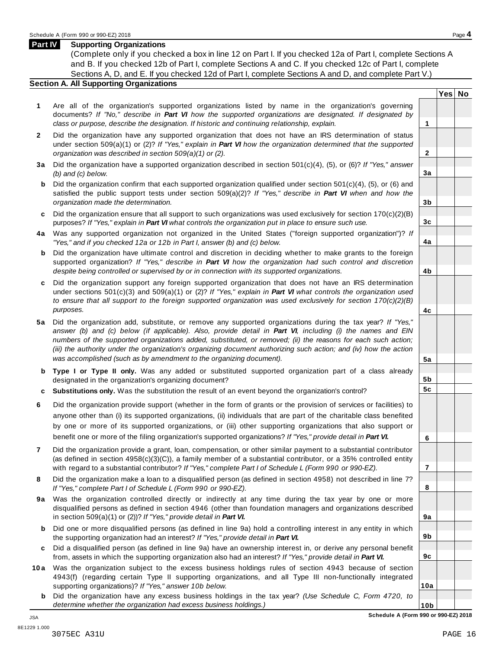#### **Part IV Supporting Organizations**

(Complete only if you checked a box in line 12 on Part I. If you checked 12a of Part I, complete Sections A and B. If you checked 12b of Part I, complete Sections A and C. If you checked 12c of Part I, complete Sections A, D, and E. If you checked 12d of Part I, complete Sections A and D, and complete Part V.)

### **Section A. All Supporting Organizations**

- **1** Are all of the organization's supported organizations listed by name in the organization's governing documents? *If "No," describe in Part VI how the supported organizations are designated. If designated by class or purpose, describe the designation. If historic and continuing relationship, explain.* **1**
- **2** Did the organization have any supported organization that does not have an IRS determination of status under section 509(a)(1) or (2)? *If"Yes," explain in Part VI how the organization determined that the supported organization was described in section 509(a)(1) or (2).*
- **3 a** Did the organization have a supported organization described in section 501(c)(4), (5), or (6)? *If "Yes," answer (b) and (c) below.*
- **b** Did the organization confirm that each supported organization qualified under section 501(c)(4), (5), or (6) and | satisfied the public support tests under section 509(a)(2)? *If "Yes," describe in Part VI when and how the organization made the determination.*
- **c** Did the organization ensure that all support to such organizations was used exclusively for section 170(c)(2)(B) purposes? *If"Yes," explain in Part VI what controls the organization put in place to ensure such use.*
- **4 a** Was any supported organization not organized in the United States ("foreign supported organization")? *If "Yes," and if you checked 12a or 12b in Part I, answer (b) and (c) below.*
- **b** Did the organization have ultimate control and discretion in deciding whether to make grants to the foreign | supported organization? *If "Yes," describe in Part VI how the organization had such control and discretion despite being controlled or supervised by or in connection with its supported organizations.*
- **c** Did the organization support any foreign supported organization that does not have an IRS determination | under sections 501(c)(3) and 509(a)(1) or (2)? *If "Yes," explain in Part VI what controls the organization used to ensure that all support to the foreign supported organization was used exclusively for section 170(c)(2)(B) purposes.*
- **5 a** Did the organization add, substitute, or remove any supported organizations during the tax year? *If "Yes,"* answer (b) and (c) below (if applicable). Also, provide detail in Part VI, including (i) the names and EIN *numbers of the supported organizations added, substituted, or removed; (ii) the reasons for each such action;* (iii) the authority under the organization's organizing document authorizing such action; and (iv) how the action *was accomplished (such as by amendment to the organizing document).*
- **b Type I or Type II only.** Was any added or substituted supported organization part of a class already designated in the organization's organizing document?
- **c Substitutions only.** Was the substitution the result of an event beyond the organization's control?
- **6** Did the organization provide support (whether in the form of grants or the provision of services or facilities) to anyone other than (i) its supported organizations, (ii) individuals that are part of the charitable class benefited by one or more of its supported organizations, or (iii) other supporting organizations that also support or benefit one or more of the filing organization's supported organizations? *If"Yes," provide detail in Part VI.*
- **7** Did the organization provide a grant, loan, compensation, or other similar payment to a substantial contributor (as defined in section 4958(c)(3)(C)), a family member of a substantial contributor, or a 35% controlled entity with regard to a substantial contributor? *If"Yes," complete Part I of Schedule L (Form 990 or 990-EZ).*
- **8** Did the organization make a loan to a disqualified person (as defined in section 4958) not described in line 7? *If "Yes," complete Part I of Schedule L (Form 990 or 990-EZ).*
- **9a** Was the organization controlled directly or indirectly at any time during the tax year by one or more | disqualified persons as defined in section 4946 (other than foundation managers and organizations described in section 509(a)(1) or (2))? *If"Yes," provide detail in Part VI.*
- **b** Did one or more disqualified persons (as defined in line 9a) hold a controlling interest in any entity in which | the supporting organization had an interest? *If"Yes," provide detail in Part VI.*
- **c** Did a disqualified person (as defined in line 9a) have an ownership interest in, or derive any personal benefit from, assets in which the supporting organization also had an interest? *If"Yes," provide detail in Part VI.*
- **10a** Was the organization subject to the excess business holdings rules of section 4943 because of section | 4943(f) (regarding certain Type II supporting organizations, and all Type III non-functionally integrated supporting organizations)? *If"Yes," answer 10b below.*
	- **b** Did the organization have any excess business holdings in the tax year? *(Use Schedule C, Form 4720, to determine whether the organization had excess business holdings.)*

**Yes No**

**2**

**3a**

**3b**

**3c**

**4a**

**4b**

**4c**

**5a**

**5b 5c**

**6**

**7**

**8**

**9a**

**9b**

**9c**

**10a**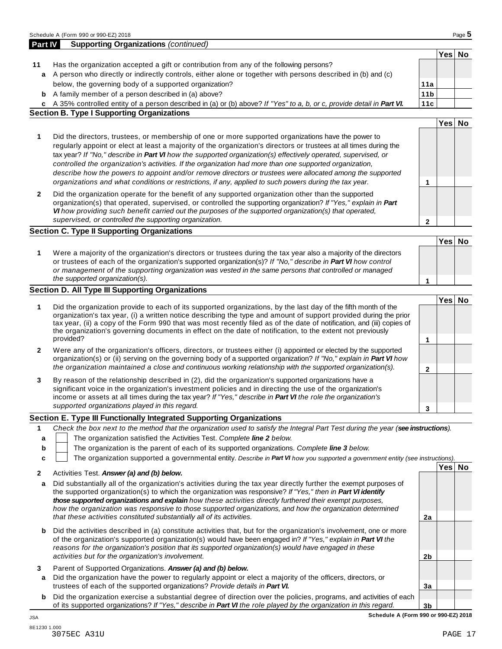|        | a A person who directly or indirectly controls, either alone or together with persons described in (b) and (c)                                                                                                                                                                                                                                                                                                                                                                                                                                                     |                      |        |  |
|--------|--------------------------------------------------------------------------------------------------------------------------------------------------------------------------------------------------------------------------------------------------------------------------------------------------------------------------------------------------------------------------------------------------------------------------------------------------------------------------------------------------------------------------------------------------------------------|----------------------|--------|--|
|        | below, the governing body of a supported organization?                                                                                                                                                                                                                                                                                                                                                                                                                                                                                                             | 11a                  |        |  |
|        | <b>b</b> A family member of a person described in (a) above?                                                                                                                                                                                                                                                                                                                                                                                                                                                                                                       | 11 <sub>b</sub>      |        |  |
|        | c A 35% controlled entity of a person described in (a) or (b) above? If "Yes" to a, b, or c, provide detail in Part VI.                                                                                                                                                                                                                                                                                                                                                                                                                                            | 11c                  |        |  |
|        | <b>Section B. Type I Supporting Organizations</b>                                                                                                                                                                                                                                                                                                                                                                                                                                                                                                                  |                      |        |  |
|        |                                                                                                                                                                                                                                                                                                                                                                                                                                                                                                                                                                    |                      | Yes No |  |
| 1      | Did the directors, trustees, or membership of one or more supported organizations have the power to<br>regularly appoint or elect at least a majority of the organization's directors or trustees at all times during the<br>tax year? If "No," describe in Part VI how the supported organization(s) effectively operated, supervised, or<br>controlled the organization's activities. If the organization had more than one supported organization,<br>describe how the powers to appoint and/or remove directors or trustees were allocated among the supported |                      |        |  |
| 2      | organizations and what conditions or restrictions, if any, applied to such powers during the tax year.<br>Did the organization operate for the benefit of any supported organization other than the supported                                                                                                                                                                                                                                                                                                                                                      | 1                    |        |  |
|        | organization(s) that operated, supervised, or controlled the supporting organization? If "Yes," explain in Part<br>VI how providing such benefit carried out the purposes of the supported organization(s) that operated,<br>supervised, or controlled the supporting organization.                                                                                                                                                                                                                                                                                | $\mathbf 2$          |        |  |
|        | <b>Section C. Type II Supporting Organizations</b>                                                                                                                                                                                                                                                                                                                                                                                                                                                                                                                 |                      |        |  |
|        |                                                                                                                                                                                                                                                                                                                                                                                                                                                                                                                                                                    |                      | Yes No |  |
| 1      | Were a majority of the organization's directors or trustees during the tax year also a majority of the directors<br>or trustees of each of the organization's supported organization(s)? If "No," describe in Part VI how control<br>or management of the supporting organization was vested in the same persons that controlled or managed<br>the supported organization(s).                                                                                                                                                                                      | 1                    |        |  |
|        | Section D. All Type III Supporting Organizations                                                                                                                                                                                                                                                                                                                                                                                                                                                                                                                   |                      |        |  |
|        |                                                                                                                                                                                                                                                                                                                                                                                                                                                                                                                                                                    |                      | Yes No |  |
| 1      | Did the organization provide to each of its supported organizations, by the last day of the fifth month of the<br>organization's tax year, (i) a written notice describing the type and amount of support provided during the prior<br>tax year, (ii) a copy of the Form 990 that was most recently filed as of the date of notification, and (iii) copies of<br>the organization's governing documents in effect on the date of notification, to the extent not previously<br>provided?                                                                           | 1                    |        |  |
| 2      | Were any of the organization's officers, directors, or trustees either (i) appointed or elected by the supported<br>organization(s) or (ii) serving on the governing body of a supported organization? If "No," explain in Part VI how<br>the organization maintained a close and continuous working relationship with the supported organization(s).                                                                                                                                                                                                              | $\mathbf{2}$         |        |  |
| 3      | By reason of the relationship described in (2), did the organization's supported organizations have a<br>significant voice in the organization's investment policies and in directing the use of the organization's<br>income or assets at all times during the tax year? If "Yes," describe in Part VI the role the organization's<br>supported organizations played in this regard.                                                                                                                                                                              | 3                    |        |  |
|        | Section E. Type III Functionally Integrated Supporting Organizations                                                                                                                                                                                                                                                                                                                                                                                                                                                                                               |                      |        |  |
| 1      | Check the box next to the method that the organization used to satisfy the Integral Part Test during the year (see instructions).                                                                                                                                                                                                                                                                                                                                                                                                                                  |                      |        |  |
| b<br>C | The organization satisfied the Activities Test. Complete line 2 below.<br>The organization is the parent of each of its supported organizations. Complete line 3 below.<br>The organization supported a governmental entity. Describe in Part VI how you supported a government entity (see instructions).                                                                                                                                                                                                                                                         |                      |        |  |
| 2      | Activities Test. Answer (a) and (b) below.                                                                                                                                                                                                                                                                                                                                                                                                                                                                                                                         |                      | Yes No |  |
| a      | Did substantially all of the organization's activities during the tax year directly further the exempt purposes of<br>the supported organization(s) to which the organization was responsive? If "Yes," then in Part VI identify<br>those supported organizations and explain how these activities directly furthered their exempt purposes,                                                                                                                                                                                                                       |                      |        |  |
|        | how the organization was responsive to those supported organizations, and how the organization determined                                                                                                                                                                                                                                                                                                                                                                                                                                                          |                      |        |  |
| b      | that these activities constituted substantially all of its activities.<br>Did the activities described in (a) constitute activities that, but for the organization's involvement, one or more<br>of the organization's supported organization(s) would have been engaged in? If "Yes," explain in Part VI the                                                                                                                                                                                                                                                      | 2a                   |        |  |
|        | reasons for the organization's position that its supported organization(s) would have engaged in these<br>activities but for the organization's involvement.                                                                                                                                                                                                                                                                                                                                                                                                       | 2 <sub>b</sub>       |        |  |
| 3<br>a | Parent of Supported Organizations. Answer (a) and (b) below.<br>Did the organization have the power to regularly appoint or elect a majority of the officers, directors, or                                                                                                                                                                                                                                                                                                                                                                                        |                      |        |  |
| b      | trustees of each of the supported organizations? Provide details in Part VI.<br>Did the organization exercise a substantial degree of direction over the policies, programs, and activities of each<br>of its supported organizations? If "Yes," describe in Part VI the role played by the organization in this regard.                                                                                                                                                                                                                                           | 3a<br>3 <sub>b</sub> |        |  |

**Part IV Supporting Organizations** *(continued)*

**11** Has the organization accepted a gift or contribution from any of the following persons?

**Yes No**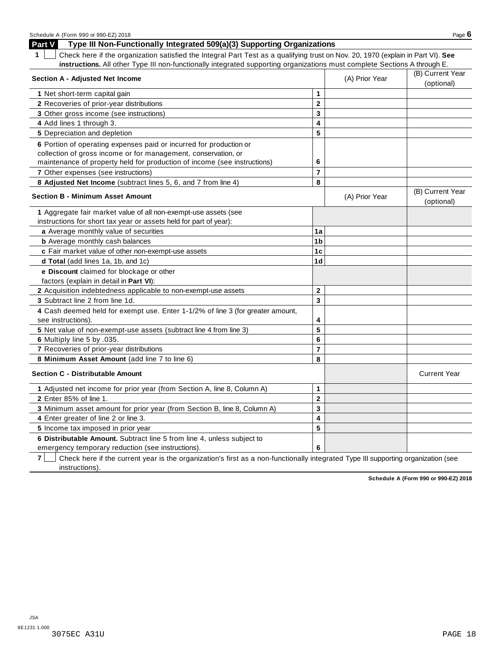| SCILEDULE A TEQUIT 990 OF 990-EZ ZUTO<br>Part V<br>Type III Non-Functionally Integrated 509(a)(3) Supporting Organizations                                                                                       |                         |                                | raye v                         |
|------------------------------------------------------------------------------------------------------------------------------------------------------------------------------------------------------------------|-------------------------|--------------------------------|--------------------------------|
| Check here if the organization satisfied the Integral Part Test as a qualifying trust on Nov. 20, 1970 (explain in Part VI). See<br>$\mathbf 1$                                                                  |                         |                                |                                |
| instructions. All other Type III non-functionally integrated supporting organizations must complete Sections A through E.                                                                                        |                         |                                |                                |
| <b>Section A - Adjusted Net Income</b>                                                                                                                                                                           | (A) Prior Year          | (B) Current Year<br>(optional) |                                |
| 1 Net short-term capital gain                                                                                                                                                                                    | $\mathbf{1}$            |                                |                                |
| 2 Recoveries of prior-year distributions                                                                                                                                                                         | $\mathbf{2}$            |                                |                                |
| 3 Other gross income (see instructions)                                                                                                                                                                          | 3                       |                                |                                |
| 4 Add lines 1 through 3.                                                                                                                                                                                         | 4                       |                                |                                |
| 5 Depreciation and depletion                                                                                                                                                                                     | 5                       |                                |                                |
| 6 Portion of operating expenses paid or incurred for production or<br>collection of gross income or for management, conservation, or<br>maintenance of property held for production of income (see instructions) | 6                       |                                |                                |
| 7 Other expenses (see instructions)                                                                                                                                                                              | $\overline{7}$          |                                |                                |
| 8 Adjusted Net Income (subtract lines 5, 6, and 7 from line 4)                                                                                                                                                   | 8                       |                                |                                |
| <b>Section B - Minimum Asset Amount</b>                                                                                                                                                                          |                         | (A) Prior Year                 | (B) Current Year<br>(optional) |
| 1 Aggregate fair market value of all non-exempt-use assets (see<br>instructions for short tax year or assets held for part of year):                                                                             |                         |                                |                                |
| a Average monthly value of securities                                                                                                                                                                            | 1a                      |                                |                                |
| <b>b</b> Average monthly cash balances                                                                                                                                                                           | 1 <sub>b</sub>          |                                |                                |
| c Fair market value of other non-exempt-use assets                                                                                                                                                               | 1 <sub>c</sub>          |                                |                                |
| d Total (add lines 1a, 1b, and 1c)                                                                                                                                                                               | 1 <sub>d</sub>          |                                |                                |
| e Discount claimed for blockage or other<br>factors (explain in detail in Part VI):                                                                                                                              |                         |                                |                                |
| 2 Acquisition indebtedness applicable to non-exempt-use assets                                                                                                                                                   | $\mathbf{2}$            |                                |                                |
| 3 Subtract line 2 from line 1d.                                                                                                                                                                                  | 3                       |                                |                                |
| 4 Cash deemed held for exempt use. Enter 1-1/2% of line 3 (for greater amount,<br>see instructions).                                                                                                             | 4                       |                                |                                |
| 5 Net value of non-exempt-use assets (subtract line 4 from line 3)                                                                                                                                               | 5                       |                                |                                |
| 6 Multiply line 5 by .035.                                                                                                                                                                                       | 6                       |                                |                                |
| 7 Recoveries of prior-year distributions                                                                                                                                                                         | $\overline{7}$          |                                |                                |
| 8 Minimum Asset Amount (add line 7 to line 6)                                                                                                                                                                    | 8                       |                                |                                |
| <b>Section C - Distributable Amount</b>                                                                                                                                                                          |                         |                                | <b>Current Year</b>            |
| 1 Adjusted net income for prior year (from Section A, line 8, Column A)                                                                                                                                          | 1                       |                                |                                |
| 2 Enter 85% of line 1.                                                                                                                                                                                           | $\overline{\mathbf{2}}$ |                                |                                |
| 3 Minimum asset amount for prior year (from Section B, line 8, Column A)                                                                                                                                         | 3                       |                                |                                |
| 4 Enter greater of line 2 or line 3.                                                                                                                                                                             | 4                       |                                |                                |
| 5 Income tax imposed in prior year                                                                                                                                                                               | 5                       |                                |                                |
| 6 Distributable Amount. Subtract line 5 from line 4, unless subject to<br>emergency temporary reduction (see instructions).                                                                                      | 6                       |                                |                                |

**7** Check here if the current year is the organization's first as a non-functionally integrated Type III supporting organization (see instructions).

**Schedule A (Form 990 or 990-EZ) 2018**

Schedule <sup>A</sup> (Form <sup>990</sup> or 990-EZ) <sup>2018</sup> Page **6**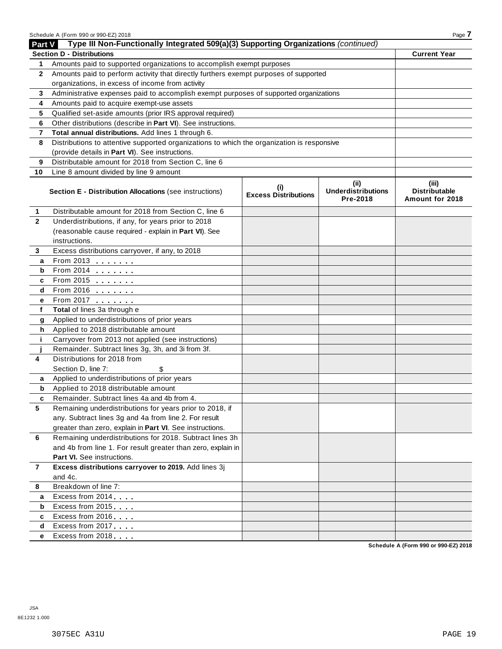|                | Schedule A (Form 990 or 990-EZ) 2018                                                       |                                    |                                               | Page 7                                           |
|----------------|--------------------------------------------------------------------------------------------|------------------------------------|-----------------------------------------------|--------------------------------------------------|
| Part V         | Type III Non-Functionally Integrated 509(a)(3) Supporting Organizations (continued)        |                                    |                                               |                                                  |
|                | <b>Section D - Distributions</b>                                                           |                                    |                                               | <b>Current Year</b>                              |
| 1              | Amounts paid to supported organizations to accomplish exempt purposes                      |                                    |                                               |                                                  |
| $\mathbf{2}$   | Amounts paid to perform activity that directly furthers exempt purposes of supported       |                                    |                                               |                                                  |
|                | organizations, in excess of income from activity                                           |                                    |                                               |                                                  |
| 3              | Administrative expenses paid to accomplish exempt purposes of supported organizations      |                                    |                                               |                                                  |
| 4              | Amounts paid to acquire exempt-use assets                                                  |                                    |                                               |                                                  |
| 5              | Qualified set-aside amounts (prior IRS approval required)                                  |                                    |                                               |                                                  |
| 6              | Other distributions (describe in Part VI). See instructions.                               |                                    |                                               |                                                  |
| 7              | Total annual distributions. Add lines 1 through 6.                                         |                                    |                                               |                                                  |
| 8              | Distributions to attentive supported organizations to which the organization is responsive |                                    |                                               |                                                  |
|                | (provide details in Part VI). See instructions.                                            |                                    |                                               |                                                  |
| 9              | Distributable amount for 2018 from Section C, line 6                                       |                                    |                                               |                                                  |
| 10             | Line 8 amount divided by line 9 amount                                                     |                                    |                                               |                                                  |
|                | Section E - Distribution Allocations (see instructions)                                    | (i)<br><b>Excess Distributions</b> | (ii)<br><b>Underdistributions</b><br>Pre-2018 | (iii)<br><b>Distributable</b><br>Amount for 2018 |
| 1              | Distributable amount for 2018 from Section C, line 6                                       |                                    |                                               |                                                  |
| $\mathbf{2}$   | Underdistributions, if any, for years prior to 2018                                        |                                    |                                               |                                                  |
|                | (reasonable cause required - explain in Part VI). See                                      |                                    |                                               |                                                  |
|                | instructions.                                                                              |                                    |                                               |                                                  |
| 3              | Excess distributions carryover, if any, to 2018                                            |                                    |                                               |                                                  |
| a              | From 2013 $\frac{1}{\sqrt{1-\frac{1}{2}}}\$                                                |                                    |                                               |                                                  |
| b              |                                                                                            |                                    |                                               |                                                  |
| c              | From 2015                                                                                  |                                    |                                               |                                                  |
| d              | $From 2016$                                                                                |                                    |                                               |                                                  |
| е              | From 2017                                                                                  |                                    |                                               |                                                  |
| f              | Total of lines 3a through e                                                                |                                    |                                               |                                                  |
| g              | Applied to underdistributions of prior years                                               |                                    |                                               |                                                  |
| h              | Applied to 2018 distributable amount                                                       |                                    |                                               |                                                  |
| j.             | Carryover from 2013 not applied (see instructions)                                         |                                    |                                               |                                                  |
|                | Remainder. Subtract lines 3g, 3h, and 3i from 3f.                                          |                                    |                                               |                                                  |
| 4              | Distributions for 2018 from                                                                |                                    |                                               |                                                  |
|                | Section D, line 7:<br>\$                                                                   |                                    |                                               |                                                  |
| а              | Applied to underdistributions of prior years                                               |                                    |                                               |                                                  |
| b              | Applied to 2018 distributable amount                                                       |                                    |                                               |                                                  |
|                | Remainder. Subtract lines 4a and 4b from 4.                                                |                                    |                                               |                                                  |
| 5              | Remaining underdistributions for years prior to 2018, if                                   |                                    |                                               |                                                  |
|                | any. Subtract lines 3g and 4a from line 2. For result                                      |                                    |                                               |                                                  |
|                | greater than zero, explain in Part VI. See instructions.                                   |                                    |                                               |                                                  |
| 6              | Remaining underdistributions for 2018. Subtract lines 3h                                   |                                    |                                               |                                                  |
|                | and 4b from line 1. For result greater than zero, explain in                               |                                    |                                               |                                                  |
|                | Part VI. See instructions.                                                                 |                                    |                                               |                                                  |
| $\overline{7}$ | Excess distributions carryover to 2019. Add lines 3j                                       |                                    |                                               |                                                  |
|                | and 4c.                                                                                    |                                    |                                               |                                                  |
| 8              | Breakdown of line 7:                                                                       |                                    |                                               |                                                  |
| a              | Excess from 2014                                                                           |                                    |                                               |                                                  |
| b              | Excess from 2015                                                                           |                                    |                                               |                                                  |
| c              | Excess from 2016                                                                           |                                    |                                               |                                                  |
| d              | Excess from 2017                                                                           |                                    |                                               |                                                  |
| е              | Excess from 2018                                                                           |                                    |                                               |                                                  |

**Schedule A (Form 990 or 990-EZ) 2018**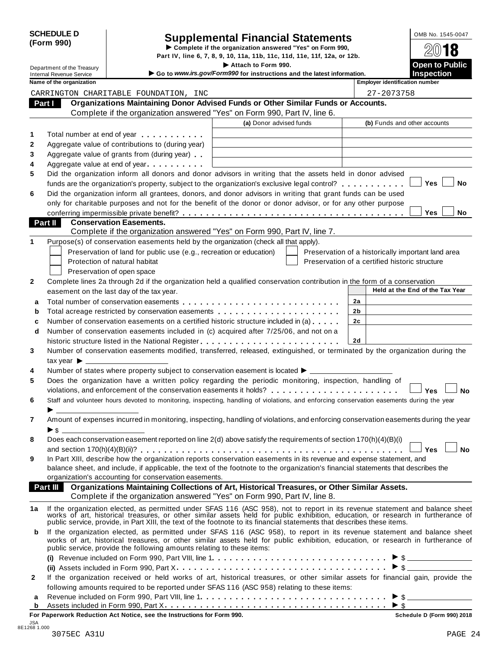| <b>SCHEDULE D</b> |  |
|-------------------|--|
| (Form 990)        |  |

# CHEDULE D<br>
Supplemental Financial Statements<br>
Supplemental Financial Statements<br>
Supplemental Financial Statements<br>
Part IV, line 6, 7, 8, 9, 10, 11a, 11b, 11c, 11d, 11e, 11f, 12a, or 12b.

Department of the Treasury **I Attach 1990.** The S. 7, 8, 9, 10, 11a, 11b, 11c, 11d, 11e, 11f, 12a, or 12b.<br> **Department of the Treasury Inches Containery Containery Containery Containery Containery Containery** 

**Example 1 Bondard Cheffers and Cheffers and Severice Internal Revenue Service I Consumption Consumption instructions and the latest information.<br>Inspection Inspection Instructions and the latest information.<br>Inspection I** 

|    | Name of the organization                                                                                                                                                                                                       |                         | <b>Employer identification number</b>              |
|----|--------------------------------------------------------------------------------------------------------------------------------------------------------------------------------------------------------------------------------|-------------------------|----------------------------------------------------|
|    | CARRINGTON CHARITABLE FOUNDATION, INC                                                                                                                                                                                          |                         | 27-2073758                                         |
|    | Organizations Maintaining Donor Advised Funds or Other Similar Funds or Accounts.<br>Part I                                                                                                                                    |                         |                                                    |
|    | Complete if the organization answered "Yes" on Form 990, Part IV, line 6.                                                                                                                                                      |                         |                                                    |
|    |                                                                                                                                                                                                                                | (a) Donor advised funds | (b) Funds and other accounts                       |
| 1  | Total number at end of year <b>container</b> Total number                                                                                                                                                                      |                         |                                                    |
| 2  | Aggregate value of contributions to (during year)                                                                                                                                                                              |                         |                                                    |
| 3  | Aggregate value of grants from (during year)                                                                                                                                                                                   |                         |                                                    |
| 4  | Aggregate value at end of year                                                                                                                                                                                                 |                         |                                                    |
| 5  | Did the organization inform all donors and donor advisors in writing that the assets held in donor advised                                                                                                                     |                         |                                                    |
|    | funds are the organization's property, subject to the organization's exclusive legal control?                                                                                                                                  |                         | <b>Yes</b><br>No                                   |
| 6  | Did the organization inform all grantees, donors, and donor advisors in writing that grant funds can be used                                                                                                                   |                         |                                                    |
|    | only for charitable purposes and not for the benefit of the donor or donor advisor, or for any other purpose                                                                                                                   |                         |                                                    |
|    |                                                                                                                                                                                                                                |                         | Yes<br><b>No</b>                                   |
|    | Part II<br><b>Conservation Easements.</b>                                                                                                                                                                                      |                         |                                                    |
|    | Complete if the organization answered "Yes" on Form 990, Part IV, line 7.                                                                                                                                                      |                         |                                                    |
| 1  | Purpose(s) of conservation easements held by the organization (check all that apply).                                                                                                                                          |                         |                                                    |
|    | Preservation of land for public use (e.g., recreation or education)                                                                                                                                                            |                         | Preservation of a historically important land area |
|    | Protection of natural habitat                                                                                                                                                                                                  |                         | Preservation of a certified historic structure     |
|    |                                                                                                                                                                                                                                |                         |                                                    |
|    | Preservation of open space                                                                                                                                                                                                     |                         |                                                    |
| 2  | Complete lines 2a through 2d if the organization held a qualified conservation contribution in the form of a conservation<br>easement on the last day of the tax year.                                                         |                         | Held at the End of the Tax Year                    |
|    |                                                                                                                                                                                                                                |                         |                                                    |
| a  |                                                                                                                                                                                                                                |                         | 2a                                                 |
| b  |                                                                                                                                                                                                                                |                         | 2b                                                 |
| с  | Number of conservation easements on a certified historic structure included in (a)                                                                                                                                             |                         | 2 <sub>c</sub>                                     |
| d  | Number of conservation easements included in (c) acquired after 7/25/06, and not on a                                                                                                                                          |                         |                                                    |
|    | historic structure listed in the National Register                                                                                                                                                                             |                         | 2d                                                 |
| 3  | Number of conservation easements modified, transferred, released, extinguished, or terminated by the organization during the                                                                                                   |                         |                                                    |
|    | tax year $\blacktriangleright$                                                                                                                                                                                                 |                         |                                                    |
| 4  | Number of states where property subject to conservation easement is located $\blacktriangleright$ ___                                                                                                                          |                         |                                                    |
| 5  | Does the organization have a written policy regarding the periodic monitoring, inspection, handling of                                                                                                                         |                         |                                                    |
|    | violations, and enforcement of the conservation easements it holds?                                                                                                                                                            |                         | <b>No</b><br>Yes                                   |
| 6  | Staff and volunteer hours devoted to monitoring, inspecting, handling of violations, and enforcing conservation easements during the year                                                                                      |                         |                                                    |
|    |                                                                                                                                                                                                                                |                         |                                                    |
| 7  | Amount of expenses incurred in monitoring, inspecting, handling of violations, and enforcing conservation easements during the year                                                                                            |                         |                                                    |
|    | ► \$                                                                                                                                                                                                                           |                         |                                                    |
| 8  | Does each conservation easement reported on line 2(d) above satisfy the requirements of section 170(h)(4)(B)(i)                                                                                                                |                         |                                                    |
|    |                                                                                                                                                                                                                                |                         |                                                    |
| 9  | In Part XIII, describe how the organization reports conservation easements in its revenue and expense statement, and                                                                                                           |                         |                                                    |
|    | balance sheet, and include, if applicable, the text of the footnote to the organization's financial statements that describes the<br>organization's accounting for conservation easements.                                     |                         |                                                    |
|    | Organizations Maintaining Collections of Art, Historical Treasures, or Other Similar Assets.<br>Part III                                                                                                                       |                         |                                                    |
|    | Complete if the organization answered "Yes" on Form 990, Part IV, line 8.                                                                                                                                                      |                         |                                                    |
|    |                                                                                                                                                                                                                                |                         |                                                    |
| 1a | If the organization elected, as permitted under SFAS 116 (ASC 958), not to report in its revenue statement and balance sheet works of art, historical treasures, or other similar assets held for public exhibition, education |                         |                                                    |
|    |                                                                                                                                                                                                                                |                         |                                                    |
| b  | If the organization elected, as permitted under SFAS 116 (ASC 958), to report in its revenue statement and balance sheet                                                                                                       |                         |                                                    |
|    | works of art, historical treasures, or other similar assets held for public exhibition, education, or research in furtherance of                                                                                               |                         |                                                    |
|    | public service, provide the following amounts relating to these items:                                                                                                                                                         |                         |                                                    |
|    |                                                                                                                                                                                                                                |                         | $\triangleright$ \$                                |
|    |                                                                                                                                                                                                                                |                         |                                                    |
| 2  | If the organization received or held works of art, historical treasures, or other similar assets for financial gain, provide the                                                                                               |                         |                                                    |
|    | following amounts required to be reported under SFAS 116 (ASC 958) relating to these items:                                                                                                                                    |                         |                                                    |
| а  |                                                                                                                                                                                                                                |                         |                                                    |
| b  |                                                                                                                                                                                                                                |                         |                                                    |

**For Paperwork Reduction Act Notice, see the Instructions for Form 990. Schedule D (Form 990) 2018**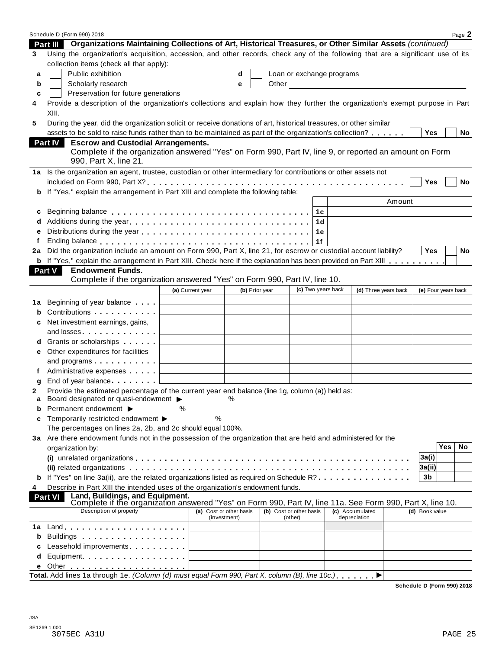|    | Schedule D (Form 990) 2018                                                                                                                               |                                              |                                         |                |                                    |                                     |                     |            | Page 2    |
|----|----------------------------------------------------------------------------------------------------------------------------------------------------------|----------------------------------------------|-----------------------------------------|----------------|------------------------------------|-------------------------------------|---------------------|------------|-----------|
|    | Part III Organizations Maintaining Collections of Art, Historical Treasures, or Other Similar Assets (continued)                                         |                                              |                                         |                |                                    |                                     |                     |            |           |
| 3  | Using the organization's acquisition, accession, and other records, check any of the following that are a significant use of its                         |                                              |                                         |                |                                    |                                     |                     |            |           |
|    | collection items (check all that apply):                                                                                                                 |                                              |                                         |                |                                    |                                     |                     |            |           |
| a  | Public exhibition                                                                                                                                        |                                              | d                                       |                | Loan or exchange programs          |                                     |                     |            |           |
| b  | Scholarly research                                                                                                                                       |                                              | e                                       |                |                                    | Other <u>Contract Communication</u> |                     |            |           |
| c  | Preservation for future generations                                                                                                                      |                                              |                                         |                |                                    |                                     |                     |            |           |
| 4  | Provide a description of the organization's collections and explain how they further the organization's exempt purpose in Part                           |                                              |                                         |                |                                    |                                     |                     |            |           |
|    | XIII.                                                                                                                                                    |                                              |                                         |                |                                    |                                     |                     |            |           |
| 5  | During the year, did the organization solicit or receive donations of art, historical treasures, or other similar                                        |                                              |                                         |                |                                    |                                     |                     |            |           |
|    | assets to be sold to raise funds rather than to be maintained as part of the organization's collection?                                                  |                                              |                                         |                |                                    |                                     | Yes                 |            | No        |
|    | <b>Escrow and Custodial Arrangements.</b><br><b>Part IV</b>                                                                                              |                                              |                                         |                |                                    |                                     |                     |            |           |
|    | Complete if the organization answered "Yes" on Form 990, Part IV, line 9, or reported an amount on Form                                                  |                                              |                                         |                |                                    |                                     |                     |            |           |
|    | 990, Part X, line 21.                                                                                                                                    |                                              |                                         |                |                                    |                                     |                     |            |           |
|    | 1a Is the organization an agent, trustee, custodian or other intermediary for contributions or other assets not                                          |                                              |                                         |                |                                    |                                     |                     |            |           |
|    |                                                                                                                                                          |                                              |                                         |                |                                    |                                     | Yes                 |            | No        |
| b  | If "Yes," explain the arrangement in Part XIII and complete the following table:                                                                         |                                              |                                         |                |                                    |                                     |                     |            |           |
|    |                                                                                                                                                          |                                              |                                         |                |                                    | Amount                              |                     |            |           |
| c  |                                                                                                                                                          |                                              |                                         |                | 1c                                 |                                     |                     |            |           |
|    |                                                                                                                                                          |                                              |                                         |                | 1d                                 |                                     |                     |            |           |
| е  |                                                                                                                                                          |                                              |                                         |                | 1е                                 |                                     |                     |            |           |
|    |                                                                                                                                                          |                                              |                                         |                | 1f                                 |                                     |                     |            |           |
|    | 2a Did the organization include an amount on Form 990, Part X, line 21, for escrow or custodial account liability?                                       |                                              |                                         |                |                                    |                                     | <b>Yes</b>          |            | <b>No</b> |
|    | <b>b</b> If "Yes," explain the arrangement in Part XIII. Check here if the explanation has been provided on Part XIII                                    |                                              |                                         |                |                                    |                                     |                     |            |           |
|    | <b>Endowment Funds.</b><br><b>Part V</b>                                                                                                                 |                                              |                                         |                |                                    |                                     |                     |            |           |
|    | Complete if the organization answered "Yes" on Form 990, Part IV, line 10.                                                                               |                                              |                                         |                |                                    |                                     |                     |            |           |
|    |                                                                                                                                                          | (a) Current year                             |                                         | (b) Prior year | (c) Two years back                 | (d) Three years back                | (e) Four years back |            |           |
| 1а | Beginning of year balance                                                                                                                                |                                              |                                         |                |                                    |                                     |                     |            |           |
| b  | Contributions                                                                                                                                            |                                              |                                         |                |                                    |                                     |                     |            |           |
| c  | Net investment earnings, gains,                                                                                                                          |                                              |                                         |                |                                    |                                     |                     |            |           |
|    | and losses                                                                                                                                               |                                              |                                         |                |                                    |                                     |                     |            |           |
| d  | Grants or scholarships                                                                                                                                   |                                              |                                         |                |                                    |                                     |                     |            |           |
|    | e Other expenditures for facilities                                                                                                                      |                                              |                                         |                |                                    |                                     |                     |            |           |
|    | and programs                                                                                                                                             | the control of the control of the control of |                                         |                |                                    |                                     |                     |            |           |
|    | Administrative expenses <b>Administrative</b>                                                                                                            |                                              |                                         |                |                                    |                                     |                     |            |           |
| g  | End of year balance                                                                                                                                      |                                              |                                         |                |                                    |                                     |                     |            |           |
| 2  | Provide the estimated percentage of the current year end balance (line 1g, column (a)) held as:                                                          |                                              |                                         |                |                                    |                                     |                     |            |           |
| а  | Board designated or quasi-endowment >                                                                                                                    |                                              |                                         |                |                                    |                                     |                     |            |           |
| b  | Permanent endowment ▶                                                                                                                                    | %                                            |                                         |                |                                    |                                     |                     |            |           |
| c  | Temporarily restricted endowment ▶                                                                                                                       |                                              | %                                       |                |                                    |                                     |                     |            |           |
|    | The percentages on lines 2a, 2b, and 2c should equal 100%.                                                                                               |                                              |                                         |                |                                    |                                     |                     |            |           |
|    | 3a Are there endowment funds not in the possession of the organization that are held and administered for the                                            |                                              |                                         |                |                                    |                                     |                     |            |           |
|    | organization by:                                                                                                                                         |                                              |                                         |                |                                    |                                     |                     | <b>Yes</b> | No        |
|    |                                                                                                                                                          |                                              |                                         |                |                                    |                                     | 3a(i)               |            |           |
|    |                                                                                                                                                          |                                              |                                         |                |                                    |                                     | 3a(ii)              |            |           |
| b  | If "Yes" on line 3a(ii), are the related organizations listed as required on Schedule R?                                                                 |                                              |                                         |                |                                    |                                     | 3 <sub>b</sub>      |            |           |
| 4  | Describe in Part XIII the intended uses of the organization's endowment funds.                                                                           |                                              |                                         |                |                                    |                                     |                     |            |           |
|    | Land, Buildings, and Equipment.<br>Complete if the organization answered "Yes" on Form 990, Part IV, line 11a. See Form 990, Part X, line 10.<br>Part VI |                                              |                                         |                |                                    |                                     |                     |            |           |
|    | Description of property                                                                                                                                  |                                              |                                         |                |                                    |                                     |                     |            |           |
|    |                                                                                                                                                          |                                              | (a) Cost or other basis<br>(investment) |                | (b) Cost or other basis<br>(other) | (c) Accumulated<br>depreciation     | (d) Book value      |            |           |
| 1a | $Land.$                                                                                                                                                  |                                              |                                         |                |                                    |                                     |                     |            |           |
| b  | Buildings                                                                                                                                                |                                              |                                         |                |                                    |                                     |                     |            |           |
| c  | Leasehold improvements experiences                                                                                                                       |                                              |                                         |                |                                    |                                     |                     |            |           |
| d  | Equipment                                                                                                                                                |                                              |                                         |                |                                    |                                     |                     |            |           |
|    |                                                                                                                                                          |                                              |                                         |                |                                    |                                     |                     |            |           |
|    | Total. Add lines 1a through 1e. (Column (d) must equal Form 990, Part X, column (B), line 10c.)                                                          |                                              |                                         |                |                                    |                                     |                     |            |           |
|    |                                                                                                                                                          |                                              |                                         |                |                                    |                                     |                     |            |           |

**Schedule D (Form 990) 2018**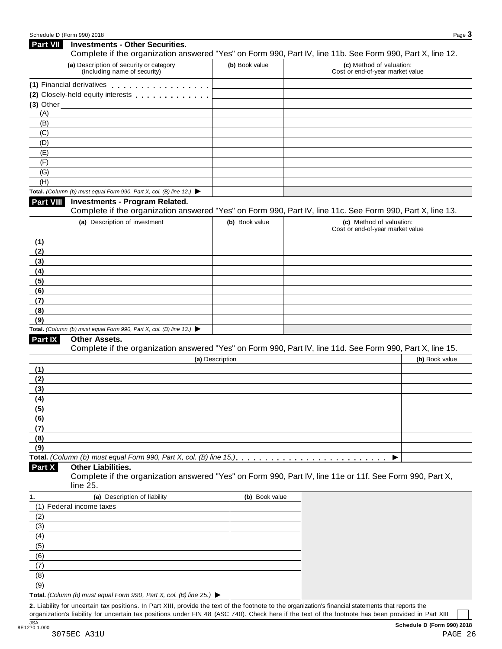| <b>Part VII</b>  | <b>Investments - Other Securities.</b><br>Complete if the organization answered "Yes" on Form 990, Part IV, line 11b. See Form 990, Part X, line 12. |                 |                                                              |                |
|------------------|------------------------------------------------------------------------------------------------------------------------------------------------------|-----------------|--------------------------------------------------------------|----------------|
|                  | (a) Description of security or category<br>(including name of security)                                                                              | (b) Book value  | (c) Method of valuation:<br>Cost or end-of-year market value |                |
|                  | (1) Financial derivatives                                                                                                                            |                 |                                                              |                |
|                  | (2) Closely-held equity interests                                                                                                                    |                 |                                                              |                |
|                  | $(3)$ Other $\overline{\phantom{a}}$                                                                                                                 |                 |                                                              |                |
| (A)              |                                                                                                                                                      |                 |                                                              |                |
| (B)              |                                                                                                                                                      |                 |                                                              |                |
| (C)              |                                                                                                                                                      |                 |                                                              |                |
| (D)              |                                                                                                                                                      |                 |                                                              |                |
| (E)              |                                                                                                                                                      |                 |                                                              |                |
| (F)              |                                                                                                                                                      |                 |                                                              |                |
| (G)              |                                                                                                                                                      |                 |                                                              |                |
| (H)              |                                                                                                                                                      |                 |                                                              |                |
|                  | Total. (Column (b) must equal Form 990, Part X, col. (B) line 12.) $\blacktriangleright$                                                             |                 |                                                              |                |
| <b>Part VIII</b> | <b>Investments - Program Related.</b><br>Complete if the organization answered "Yes" on Form 990, Part IV, line 11c. See Form 990, Part X, line 13.  |                 |                                                              |                |
|                  | (a) Description of investment                                                                                                                        | (b) Book value  | (c) Method of valuation:<br>Cost or end-of-year market value |                |
| (1)              |                                                                                                                                                      |                 |                                                              |                |
| (2)              |                                                                                                                                                      |                 |                                                              |                |
| (3)              |                                                                                                                                                      |                 |                                                              |                |
| (4)              |                                                                                                                                                      |                 |                                                              |                |
| (5)              |                                                                                                                                                      |                 |                                                              |                |
| (6)              |                                                                                                                                                      |                 |                                                              |                |
| (7)              |                                                                                                                                                      |                 |                                                              |                |
| (8)<br>(9)       |                                                                                                                                                      |                 |                                                              |                |
|                  | Total. (Column (b) must equal Form 990, Part X, col. (B) line 13.) $\blacktriangleright$                                                             |                 |                                                              |                |
| Part IX          | Other Assets.                                                                                                                                        |                 |                                                              |                |
|                  | Complete if the organization answered "Yes" on Form 990, Part IV, line 11d. See Form 990, Part X, line 15.                                           |                 |                                                              |                |
|                  |                                                                                                                                                      | (a) Description |                                                              | (b) Book value |
| (1)              |                                                                                                                                                      |                 |                                                              |                |
| (2)              |                                                                                                                                                      |                 |                                                              |                |
| (3)              |                                                                                                                                                      |                 |                                                              |                |
| (4)              |                                                                                                                                                      |                 |                                                              |                |
| (5)              |                                                                                                                                                      |                 |                                                              |                |
| (6)              |                                                                                                                                                      |                 |                                                              |                |
| (7)              |                                                                                                                                                      |                 |                                                              |                |
| (8)              |                                                                                                                                                      |                 |                                                              |                |
| (9)              |                                                                                                                                                      |                 |                                                              |                |
|                  |                                                                                                                                                      |                 |                                                              |                |
| Part X           | <b>Other Liabilities.</b><br>Complete if the organization answered "Yes" on Form 990, Part IV, line 11e or 11f. See Form 990, Part X,<br>line 25.    |                 |                                                              |                |
| 1.               | (a) Description of liability                                                                                                                         | (b) Book value  |                                                              |                |
|                  | (1) Federal income taxes                                                                                                                             |                 |                                                              |                |
| (2)              |                                                                                                                                                      |                 |                                                              |                |
| (3)              |                                                                                                                                                      |                 |                                                              |                |
| (4)              |                                                                                                                                                      |                 |                                                              |                |
| (5)              |                                                                                                                                                      |                 |                                                              |                |
| (6)              |                                                                                                                                                      |                 |                                                              |                |
| (7)              |                                                                                                                                                      |                 |                                                              |                |
| (8)              |                                                                                                                                                      |                 |                                                              |                |
| (9)              |                                                                                                                                                      |                 |                                                              |                |
|                  | Total. (Column (b) must equal Form 990, Part X, col. (B) line 25.) $\blacktriangleright$                                                             |                 |                                                              |                |
|                  | 2. Liability for uncertain tax positions. In Part XIII, provide the text of the footnote to the organization's financial statements that reports the |                 |                                                              |                |

organization's liability for uncertain tax positions under FIN 48 (ASC 740). Check here ifthe text of the footnote has been provided in Part XIII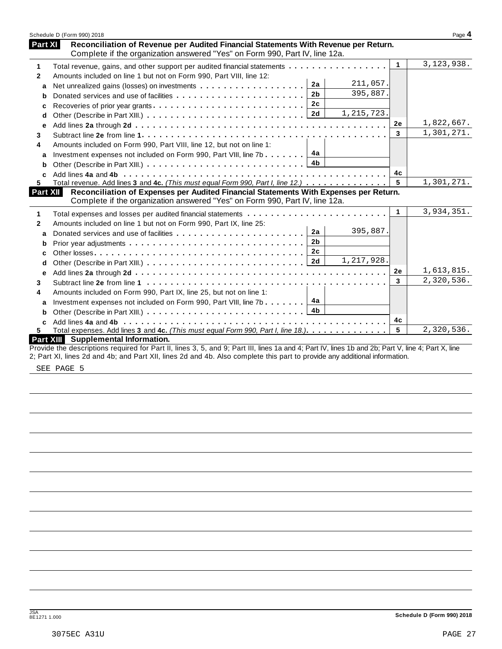|                | Schedule D (Form 990) 2018                                                                                                                                           |                      | Page 4       |
|----------------|----------------------------------------------------------------------------------------------------------------------------------------------------------------------|----------------------|--------------|
| <b>Part XI</b> | Reconciliation of Revenue per Audited Financial Statements With Revenue per Return.<br>Complete if the organization answered "Yes" on Form 990, Part IV, line 12a.   |                      |              |
| 1              | Total revenue, gains, and other support per audited financial statements                                                                                             | $\blacktriangleleft$ | 3, 123, 938. |
| $\mathbf{2}$   | Amounts included on line 1 but not on Form 990, Part VIII, line 12:                                                                                                  |                      |              |
| a              | 211,057.<br>2a                                                                                                                                                       |                      |              |
| b              | 395,887.<br>2 <sub>b</sub><br>Donated services and use of facilities                                                                                                 |                      |              |
| c              | 2c                                                                                                                                                                   |                      |              |
| d              | 1, 215, 723.<br>2d                                                                                                                                                   |                      |              |
| е              |                                                                                                                                                                      | <b>2e</b>            | 1,822,667.   |
| 3              |                                                                                                                                                                      | 3                    | 1,301,271.   |
| 4              | Amounts included on Form 990, Part VIII, line 12, but not on line 1:                                                                                                 |                      |              |
| a              | 4a<br>Investment expenses not included on Form 990, Part VIII, line 7b                                                                                               |                      |              |
| b              | 4 <sub>b</sub>                                                                                                                                                       |                      |              |
| C              |                                                                                                                                                                      | 4с                   |              |
| 5.             | Total revenue. Add lines 3 and 4c. (This must equal Form 990, Part I, line 12.)                                                                                      | 5                    | 1,301,271.   |
| Part XII       | Reconciliation of Expenses per Audited Financial Statements With Expenses per Return.<br>Complete if the organization answered "Yes" on Form 990, Part IV, line 12a. |                      |              |
| 1              |                                                                                                                                                                      | $\mathbf 1$          | 3,934,351.   |
| $\mathbf{2}$   | Amounts included on line 1 but not on Form 990, Part IX, line 25:                                                                                                    |                      |              |
| a              | 395,887.<br>2a                                                                                                                                                       |                      |              |
| b              | 2 <sub>b</sub>                                                                                                                                                       |                      |              |
| c              | 2 <sub>c</sub>                                                                                                                                                       |                      |              |
| d              | 1,217,928.<br>2d                                                                                                                                                     |                      |              |
| e              |                                                                                                                                                                      | 2e                   | 1,613,815.   |
| 3              |                                                                                                                                                                      | $\mathbf{3}$         | 2,320,536.   |
| 4              | Amounts included on Form 990, Part IX, line 25, but not on line 1:                                                                                                   |                      |              |
| a              | 4a<br>Investment expenses not included on Form 990, Part VIII, line 7b                                                                                               |                      |              |
| b              | 4b                                                                                                                                                                   |                      |              |
| C              |                                                                                                                                                                      | 4c                   |              |
| 5.             | Total expenses. Add lines 3 and 4c. (This must equal Form 990, Part I, line 18.)                                                                                     | 5                    | 2,320,536.   |
|                | <b>Part XIII</b> Supplemental Information.                                                                                                                           |                      |              |
|                | Provide the descriptions required for Part II, lines 3, 5, and 9; Part III, lines 1a and 4; Part IV, lines 1b and 2b; Part V, line 4; Part X, line                   |                      |              |
|                | 2; Part XI, lines 2d and 4b; and Part XII, lines 2d and 4b. Also complete this part to provide any additional information.                                           |                      |              |

SEE PAGE 5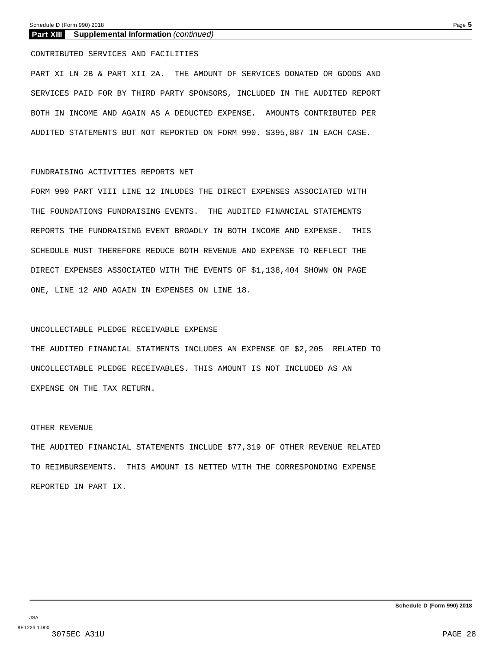#### **Part XIII Supplemental Information** *(continued)*

#### CONTRIBUTED SERVICES AND FACILITIES

PART XI LN 2B & PART XII 2A. THE AMOUNT OF SERVICES DONATED OR GOODS AND SERVICES PAID FOR BY THIRD PARTY SPONSORS, INCLUDED IN THE AUDITED REPORT BOTH IN INCOME AND AGAIN AS A DEDUCTED EXPENSE. AMOUNTS CONTRIBUTED PER AUDITED STATEMENTS BUT NOT REPORTED ON FORM 990. \$395,887 IN EACH CASE.

#### FUNDRAISING ACTIVITIES REPORTS NET

FORM 990 PART VIII LINE 12 INLUDES THE DIRECT EXPENSES ASSOCIATED WITH THE FOUNDATIONS FUNDRAISING EVENTS. THE AUDITED FINANCIAL STATEMENTS REPORTS THE FUNDRAISING EVENT BROADLY IN BOTH INCOME AND EXPENSE. THIS SCHEDULE MUST THEREFORE REDUCE BOTH REVENUE AND EXPENSE TO REFLECT THE DIRECT EXPENSES ASSOCIATED WITH THE EVENTS OF \$1,138,404 SHOWN ON PAGE ONE, LINE 12 AND AGAIN IN EXPENSES ON LINE 18.

#### UNCOLLECTABLE PLEDGE RECEIVABLE EXPENSE

THE AUDITED FINANCIAL STATMENTS INCLUDES AN EXPENSE OF \$2,205 RELATED TO UNCOLLECTABLE PLEDGE RECEIVABLES. THIS AMOUNT IS NOT INCLUDED AS AN EXPENSE ON THE TAX RETURN.

#### OTHER REVENUE

THE AUDITED FINANCIAL STATEMENTS INCLUDE \$77,319 OF OTHER REVENUE RELATED TO REIMBURSEMENTS. THIS AMOUNT IS NETTED WITH THE CORRESPONDING EXPENSE REPORTED IN PART IX.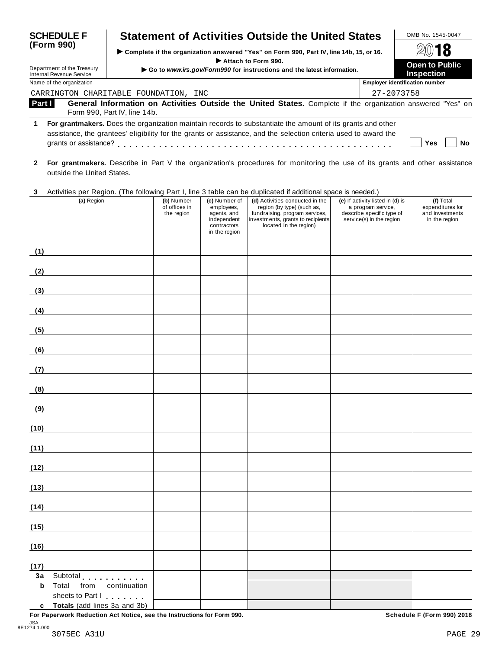| <b>SCHEDULE F</b><br>(Form 990)<br>Department of the Treasury<br><b>Internal Revenue Service</b> |                            |                              |                                                                                               | <b>Statement of Activities Outside the United States</b>                                                                                                                                                                       |                                 |  |  |                                  | OMB No. 1545-0047                                                                                                           |
|--------------------------------------------------------------------------------------------------|----------------------------|------------------------------|-----------------------------------------------------------------------------------------------|--------------------------------------------------------------------------------------------------------------------------------------------------------------------------------------------------------------------------------|---------------------------------|--|--|----------------------------------|-----------------------------------------------------------------------------------------------------------------------------|
|                                                                                                  |                            |                              | Complete if the organization answered "Yes" on Form 990, Part IV, line 14b, 15, or 16.        |                                                                                                                                                                                                                                |                                 |  |  | $20$ 18                          |                                                                                                                             |
|                                                                                                  |                            |                              | Attach to Form 990.<br>Go to www.irs.gov/Form990 for instructions and the latest information. |                                                                                                                                                                                                                                |                                 |  |  |                                  | <b>Open to Public</b><br><b>Inspection</b>                                                                                  |
| Name of the organization                                                                         |                            |                              |                                                                                               |                                                                                                                                                                                                                                |                                 |  |  |                                  | <b>Employer identification number</b>                                                                                       |
|                                                                                                  |                            |                              | CARRINGTON CHARITABLE FOUNDATION, INC                                                         |                                                                                                                                                                                                                                |                                 |  |  | 27-2073758                       |                                                                                                                             |
| Part I                                                                                           |                            | Form 990, Part IV, line 14b. |                                                                                               |                                                                                                                                                                                                                                |                                 |  |  |                                  | General Information on Activities Outside the United States. Complete if the organization answered "Yes" on                 |
| 1                                                                                                | grants or assistance?      |                              |                                                                                               | For grantmakers. Does the organization maintain records to substantiate the amount of its grants and other<br>assistance, the grantees' eligibility for the grants or assistance, and the selection criteria used to award the |                                 |  |  |                                  | Yes<br><b>No</b>                                                                                                            |
| $\mathbf{2}$                                                                                     | outside the United States. |                              |                                                                                               |                                                                                                                                                                                                                                |                                 |  |  |                                  | For grantmakers. Describe in Part V the organization's procedures for monitoring the use of its grants and other assistance |
| 3                                                                                                |                            |                              |                                                                                               | Activities per Region. (The following Part I, line 3 table can be duplicated if additional space is needed.)                                                                                                                   |                                 |  |  |                                  |                                                                                                                             |
|                                                                                                  | (a) Region                 |                              | (b) Number                                                                                    | (c) Number of                                                                                                                                                                                                                  | (d) Activities conducted in the |  |  | (e) If activity listed in (d) is | (f) Total                                                                                                                   |

| $($ -7.000.000                                        | the region                                 | $(2)$<br>of offices in<br>employees,<br>agents, and<br>independent<br>contractors<br>in the region | region (by type) (such as,<br>fundraising, program services,<br>investments, grants to recipients<br>located in the region) | $\frac{1}{2}$ assumed in $\frac{1}{2}$ is<br>a program service,<br>describe specific type of<br>service(s) in the region | $\cdots$<br>expenditures for<br>and investments<br>in the region |
|-------------------------------------------------------|--------------------------------------------|----------------------------------------------------------------------------------------------------|-----------------------------------------------------------------------------------------------------------------------------|--------------------------------------------------------------------------------------------------------------------------|------------------------------------------------------------------|
| (1)                                                   |                                            |                                                                                                    |                                                                                                                             |                                                                                                                          |                                                                  |
| (2)                                                   |                                            |                                                                                                    |                                                                                                                             |                                                                                                                          |                                                                  |
| (3)                                                   |                                            |                                                                                                    |                                                                                                                             |                                                                                                                          |                                                                  |
| (4)<br><u> 1980 - Johann Barbara, martxa</u>          |                                            |                                                                                                    |                                                                                                                             |                                                                                                                          |                                                                  |
| (5)                                                   | <u> 1980 - Johann Barbara, martxa a</u>    |                                                                                                    |                                                                                                                             |                                                                                                                          |                                                                  |
| (6)                                                   | <u> 1990 - John Harry Barn, amerikan b</u> |                                                                                                    |                                                                                                                             |                                                                                                                          |                                                                  |
| (7)                                                   |                                            |                                                                                                    |                                                                                                                             |                                                                                                                          |                                                                  |
| (8)                                                   |                                            |                                                                                                    |                                                                                                                             |                                                                                                                          |                                                                  |
| (9)<br><u> 1980 - Johann Barbara, martxa a</u>        |                                            |                                                                                                    |                                                                                                                             |                                                                                                                          |                                                                  |
| (10)                                                  |                                            |                                                                                                    |                                                                                                                             |                                                                                                                          |                                                                  |
| (11)                                                  |                                            |                                                                                                    |                                                                                                                             |                                                                                                                          |                                                                  |
| (12)                                                  |                                            |                                                                                                    |                                                                                                                             |                                                                                                                          |                                                                  |
| (13)                                                  |                                            |                                                                                                    |                                                                                                                             |                                                                                                                          |                                                                  |
| (14)                                                  |                                            |                                                                                                    |                                                                                                                             |                                                                                                                          |                                                                  |
| (15)                                                  |                                            |                                                                                                    |                                                                                                                             |                                                                                                                          |                                                                  |
| (16)                                                  |                                            |                                                                                                    |                                                                                                                             |                                                                                                                          |                                                                  |
| (17)                                                  |                                            |                                                                                                    |                                                                                                                             |                                                                                                                          |                                                                  |
| 3a<br>Subtotal<br>$\mathbf b$<br>Total<br>from        | continuation                               |                                                                                                    |                                                                                                                             |                                                                                                                          |                                                                  |
| sheets to Part I<br>Totals (add lines 3a and 3b)<br>c |                                            |                                                                                                    |                                                                                                                             |                                                                                                                          |                                                                  |

**For Paperwork Reduction Act Notice, see the Instructions for Form 990. Schedule F (Form 990) 2018**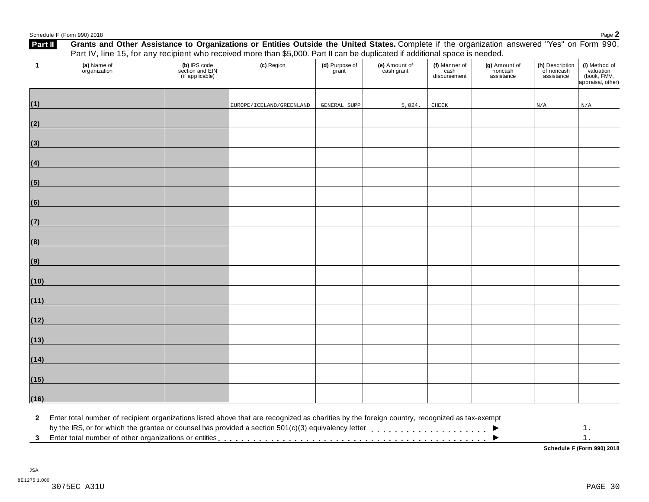|                | Schedule F (Form 990) 2018                                                                                                                                                                      | Done<br>Faye _ |
|----------------|-------------------------------------------------------------------------------------------------------------------------------------------------------------------------------------------------|----------------|
| <b>Part II</b> | "Yes"<br>' States.<br>s or Entities Outside<br>United<br>the<br>Other<br>Form<br>the<br>organization<br>and<br>. Complete<br>Grants<br>on.<br><b>Assistance to</b><br>answered<br>Organizations | 990            |

|                | Part IV, line 15, for any recipient who received more than \$5,000. Part II can be duplicated if additional space is needed. |                                                    |                          |                         |                             |                                       |                                        |                                             |                                                                |
|----------------|------------------------------------------------------------------------------------------------------------------------------|----------------------------------------------------|--------------------------|-------------------------|-----------------------------|---------------------------------------|----------------------------------------|---------------------------------------------|----------------------------------------------------------------|
| $\blacksquare$ | (a) Name of<br>organization                                                                                                  | (b) IRS code<br>section and EIN<br>(if applicable) | (c) Region               | (d) Purpose of<br>grant | (e) Amount of<br>cash grant | (f) Manner of<br>cash<br>disbursement | (g) Amount of<br>noncash<br>assistance | (h) Description<br>of noncash<br>assistance | (i) Method of<br>valuation<br>(book, FMV,<br>appraisal, other) |
| (1)            |                                                                                                                              |                                                    | EUROPE/ICELAND/GREENLAND | GENERAL SUPP            | 5,024.                      | CHECK                                 |                                        | $\rm N/A$                                   | $\rm N/A$                                                      |
| (2)            |                                                                                                                              |                                                    |                          |                         |                             |                                       |                                        |                                             |                                                                |
| (3)            |                                                                                                                              |                                                    |                          |                         |                             |                                       |                                        |                                             |                                                                |
| (4)            |                                                                                                                              |                                                    |                          |                         |                             |                                       |                                        |                                             |                                                                |
| (5)            |                                                                                                                              |                                                    |                          |                         |                             |                                       |                                        |                                             |                                                                |
| (6)            |                                                                                                                              |                                                    |                          |                         |                             |                                       |                                        |                                             |                                                                |
| (7)            |                                                                                                                              |                                                    |                          |                         |                             |                                       |                                        |                                             |                                                                |
| (8)            |                                                                                                                              |                                                    |                          |                         |                             |                                       |                                        |                                             |                                                                |
| (9)            |                                                                                                                              |                                                    |                          |                         |                             |                                       |                                        |                                             |                                                                |
| (10)           |                                                                                                                              |                                                    |                          |                         |                             |                                       |                                        |                                             |                                                                |
| (11)           |                                                                                                                              |                                                    |                          |                         |                             |                                       |                                        |                                             |                                                                |
| (12)           |                                                                                                                              |                                                    |                          |                         |                             |                                       |                                        |                                             |                                                                |
| (13)           |                                                                                                                              |                                                    |                          |                         |                             |                                       |                                        |                                             |                                                                |
| (14)           |                                                                                                                              |                                                    |                          |                         |                             |                                       |                                        |                                             |                                                                |
| (15)           |                                                                                                                              |                                                    |                          |                         |                             |                                       |                                        |                                             |                                                                |
| (16)           |                                                                                                                              |                                                    |                          |                         |                             |                                       |                                        |                                             |                                                                |

**2** Enter total number of recipient organizations listed above that are recognized as charities by the foreign country, recognized as tax-exempt

**Schedule F (Form 990) 2018**

1. 1.

 $\overline{\phantom{a}}$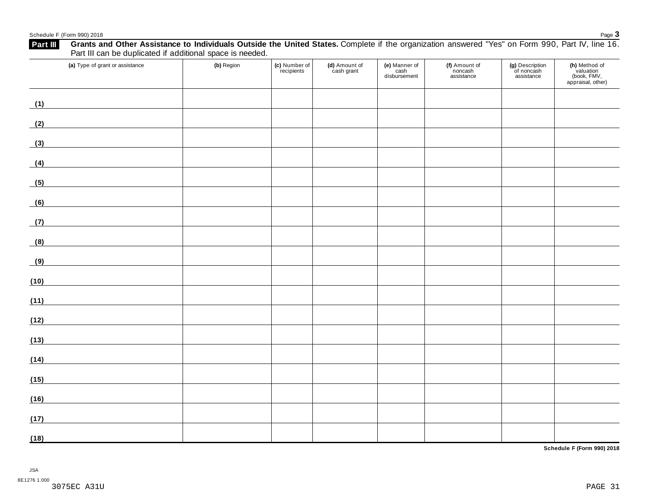## Echedule F (Form 990) 2018<br>**Exhable F** (Form 990) 2018<br>**Exhable F** Grants and Other Assistance to Individuals Outside the United States Complete if the organization answered "Yes" on Form 990 Part IV line 16

| Grants and Other Assistance to Individuals Outside the United States. Complete if the organization answered "Yes" on Form 990, Part IV, line 16.<br>Part III<br>Part III can be duplicated if additional space is needed. |            |                             |                             |                                       |                                        |                                             |                                                                |
|---------------------------------------------------------------------------------------------------------------------------------------------------------------------------------------------------------------------------|------------|-----------------------------|-----------------------------|---------------------------------------|----------------------------------------|---------------------------------------------|----------------------------------------------------------------|
| (a) Type of grant or assistance                                                                                                                                                                                           | (b) Region | (c) Number of<br>recipients | (d) Amount of<br>cash grant | (e) Manner of<br>cash<br>disbursement | (f) Amount of<br>noncash<br>assistance | (g) Description<br>of noncash<br>assistance | (h) Method of<br>valuation<br>(book, FMV,<br>appraisal, other) |
| (1)                                                                                                                                                                                                                       |            |                             |                             |                                       |                                        |                                             |                                                                |
| (2)<br><u> 1989 - Johann Barn, mars ann an t-Amhain</u>                                                                                                                                                                   |            |                             |                             |                                       |                                        |                                             |                                                                |
| (3)                                                                                                                                                                                                                       |            |                             |                             |                                       |                                        |                                             |                                                                |
| (4)<br><u> 1989 - Johann Barbara, martxa alemaniar a</u>                                                                                                                                                                  |            |                             |                             |                                       |                                        |                                             |                                                                |
| (5)                                                                                                                                                                                                                       |            |                             |                             |                                       |                                        |                                             |                                                                |
| <u> 1980 - Andrea Station Barbara, amerikan per</u><br>(6)                                                                                                                                                                |            |                             |                             |                                       |                                        |                                             |                                                                |
| <u> 1989 - Johann Barn, mars eta bainar eta industrial eta industrial eta industrial eta industrial eta industria</u><br>(7)                                                                                              |            |                             |                             |                                       |                                        |                                             |                                                                |
| (8)                                                                                                                                                                                                                       |            |                             |                             |                                       |                                        |                                             |                                                                |
| (9)<br><u> 1980 - Johann Barbara, martxa al</u>                                                                                                                                                                           |            |                             |                             |                                       |                                        |                                             |                                                                |
| (10)                                                                                                                                                                                                                      |            |                             |                             |                                       |                                        |                                             |                                                                |
| (11)                                                                                                                                                                                                                      |            |                             |                             |                                       |                                        |                                             |                                                                |
| (12)<br><u> 1989 - Johann Stein, fransk politiker (</u>                                                                                                                                                                   |            |                             |                             |                                       |                                        |                                             |                                                                |
| (13)                                                                                                                                                                                                                      |            |                             |                             |                                       |                                        |                                             |                                                                |
| (14)                                                                                                                                                                                                                      |            |                             |                             |                                       |                                        |                                             |                                                                |
| (15)<br><u> 1980 - Johann Barbara, martxa a</u>                                                                                                                                                                           |            |                             |                             |                                       |                                        |                                             |                                                                |
| (16)                                                                                                                                                                                                                      |            |                             |                             |                                       |                                        |                                             |                                                                |
| (17)                                                                                                                                                                                                                      |            |                             |                             |                                       |                                        |                                             |                                                                |
| (18)                                                                                                                                                                                                                      |            |                             |                             |                                       |                                        |                                             |                                                                |

**Schedule F (Form 990) 2018**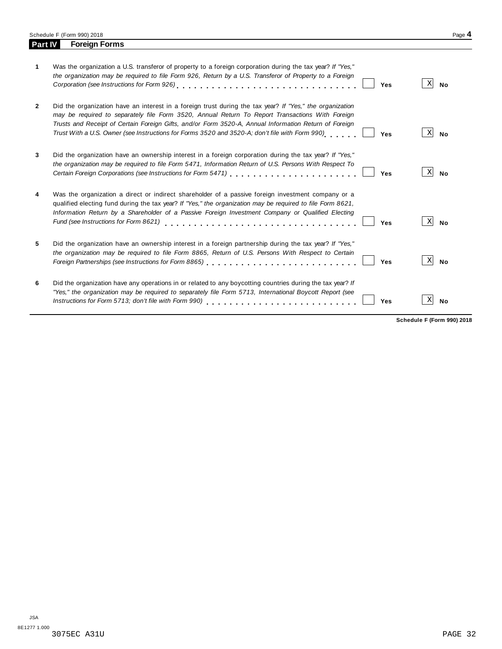Schedule F (Form 990) 2018 Page 4<br> **Part IV Foreign Forms Parth Foreign Forms** 

| 1              | Was the organization a U.S. transferor of property to a foreign corporation during the tax year? If "Yes,"<br>the organization may be required to file Form 926, Return by a U.S. Transferor of Property to a Foreign                                                                                                                                                                                                  | Yes | Χ | No        |
|----------------|------------------------------------------------------------------------------------------------------------------------------------------------------------------------------------------------------------------------------------------------------------------------------------------------------------------------------------------------------------------------------------------------------------------------|-----|---|-----------|
| $\overline{2}$ | Did the organization have an interest in a foreign trust during the tax year? If "Yes," the organization<br>may be required to separately file Form 3520, Annual Return To Report Transactions With Foreign<br>Trusts and Receipt of Certain Foreign Gifts, and/or Form 3520-A, Annual Information Return of Foreign<br>Trust With a U.S. Owner (see Instructions for Forms 3520 and 3520-A; don't file with Form 990) | Yes | Χ | <b>No</b> |
| 3              | Did the organization have an ownership interest in a foreign corporation during the tax year? If "Yes,"<br>the organization may be required to file Form 5471, Information Return of U.S. Persons With Respect To                                                                                                                                                                                                      | Yes | х | <b>No</b> |
| 4              | Was the organization a direct or indirect shareholder of a passive foreign investment company or a<br>qualified electing fund during the tax year? If "Yes," the organization may be required to file Form 8621,<br>Information Return by a Shareholder of a Passive Foreign Investment Company or Qualified Electing<br>Fund (see Instructions for Form 8621)                                                         | Yes | х | <b>No</b> |
| 5              | Did the organization have an ownership interest in a foreign partnership during the tax year? If "Yes,"<br>the organization may be required to file Form 8865, Return of U.S. Persons With Respect to Certain<br>Foreign Partnerships (see Instructions for Form 8865)                                                                                                                                                 | Yes | Х | No        |
| 6              | Did the organization have any operations in or related to any boycotting countries during the tax year? If<br>"Yes," the organization may be required to separately file Form 5713, International Boycott Report (see                                                                                                                                                                                                  | Yes | х | No        |

**Schedule F (Form 990) 2018**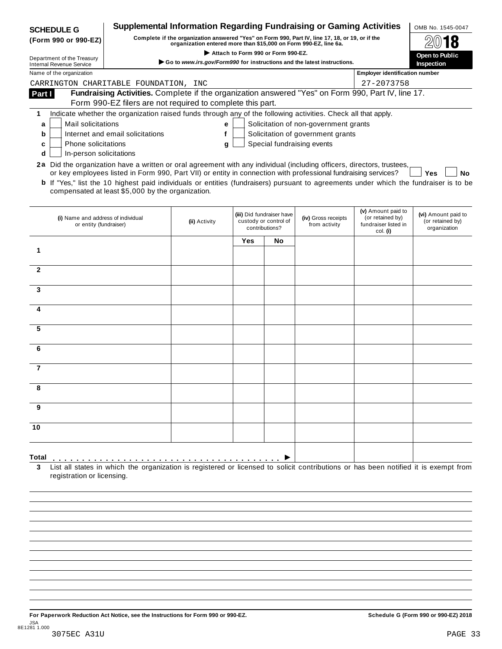| <b>SCHEDULE G</b>                                                               |                                                                                                                                              | <b>Supplemental Information Regarding Fundraising or Gaming Activities</b>                      |                                                                                                        |                                                    |                            |                                       | OMB No. 1545-0047                       |  |
|---------------------------------------------------------------------------------|----------------------------------------------------------------------------------------------------------------------------------------------|-------------------------------------------------------------------------------------------------|--------------------------------------------------------------------------------------------------------|----------------------------------------------------|----------------------------|---------------------------------------|-----------------------------------------|--|
| (Form 990 or 990-EZ)                                                            |                                                                                                                                              | Complete if the organization answered "Yes" on Form 990, Part IV, line 17, 18, or 19, or if the |                                                                                                        |                                                    |                            |                                       |                                         |  |
|                                                                                 |                                                                                                                                              |                                                                                                 | organization entered more than \$15,000 on Form 990-EZ, line 6a.<br>Attach to Form 990 or Form 990-EZ. |                                                    |                            |                                       |                                         |  |
| Department of the Treasury<br><b>Internal Revenue Service</b>                   |                                                                                                                                              | Go to www.irs.gov/Form990 for instructions and the latest instructions.                         |                                                                                                        |                                                    |                            |                                       | Open to Public<br>Inspection            |  |
| Name of the organization                                                        |                                                                                                                                              |                                                                                                 |                                                                                                        |                                                    |                            | <b>Employer identification number</b> |                                         |  |
|                                                                                 | CARRINGTON CHARITABLE FOUNDATION, INC                                                                                                        |                                                                                                 |                                                                                                        |                                                    |                            | 27-2073758                            |                                         |  |
| Part I                                                                          | Fundraising Activities. Complete if the organization answered "Yes" on Form 990, Part IV, line 17.                                           |                                                                                                 |                                                                                                        |                                                    |                            |                                       |                                         |  |
|                                                                                 | Form 990-EZ filers are not required to complete this part.                                                                                   |                                                                                                 |                                                                                                        |                                                    |                            |                                       |                                         |  |
| 1                                                                               | Indicate whether the organization raised funds through any of the following activities. Check all that apply.                                |                                                                                                 |                                                                                                        |                                                    |                            |                                       |                                         |  |
| a                                                                               | Mail solicitations<br>Solicitation of non-government grants<br>е                                                                             |                                                                                                 |                                                                                                        |                                                    |                            |                                       |                                         |  |
| Solicitation of government grants<br>Internet and email solicitations<br>f<br>b |                                                                                                                                              |                                                                                                 |                                                                                                        |                                                    |                            |                                       |                                         |  |
| <b>Phone solicitations</b><br>c                                                 |                                                                                                                                              | g                                                                                               |                                                                                                        |                                                    | Special fundraising events |                                       |                                         |  |
| In-person solicitations<br>d                                                    |                                                                                                                                              |                                                                                                 |                                                                                                        |                                                    |                            |                                       |                                         |  |
|                                                                                 | 2a Did the organization have a written or oral agreement with any individual (including officers, directors, trustees,                       |                                                                                                 |                                                                                                        |                                                    |                            |                                       |                                         |  |
|                                                                                 | or key employees listed in Form 990, Part VII) or entity in connection with professional fundraising services?                               |                                                                                                 |                                                                                                        |                                                    |                            |                                       | Yes<br>No                               |  |
|                                                                                 | <b>b</b> If "Yes," list the 10 highest paid individuals or entities (fundraisers) pursuant to agreements under which the fundraiser is to be |                                                                                                 |                                                                                                        |                                                    |                            |                                       |                                         |  |
|                                                                                 | compensated at least \$5,000 by the organization.                                                                                            |                                                                                                 |                                                                                                        |                                                    |                            |                                       |                                         |  |
|                                                                                 |                                                                                                                                              |                                                                                                 |                                                                                                        |                                                    |                            | (v) Amount paid to                    |                                         |  |
| (i) Name and address of individual                                              |                                                                                                                                              | (ii) Activity                                                                                   |                                                                                                        | (iii) Did fundraiser have<br>custody or control of | (iv) Gross receipts        | (or retained by)                      | (vi) Amount paid to<br>(or retained by) |  |
| or entity (fundraiser)                                                          |                                                                                                                                              |                                                                                                 |                                                                                                        | contributions?                                     | from activity              | fundraiser listed in<br>col. (i)      | organization                            |  |
|                                                                                 |                                                                                                                                              |                                                                                                 | <b>Yes</b>                                                                                             | No                                                 |                            |                                       |                                         |  |
| 1                                                                               |                                                                                                                                              |                                                                                                 |                                                                                                        |                                                    |                            |                                       |                                         |  |
|                                                                                 |                                                                                                                                              |                                                                                                 |                                                                                                        |                                                    |                            |                                       |                                         |  |
| $\mathbf{2}$                                                                    |                                                                                                                                              |                                                                                                 |                                                                                                        |                                                    |                            |                                       |                                         |  |
| 3                                                                               |                                                                                                                                              |                                                                                                 |                                                                                                        |                                                    |                            |                                       |                                         |  |
|                                                                                 |                                                                                                                                              |                                                                                                 |                                                                                                        |                                                    |                            |                                       |                                         |  |
| 4                                                                               |                                                                                                                                              |                                                                                                 |                                                                                                        |                                                    |                            |                                       |                                         |  |
|                                                                                 |                                                                                                                                              |                                                                                                 |                                                                                                        |                                                    |                            |                                       |                                         |  |
| 5                                                                               |                                                                                                                                              |                                                                                                 |                                                                                                        |                                                    |                            |                                       |                                         |  |
|                                                                                 |                                                                                                                                              |                                                                                                 |                                                                                                        |                                                    |                            |                                       |                                         |  |
|                                                                                 |                                                                                                                                              |                                                                                                 |                                                                                                        |                                                    |                            |                                       |                                         |  |
|                                                                                 |                                                                                                                                              |                                                                                                 |                                                                                                        |                                                    |                            |                                       |                                         |  |
|                                                                                 |                                                                                                                                              |                                                                                                 |                                                                                                        |                                                    |                            |                                       |                                         |  |
|                                                                                 |                                                                                                                                              |                                                                                                 |                                                                                                        |                                                    |                            |                                       |                                         |  |
|                                                                                 |                                                                                                                                              |                                                                                                 |                                                                                                        |                                                    |                            |                                       |                                         |  |
|                                                                                 |                                                                                                                                              |                                                                                                 |                                                                                                        |                                                    |                            |                                       |                                         |  |
|                                                                                 |                                                                                                                                              |                                                                                                 |                                                                                                        |                                                    |                            |                                       |                                         |  |
|                                                                                 |                                                                                                                                              |                                                                                                 |                                                                                                        |                                                    |                            |                                       |                                         |  |
|                                                                                 |                                                                                                                                              |                                                                                                 |                                                                                                        |                                                    |                            |                                       |                                         |  |
| 6<br>$\overline{7}$<br>9<br>10                                                  |                                                                                                                                              |                                                                                                 |                                                                                                        |                                                    |                            |                                       |                                         |  |
|                                                                                 |                                                                                                                                              |                                                                                                 |                                                                                                        |                                                    |                            |                                       |                                         |  |
| Total                                                                           |                                                                                                                                              |                                                                                                 |                                                                                                        |                                                    |                            |                                       |                                         |  |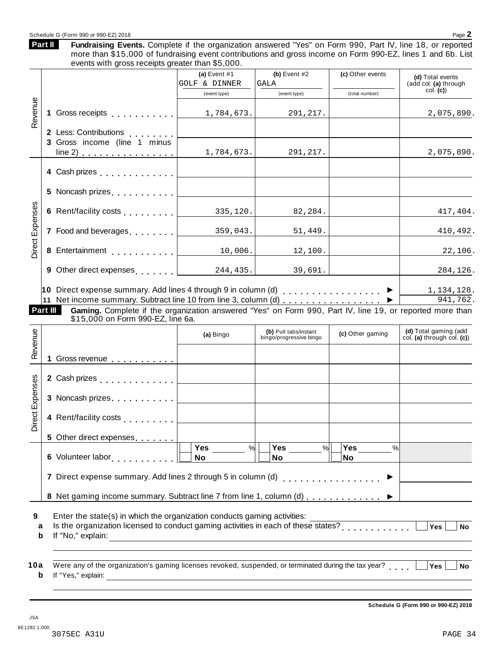#### Schedule G (Form 990 or 990-EZ) 2018 Page 2

Fundraising Events. Complete if the organization answered "Yes" on Form 990, Part IV, line 18, or reported more than \$15,000 of fundraising event contributions and gross income on Form 990-EZ, lines 1 and 6b. List events with gross receipts greater than \$5,000. **Part II**

|                                                       | (a) Event $#1$                                       | (b) Event $#2$                                                                                                      | (c) Other events                                                                                                                                                              |                                                                                                                                                                                                                                                                                                                                                                                                                                                                                 |
|-------------------------------------------------------|------------------------------------------------------|---------------------------------------------------------------------------------------------------------------------|-------------------------------------------------------------------------------------------------------------------------------------------------------------------------------|---------------------------------------------------------------------------------------------------------------------------------------------------------------------------------------------------------------------------------------------------------------------------------------------------------------------------------------------------------------------------------------------------------------------------------------------------------------------------------|
|                                                       | GOLF & DINNER                                        | GALA                                                                                                                |                                                                                                                                                                               | (d) Total events<br>(add col. (a) through                                                                                                                                                                                                                                                                                                                                                                                                                                       |
|                                                       | (event type)                                         | (event type)                                                                                                        | (total number)                                                                                                                                                                | col. (c)                                                                                                                                                                                                                                                                                                                                                                                                                                                                        |
| 1 Gross receipts                                      | 1,784,673.                                           | 291,217.                                                                                                            |                                                                                                                                                                               | 2,075,890.                                                                                                                                                                                                                                                                                                                                                                                                                                                                      |
| 2 Less: Contributions<br>3 Gross income (line 1 minus |                                                      |                                                                                                                     |                                                                                                                                                                               | 2,075,890.                                                                                                                                                                                                                                                                                                                                                                                                                                                                      |
|                                                       |                                                      |                                                                                                                     |                                                                                                                                                                               |                                                                                                                                                                                                                                                                                                                                                                                                                                                                                 |
| 4 Cash prizes                                         |                                                      |                                                                                                                     |                                                                                                                                                                               |                                                                                                                                                                                                                                                                                                                                                                                                                                                                                 |
| 5 Noncash prizes                                      |                                                      |                                                                                                                     |                                                                                                                                                                               |                                                                                                                                                                                                                                                                                                                                                                                                                                                                                 |
| 6 Rent/facility costs                                 |                                                      | 82,284.                                                                                                             |                                                                                                                                                                               | 417,404.                                                                                                                                                                                                                                                                                                                                                                                                                                                                        |
| 7 Food and beverages                                  | 359,043.                                             | 51,449.                                                                                                             |                                                                                                                                                                               | 410,492.                                                                                                                                                                                                                                                                                                                                                                                                                                                                        |
| 8                                                     | 10,006.                                              | 12,100.                                                                                                             |                                                                                                                                                                               | 22,106.                                                                                                                                                                                                                                                                                                                                                                                                                                                                         |
|                                                       |                                                      | 39,691.                                                                                                             |                                                                                                                                                                               | 284,126.                                                                                                                                                                                                                                                                                                                                                                                                                                                                        |
| Part III                                              |                                                      |                                                                                                                     |                                                                                                                                                                               | 1,134,128.<br>941,762.                                                                                                                                                                                                                                                                                                                                                                                                                                                          |
|                                                       | (a) Bingo                                            | (b) Pull tabs/instant<br>bingo/progressive bingo                                                                    | (c) Other gaming                                                                                                                                                              | (d) Total gaming (add<br>col. (a) through col. (c))                                                                                                                                                                                                                                                                                                                                                                                                                             |
|                                                       |                                                      |                                                                                                                     |                                                                                                                                                                               |                                                                                                                                                                                                                                                                                                                                                                                                                                                                                 |
| 2 Cash prizes <b>contained 2</b> Cash prizes          |                                                      |                                                                                                                     |                                                                                                                                                                               |                                                                                                                                                                                                                                                                                                                                                                                                                                                                                 |
| 3 Noncash prizes                                      |                                                      |                                                                                                                     |                                                                                                                                                                               |                                                                                                                                                                                                                                                                                                                                                                                                                                                                                 |
| 4 Rent/facility costs                                 |                                                      |                                                                                                                     |                                                                                                                                                                               |                                                                                                                                                                                                                                                                                                                                                                                                                                                                                 |
| 5 Other direct expenses                               |                                                      |                                                                                                                     |                                                                                                                                                                               |                                                                                                                                                                                                                                                                                                                                                                                                                                                                                 |
| 6 Volunteer labor [1] [1]                             | No                                                   | No                                                                                                                  | No                                                                                                                                                                            |                                                                                                                                                                                                                                                                                                                                                                                                                                                                                 |
|                                                       |                                                      |                                                                                                                     |                                                                                                                                                                               |                                                                                                                                                                                                                                                                                                                                                                                                                                                                                 |
|                                                       |                                                      |                                                                                                                     |                                                                                                                                                                               |                                                                                                                                                                                                                                                                                                                                                                                                                                                                                 |
|                                                       |                                                      | <u> 1989 - Johann Stein, mars an de Britannich (b. 1989)</u>                                                        |                                                                                                                                                                               | Yes<br><b>No</b>                                                                                                                                                                                                                                                                                                                                                                                                                                                                |
|                                                       | line 2) $\ldots$ $\ldots$ $\ldots$ $\ldots$ $\ldots$ | 1,784,673.<br>Entertainment [1994]<br>9 Other direct expenses 244, 435.<br>\$15,000 on Form 990-EZ, line 6a.<br>Yes | 291,217.<br>335,120.<br>Yes<br>%<br>7 Direct expense summary. Add lines 2 through 5 in column (d)<br>Enter the state(s) in which the organization conducts gaming activities: | 10 Direct expense summary. Add lines 4 through 9 in column (d) $\ldots \ldots \ldots \ldots$<br>11 Net income summary. Subtract line 10 from line 3, column (d) ▶<br>Gaming. Complete if the organization answered "Yes" on Form 990, Part IV, line 19, or reported more than<br>Yes<br>$\%$<br>%<br>. <b>.</b> .<br>8 Net gaming income summary. Subtract line 7 from line 1, column (d)<br>Is the organization licensed to conduct gaming activities in each of these states? |

**Schedule G (Form 990 or 990-EZ) 2018**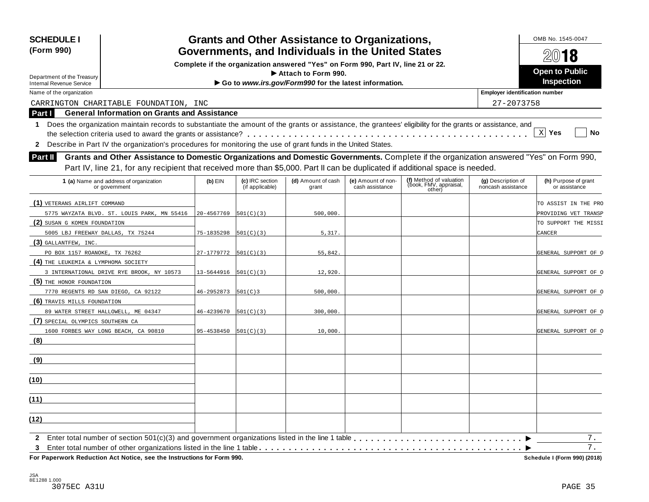| <b>SCHEDULE I</b><br>(Form 990)                                                                                                                                           |            |                                    | <b>Grants and Other Assistance to Organizations,</b><br>Governments, and Individuals in the United States |                                       |                                                             |                                          | OMB No. 1545-0047<br>2018             |
|---------------------------------------------------------------------------------------------------------------------------------------------------------------------------|------------|------------------------------------|-----------------------------------------------------------------------------------------------------------|---------------------------------------|-------------------------------------------------------------|------------------------------------------|---------------------------------------|
|                                                                                                                                                                           |            |                                    | Complete if the organization answered "Yes" on Form 990, Part IV, line 21 or 22.                          |                                       |                                                             |                                          |                                       |
| Department of the Treasury                                                                                                                                                |            |                                    | Attach to Form 990.                                                                                       |                                       |                                                             |                                          | <b>Open to Public</b>                 |
| <b>Internal Revenue Service</b>                                                                                                                                           |            |                                    | Go to www.irs.gov/Form990 for the latest information.                                                     |                                       |                                                             |                                          | <b>Inspection</b>                     |
| Name of the organization                                                                                                                                                  |            |                                    |                                                                                                           |                                       |                                                             | <b>Employer identification number</b>    |                                       |
| CARRINGTON CHARITABLE FOUNDATION, INC                                                                                                                                     |            |                                    |                                                                                                           |                                       |                                                             | 27-2073758                               |                                       |
| <b>General Information on Grants and Assistance</b><br>Part I                                                                                                             |            |                                    |                                                                                                           |                                       |                                                             |                                          |                                       |
| Does the organization maintain records to substantiate the amount of the grants or assistance, the grantees' eligibility for the grants or assistance, and<br>$\mathbf 1$ |            |                                    |                                                                                                           |                                       |                                                             |                                          |                                       |
|                                                                                                                                                                           |            |                                    |                                                                                                           |                                       |                                                             |                                          | $X$ Yes<br><b>No</b>                  |
| 2 Describe in Part IV the organization's procedures for monitoring the use of grant funds in the United States.                                                           |            |                                    |                                                                                                           |                                       |                                                             |                                          |                                       |
| Grants and Other Assistance to Domestic Organizations and Domestic Governments. Complete if the organization answered "Yes" on Form 990,<br><b>Part II</b>                |            |                                    |                                                                                                           |                                       |                                                             |                                          |                                       |
| Part IV, line 21, for any recipient that received more than \$5,000. Part II can be duplicated if additional space is needed.                                             |            |                                    |                                                                                                           |                                       |                                                             |                                          |                                       |
|                                                                                                                                                                           |            |                                    |                                                                                                           |                                       |                                                             |                                          |                                       |
| 1 (a) Name and address of organization<br>or government                                                                                                                   | $(b)$ EIN  | (c) IRC section<br>(if applicable) | (d) Amount of cash<br>grant                                                                               | (e) Amount of non-<br>cash assistance | (f) Method of valuation<br>(book, FMV, appraisal,<br>other) | (g) Description of<br>noncash assistance | (h) Purpose of grant<br>or assistance |
| (1) VETERANS AIRLIFT COMMAND                                                                                                                                              |            |                                    |                                                                                                           |                                       |                                                             |                                          | TO ASSIST IN THE PRO                  |
| 5775 WAYZATA BLVD. ST. LOUIS PARK, MN 55416                                                                                                                               | 20-4567769 | 501(C)(3)                          | 500,000.                                                                                                  |                                       |                                                             |                                          | PROVIDING VET TRANSP                  |
| (2) SUSAN G KOMEN FOUNDATION                                                                                                                                              |            |                                    |                                                                                                           |                                       |                                                             |                                          | TO SUPPORT THE MISSI                  |
| 5005 LBJ FREEWAY DALLAS, TX 75244                                                                                                                                         | 75-1835298 | 501(C)(3)                          | 5,317.                                                                                                    |                                       |                                                             |                                          | CANCER                                |
| $(3)$ GALLANTFEW, INC.                                                                                                                                                    |            |                                    |                                                                                                           |                                       |                                                             |                                          |                                       |
| PO BOX 1157 ROANOKE, TX 76262                                                                                                                                             | 27-1779772 | 501(C)(3)                          | 55,842.                                                                                                   |                                       |                                                             |                                          | GENERAL SUPPORT OF O                  |
| (4) THE LEUKEMIA & LYMPHOMA SOCIETY                                                                                                                                       |            |                                    |                                                                                                           |                                       |                                                             |                                          |                                       |
| 3 INTERNATIONAL DRIVE RYE BROOK, NY 10573                                                                                                                                 | 13-5644916 | 501(C)(3)                          | 12,920                                                                                                    |                                       |                                                             |                                          | GENERAL SUPPORT OF O                  |
| (5) THE HONOR FOUNDATION                                                                                                                                                  |            |                                    |                                                                                                           |                                       |                                                             |                                          |                                       |
| 7770 REGENTS RD SAN DIEGO, CA 92122                                                                                                                                       | 46-2952873 | 501(C)3                            | 500,000                                                                                                   |                                       |                                                             |                                          | GENERAL SUPPORT OF O                  |
| (6) TRAVIS MILLS FOUNDATION                                                                                                                                               |            |                                    |                                                                                                           |                                       |                                                             |                                          |                                       |
| 89 WATER STREET HALLOWELL, ME 04347                                                                                                                                       | 46-4239670 | 501(C)(3)                          | 300,000.                                                                                                  |                                       |                                                             |                                          | GENERAL SUPPORT OF O                  |
| (7) SPECIAL OLYMPICS SOUTHERN CA                                                                                                                                          |            |                                    |                                                                                                           |                                       |                                                             |                                          |                                       |
| 1600 FORBES WAY LONG BEACH, CA 90810                                                                                                                                      | 95-4538450 | 501(C)(3)                          | 10,000                                                                                                    |                                       |                                                             |                                          | GENERAL SUPPORT OF O                  |
| (8)                                                                                                                                                                       |            |                                    |                                                                                                           |                                       |                                                             |                                          |                                       |
| <u>(9)</u>                                                                                                                                                                |            |                                    |                                                                                                           |                                       |                                                             |                                          |                                       |
| (10)                                                                                                                                                                      |            |                                    |                                                                                                           |                                       |                                                             |                                          |                                       |
| (11)                                                                                                                                                                      |            |                                    |                                                                                                           |                                       |                                                             |                                          |                                       |
|                                                                                                                                                                           |            |                                    |                                                                                                           |                                       |                                                             |                                          |                                       |
| (12)                                                                                                                                                                      |            |                                    |                                                                                                           |                                       |                                                             |                                          |                                       |
| $\mathbf{2}$                                                                                                                                                              |            |                                    |                                                                                                           |                                       |                                                             |                                          | 7.<br>7.                              |

 $F$ or Paperwork Reduction Act Notice, see the Instructions for Form 990.

Schedule I (Form 990) (2018)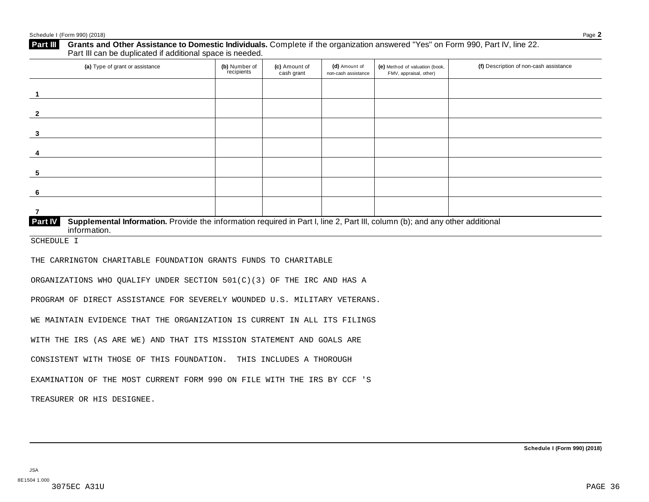| (a) Type of grant or assistance                                                                                                                         | (b) Number of<br>recipients | (c) Amount of<br>cash grant | (d) Amount of<br>non-cash assistance | (e) Method of valuation (book,<br>FMV, appraisal, other) | (f) Description of non-cash assistance |
|---------------------------------------------------------------------------------------------------------------------------------------------------------|-----------------------------|-----------------------------|--------------------------------------|----------------------------------------------------------|----------------------------------------|
| -1                                                                                                                                                      |                             |                             |                                      |                                                          |                                        |
| $\mathbf{2}$                                                                                                                                            |                             |                             |                                      |                                                          |                                        |
| 3                                                                                                                                                       |                             |                             |                                      |                                                          |                                        |
| 4                                                                                                                                                       |                             |                             |                                      |                                                          |                                        |
| 5                                                                                                                                                       |                             |                             |                                      |                                                          |                                        |
| 6                                                                                                                                                       |                             |                             |                                      |                                                          |                                        |
| $\overline{7}$                                                                                                                                          |                             |                             |                                      |                                                          |                                        |
| Part IV<br>Supplemental Information. Provide the information required in Part I, line 2, Part III, column (b); and any other additional<br>information. |                             |                             |                                      |                                                          |                                        |
| <b>SCHEDULE I</b>                                                                                                                                       |                             |                             |                                      |                                                          |                                        |
| THE CARRINGTON CHARITABLE FOUNDATION GRANTS FUNDS TO CHARITABLE                                                                                         |                             |                             |                                      |                                                          |                                        |
| ORGANIZATIONS WHO QUALIFY UNDER SECTION 501(C)(3) OF THE IRC AND HAS A                                                                                  |                             |                             |                                      |                                                          |                                        |
| PROGRAM OF DIRECT ASSISTANCE FOR SEVERELY WOUNDED U.S. MILITARY VETERANS.                                                                               |                             |                             |                                      |                                                          |                                        |
| WE MAINTAIN EVIDENCE THAT THE ORGANIZATION IS CURRENT IN ALL ITS FILINGS                                                                                |                             |                             |                                      |                                                          |                                        |
| WITH THE IRS (AS ARE WE) AND THAT ITS MISSION STATEMENT AND GOALS ARE                                                                                   |                             |                             |                                      |                                                          |                                        |
| CONSISTENT WITH THOSE OF THIS FOUNDATION. THIS INCLUDES A THOROUGH                                                                                      |                             |                             |                                      |                                                          |                                        |
| EXAMINATION OF THE MOST CURRENT FORM 990 ON FILE WITH THE IRS BY CCF 'S                                                                                 |                             |                             |                                      |                                                          |                                        |
| TREASURER OR HIS DESIGNEE.                                                                                                                              |                             |                             |                                      |                                                          |                                        |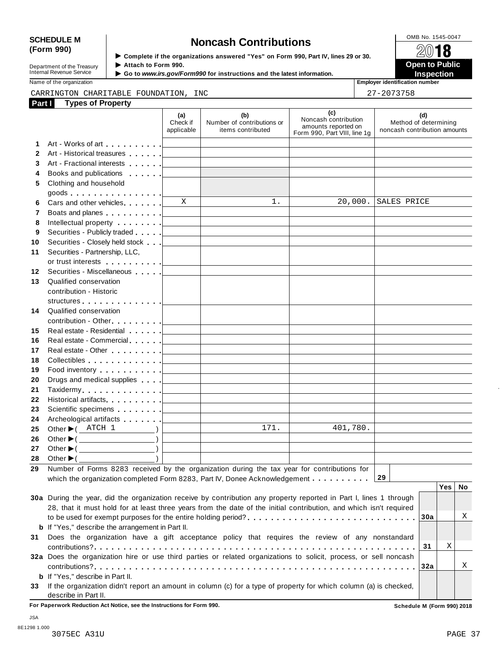# SCHEDULE M<br>
(Form 990) **Some Lightness of the organizations answered "Yes" on Form 990 Part IV lines 29 or 30<br>
<b>Some Lightness Contributions**

**Department of the Treasury<br>Internal Revenue Service** 

**Examplete** if the organizations answered "Yes" on Form 990, Part Ⅳ, lines 29 or 30. 
<br>● Attach to Form 990. **Department of the Treasury ▶ Attach to Form 990.**<br>Internal Revenue Service ▶ Go to *www.irs.gov/Form990* for instructions and the latest information.<br>Nome of the organization aumhor

Name of the organization **intervalse of the organization intervalse of the organization <b>intervalse of the organization intervalse of the organization intervalse of the organization intervalse of the organization**

#### CARRINGTON CHARITABLE FOUNDATION, INC  $\begin{array}{|c|c|c|c|c|c|}\hline & 27-2073758 & & & \\ \hline \end{array}$

| Part I | <b>Types of Property</b>                                                                                                                                                                                                                                                                                                                                                             |                               |                                                        |                                                                                    |                                                              |
|--------|--------------------------------------------------------------------------------------------------------------------------------------------------------------------------------------------------------------------------------------------------------------------------------------------------------------------------------------------------------------------------------------|-------------------------------|--------------------------------------------------------|------------------------------------------------------------------------------------|--------------------------------------------------------------|
|        |                                                                                                                                                                                                                                                                                                                                                                                      | (a)<br>Check if<br>applicable | (b)<br>Number of contributions or<br>items contributed | (c)<br>Noncash contribution<br>amounts reported on<br>Form 990, Part VIII, line 1g | (d)<br>Method of determining<br>noncash contribution amounts |
| 1      |                                                                                                                                                                                                                                                                                                                                                                                      |                               |                                                        |                                                                                    |                                                              |
| 2      | Art - Historical treasures                                                                                                                                                                                                                                                                                                                                                           |                               |                                                        |                                                                                    |                                                              |
| 3      | Art - Fractional interests [1995]                                                                                                                                                                                                                                                                                                                                                    |                               |                                                        |                                                                                    |                                                              |
| 4      | Books and publications [19]                                                                                                                                                                                                                                                                                                                                                          |                               |                                                        |                                                                                    |                                                              |
| 5      | Clothing and household                                                                                                                                                                                                                                                                                                                                                               |                               |                                                        |                                                                                    |                                                              |
|        | goods                                                                                                                                                                                                                                                                                                                                                                                |                               |                                                        |                                                                                    |                                                              |
| 6      | Cars and other vehicles                                                                                                                                                                                                                                                                                                                                                              | X                             | 1.                                                     | 20,000.                                                                            | SALES PRICE                                                  |
| 7      |                                                                                                                                                                                                                                                                                                                                                                                      |                               |                                                        |                                                                                    |                                                              |
| 8      | Intellectual property [                                                                                                                                                                                                                                                                                                                                                              |                               |                                                        |                                                                                    |                                                              |
| 9      | Securities - Publicly traded [                                                                                                                                                                                                                                                                                                                                                       |                               |                                                        |                                                                                    |                                                              |
| 10     | Securities - Closely held stock                                                                                                                                                                                                                                                                                                                                                      |                               |                                                        |                                                                                    |                                                              |
| 11     | Securities - Partnership, LLC,                                                                                                                                                                                                                                                                                                                                                       |                               |                                                        |                                                                                    |                                                              |
|        | or trust interests [1]                                                                                                                                                                                                                                                                                                                                                               |                               |                                                        |                                                                                    |                                                              |
| 12     | Securities - Miscellaneous                                                                                                                                                                                                                                                                                                                                                           |                               |                                                        |                                                                                    |                                                              |
| 13     | Qualified conservation                                                                                                                                                                                                                                                                                                                                                               |                               |                                                        |                                                                                    |                                                              |
|        | contribution - Historic                                                                                                                                                                                                                                                                                                                                                              |                               |                                                        |                                                                                    |                                                              |
|        |                                                                                                                                                                                                                                                                                                                                                                                      |                               |                                                        |                                                                                    |                                                              |
| 14     | Qualified conservation                                                                                                                                                                                                                                                                                                                                                               |                               |                                                        |                                                                                    |                                                              |
|        | contribution - Other <u>  _ _ _ _ _</u>                                                                                                                                                                                                                                                                                                                                              |                               |                                                        |                                                                                    |                                                              |
| 15     | Real estate - Residential [1995]                                                                                                                                                                                                                                                                                                                                                     |                               |                                                        |                                                                                    |                                                              |
| 16     | Real estate - Commercial                                                                                                                                                                                                                                                                                                                                                             |                               |                                                        |                                                                                    |                                                              |
| 17     | Real estate - Other <b>Calculate 1   Calculate 1   Calculate 1   Calculate 1   Calculate 1   Calculate 1   Calculate 1   Calculate 1   Calculate 1   Calculate 1   Calculate 1   Calculate 1   Calculate 1   Calculate 1   Calcu</b>                                                                                                                                                 |                               |                                                        |                                                                                    |                                                              |
| 18     | Collectibles experiences and the collectibles                                                                                                                                                                                                                                                                                                                                        |                               |                                                        |                                                                                    |                                                              |
| 19     | Food inventory [19]                                                                                                                                                                                                                                                                                                                                                                  |                               |                                                        |                                                                                    |                                                              |
| 20     | Drugs and medical supplies [                                                                                                                                                                                                                                                                                                                                                         |                               |                                                        |                                                                                    |                                                              |
| 21     | Taxidermy [19]                                                                                                                                                                                                                                                                                                                                                                       |                               |                                                        |                                                                                    |                                                              |
| 22     | Historical artifacts [19]                                                                                                                                                                                                                                                                                                                                                            |                               |                                                        |                                                                                    |                                                              |
| 23     | Scientific specimens [                                                                                                                                                                                                                                                                                                                                                               |                               |                                                        |                                                                                    |                                                              |
| 24     | Archeological artifacts [1996]                                                                                                                                                                                                                                                                                                                                                       |                               |                                                        |                                                                                    |                                                              |
| 25     | Other $\blacktriangleright$ ( $\triangle$ TCH 1<br>$\overline{\phantom{a}}$                                                                                                                                                                                                                                                                                                          |                               | 171.                                                   | 401,780.                                                                           |                                                              |
| 26     | Other $\blacktriangleright$ ( $\_\_\_\_\_\_\_\_$ )                                                                                                                                                                                                                                                                                                                                   |                               |                                                        |                                                                                    |                                                              |
| 27     | Other $\blacktriangleright$ ( $\qquad \qquad$                                                                                                                                                                                                                                                                                                                                        |                               |                                                        |                                                                                    |                                                              |
| 28     | $\begin{picture}(20,20) \put(0,0){\line(1,0){10}} \put(15,0){\line(1,0){10}} \put(15,0){\line(1,0){10}} \put(15,0){\line(1,0){10}} \put(15,0){\line(1,0){10}} \put(15,0){\line(1,0){10}} \put(15,0){\line(1,0){10}} \put(15,0){\line(1,0){10}} \put(15,0){\line(1,0){10}} \put(15,0){\line(1,0){10}} \put(15,0){\line(1,0){10}} \put(15,0){\line(1$<br>Other $\blacktriangleright$ ( |                               |                                                        |                                                                                    |                                                              |
| 29     | Number of Forms 8283 received by the organization during the tax year for contributions for                                                                                                                                                                                                                                                                                          |                               |                                                        |                                                                                    |                                                              |
|        | which the organization completed Form 8283, Part IV, Donee Acknowledgement                                                                                                                                                                                                                                                                                                           |                               |                                                        |                                                                                    | 29                                                           |
|        |                                                                                                                                                                                                                                                                                                                                                                                      |                               |                                                        |                                                                                    | Yes<br>No                                                    |
|        | 30a During the year, did the organization receive by contribution any property reported in Part I, lines 1 through                                                                                                                                                                                                                                                                   |                               |                                                        |                                                                                    |                                                              |
|        | 28, that it must hold for at least three years from the date of the initial contribution, and which isn't required                                                                                                                                                                                                                                                                   |                               |                                                        |                                                                                    | Χ                                                            |
|        |                                                                                                                                                                                                                                                                                                                                                                                      |                               |                                                        |                                                                                    | 30a                                                          |
|        | <b>b</b> If "Yes," describe the arrangement in Part II.                                                                                                                                                                                                                                                                                                                              |                               |                                                        |                                                                                    |                                                              |
| 31     | Does the organization have a gift acceptance policy that requires the review of any nonstandard                                                                                                                                                                                                                                                                                      |                               |                                                        |                                                                                    |                                                              |
|        |                                                                                                                                                                                                                                                                                                                                                                                      |                               |                                                        |                                                                                    | Χ<br>31                                                      |
|        | 32a Does the organization hire or use third parties or related organizations to solicit, process, or sell noncash                                                                                                                                                                                                                                                                    |                               |                                                        |                                                                                    | Χ                                                            |
|        |                                                                                                                                                                                                                                                                                                                                                                                      |                               |                                                        |                                                                                    | 32a                                                          |
|        | <b>b</b> If "Yes," describe in Part II.                                                                                                                                                                                                                                                                                                                                              |                               |                                                        |                                                                                    |                                                              |
| 33     | If the organization didn't report an amount in column (c) for a type of property for which column (a) is checked,                                                                                                                                                                                                                                                                    |                               |                                                        |                                                                                    |                                                              |
|        | describe in Part II.                                                                                                                                                                                                                                                                                                                                                                 |                               |                                                        |                                                                                    |                                                              |

**For Paperwork Reduction Act Notice, see the Instructions for Form 990. Schedule M (Form 990) 2018**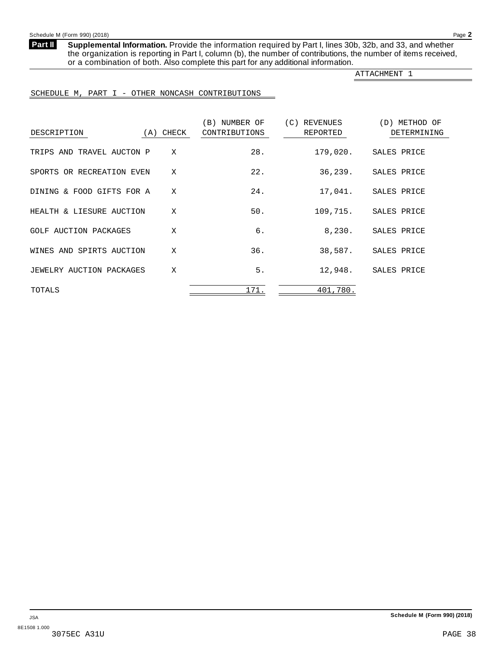<span id="page-33-0"></span>**Part II**

**Supplemental Information.** Provide the information required by Part I, lines 30b, 32b, and 33, and whether the organization is reporting in Part I, column (b), the number of contributions, the number of items received, or a combination of both. Also complete this part for any additional information.

ATTACHMENT 1

#### SCHEDULE M, PART I - OTHER NONCASH CONTRIBUTIONS

| DESCRIPTION               | (A) CHECK    | (B) NUMBER OF<br>CONTRIBUTIONS | (C) REVENUES<br>REPORTED | (D) METHOD OF<br>DETERMINING |
|---------------------------|--------------|--------------------------------|--------------------------|------------------------------|
| TRIPS AND TRAVEL AUCTON P | X            | 28.                            |                          | 179,020. SALES PRICE         |
| SPORTS OR RECREATION EVEN | X            | 22.                            |                          | 36,239. SALES PRICE          |
| DINING & FOOD GIFTS FOR A | X            | 24.                            |                          | 17,041. SALES PRICE          |
| HEALTH & LIESURE AUCTION  | X            | 50.                            |                          | 109,715. SALES PRICE         |
| GOLF AUCTION PACKAGES     | X            | б.                             | 8,230.                   | SALES PRICE                  |
| WINES AND SPIRTS AUCTION  | X            | 36.                            |                          | 38,587. SALES PRICE          |
| JEWELRY AUCTION PACKAGES  | $\mathbf{x}$ | 5.                             |                          | 12,948. SALES PRICE          |
| TOTALS                    |              | 171.                           | 401,780.                 |                              |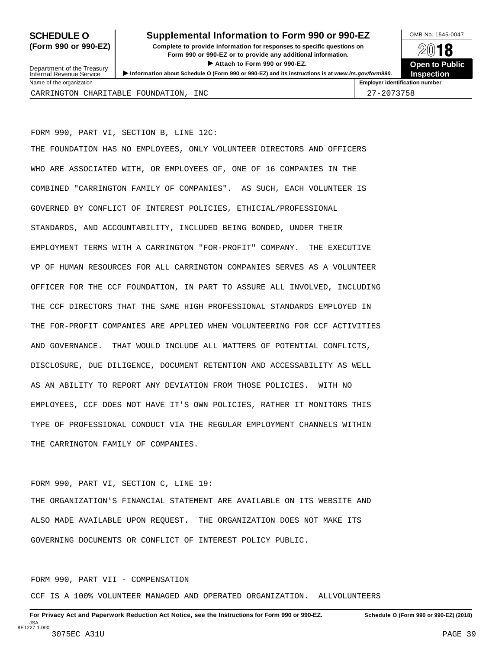## **SCHEDULE O** Supplemental Information to Form 990 or 990-EZ DMB No. 1545-0047

**(Form 990 or 990-EZ) Complete to provide information for responses to specific questions on** plete to provide information for responses to specific questions on  $\mathbb{Z}^{0}$  **18 EV I O**<br>
■ Attach to Form 990 or 990-EZ. Depen to Public<br>
■ Public Corporation of the Security of the Security of the Security of the Security of the Security of the Security of the Security of the Security of the Securi



Department of the Treasury<br>Internal Revenue Service Department of the Treasury <br>Depen to Public<br>Name of the organization<br>Name of the organization<br>Name of the organization<br>Name of the organization<br>Name of the organization<br>Name of the organization<br>Name of the organization<br>Na

CARRINGTON CHARITABLE FOUNDATION, INC  $\begin{array}{|c|c|c|c|c|c|}\hline & 27-2073758 & & & \\ \hline \end{array}$ 

FORM 990, PART VI, SECTION B, LINE 12C:

THE FOUNDATION HAS NO EMPLOYEES, ONLY VOLUNTEER DIRECTORS AND OFFICERS WHO ARE ASSOCIATED WITH, OR EMPLOYEES OF, ONE OF 16 COMPANIES IN THE COMBINED "CARRINGTON FAMILY OF COMPANIES". AS SUCH, EACH VOLUNTEER IS GOVERNED BY CONFLICT OF INTEREST POLICIES, ETHICIAL/PROFESSIONAL STANDARDS, AND ACCOUNTABILITY, INCLUDED BEING BONDED, UNDER THEIR EMPLOYMENT TERMS WITH A CARRINGTON "FOR-PROFIT" COMPANY. THE EXECUTIVE VP OF HUMAN RESOURCES FOR ALL CARRINGTON COMPANIES SERVES AS A VOLUNTEER OFFICER FOR THE CCF FOUNDATION, IN PART TO ASSURE ALL INVOLVED, INCLUDING THE CCF DIRECTORS THAT THE SAME HIGH PROFESSIONAL STANDARDS EMPLOYED IN THE FOR-PROFIT COMPANIES ARE APPLIED WHEN VOLUNTEERING FOR CCF ACTIVITIES AND GOVERNANCE. THAT WOULD INCLUDE ALL MATTERS OF POTENTIAL CONFLICTS, DISCLOSURE, DUE DILIGENCE, DOCUMENT RETENTION AND ACCESSABILITY AS WELL AS AN ABILITY TO REPORT ANY DEVIATION FROM THOSE POLICIES. WITH NO EMPLOYEES, CCF DOES NOT HAVE IT'S OWN POLICIES, RATHER IT MONITORS THIS TYPE OF PROFESSIONAL CONDUCT VIA THE REGULAR EMPLOYMENT CHANNELS WITHIN THE CARRINGTON FAMILY OF COMPANIES.

FORM 990, PART VI, SECTION C, LINE 19:

THE ORGANIZATION'S FINANCIAL STATEMENT ARE AVAILABLE ON ITS WEBSITE AND ALSO MADE AVAILABLE UPON REQUEST. THE ORGANIZATION DOES NOT MAKE ITS GOVERNING DOCUMENTS OR CONFLICT OF INTEREST POLICY PUBLIC.

FORM 990, PART VII - COMPENSATION

CCF IS A 100% VOLUNTEER MANAGED AND OPERATED ORGANIZATION. ALLVOLUNTEERS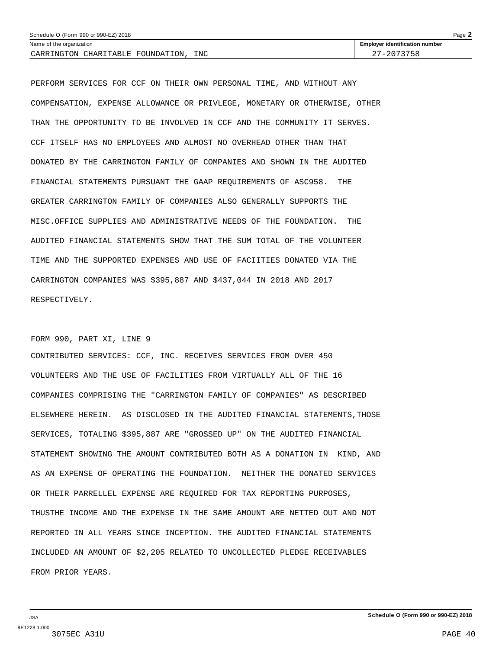| Schedule O (Form 990 or 990-EZ) 2018<br>Page $\blacktriangle$ |                                       |  |  |
|---------------------------------------------------------------|---------------------------------------|--|--|
| Name of the organization                                      | <b>Employer identification number</b> |  |  |
| <b>INC</b><br>CARRINGTON CHARITABLE<br>FOUNDATION             | $-2073758$                            |  |  |

PERFORM SERVICES FOR CCF ON THEIR OWN PERSONAL TIME, AND WITHOUT ANY COMPENSATION, EXPENSE ALLOWANCE OR PRIVLEGE, MONETARY OR OTHERWISE, OTHER THAN THE OPPORTUNITY TO BE INVOLVED IN CCF AND THE COMMUNITY IT SERVES. CCF ITSELF HAS NO EMPLOYEES AND ALMOST NO OVERHEAD OTHER THAN THAT DONATED BY THE CARRINGTON FAMILY OF COMPANIES AND SHOWN IN THE AUDITED FINANCIAL STATEMENTS PURSUANT THE GAAP REQUIREMENTS OF ASC958. THE GREATER CARRINGTON FAMILY OF COMPANIES ALSO GENERALLY SUPPORTS THE MISC.OFFICE SUPPLIES AND ADMINISTRATIVE NEEDS OF THE FOUNDATION. THE AUDITED FINANCIAL STATEMENTS SHOW THAT THE SUM TOTAL OF THE VOLUNTEER TIME AND THE SUPPORTED EXPENSES AND USE OF FACIITIES DONATED VIA THE CARRINGTON COMPANIES WAS \$395,887 AND \$437,044 IN 2018 AND 2017 RESPECTIVELY.

### FORM 990, PART XI, LINE 9

CONTRIBUTED SERVICES: CCF, INC. RECEIVES SERVICES FROM OVER 450 VOLUNTEERS AND THE USE OF FACILITIES FROM VIRTUALLY ALL OF THE 16 COMPANIES COMPRISING THE "CARRINGTON FAMILY OF COMPANIES" AS DESCRIBED ELSEWHERE HEREIN. AS DISCLOSED IN THE AUDITED FINANCIAL STATEMENTS,THOSE SERVICES, TOTALING \$395,887 ARE "GROSSED UP" ON THE AUDITED FINANCIAL STATEMENT SHOWING THE AMOUNT CONTRIBUTED BOTH AS A DONATION IN KIND, AND AS AN EXPENSE OF OPERATING THE FOUNDATION. NEITHER THE DONATED SERVICES OR THEIR PARRELLEL EXPENSE ARE REQUIRED FOR TAX REPORTING PURPOSES, THUSTHE INCOME AND THE EXPENSE IN THE SAME AMOUNT ARE NETTED OUT AND NOT REPORTED IN ALL YEARS SINCE INCEPTION. THE AUDITED FINANCIAL STATEMENTS INCLUDED AN AMOUNT OF \$2,205 RELATED TO UNCOLLECTED PLEDGE RECEIVABLES FROM PRIOR YEARS.

JSA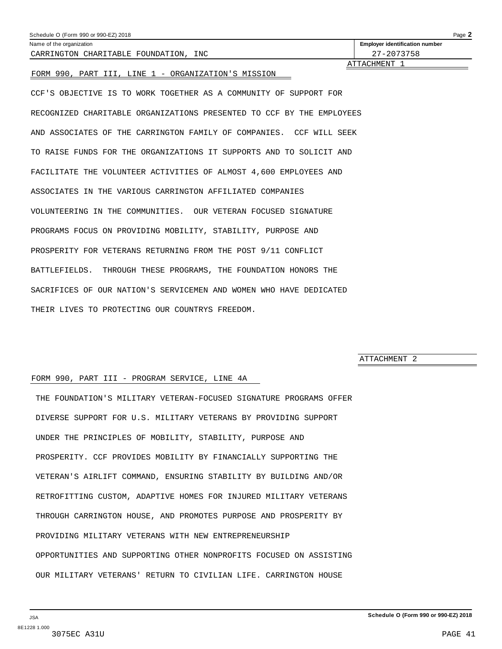<span id="page-36-0"></span>

| Schedule O (Form 990 or 990-EZ) 2018                                  | Page 2                                |
|-----------------------------------------------------------------------|---------------------------------------|
| Name of the organization                                              | <b>Employer identification number</b> |
| CARRINGTON CHARITABLE FOUNDATION, INC.                                | 27-2073758                            |
| FORM 990, PART III, LINE 1 - ORGANIZATION'S MISSION                   | ATTACHMENT 1                          |
| CCF'S OBJECTIVE IS TO WORK TOGETHER AS A COMMUNITY OF SUPPORT FOR     |                                       |
| RECOGNIZED CHARITABLE ORGANIZATIONS PRESENTED TO CCF BY THE EMPLOYEES |                                       |
| AND ASSOCIATES OF THE CARRINGTON FAMILY OF COMPANIES. CCF WILL SEEK   |                                       |
| TO RAISE FUNDS FOR THE ORGANIZATIONS IT SUPPORTS AND TO SOLICIT AND   |                                       |
| FACILITATE THE VOLUNTEER ACTIVITIES OF ALMOST 4,600 EMPLOYEES AND     |                                       |
| ASSOCIATES IN THE VARIOUS CARRINGTON AFFILIATED COMPANIES             |                                       |
| VOLUNTEERING IN THE COMMUNITIES. OUR VETERAN FOCUSED SIGNATURE        |                                       |
| PROGRAMS FOCUS ON PROVIDING MOBILITY, STABILITY, PURPOSE AND          |                                       |
| PROSPERITY FOR VETERANS RETURNING FROM THE POST 9/11 CONFLICT         |                                       |
| BATTLEFIELDS.<br>THROUGH THESE PROGRAMS, THE FOUNDATION HONORS THE    |                                       |

THEIR LIVES TO PROTECTING OUR COUNTRYS FREEDOM.

SACRIFICES OF OUR NATION'S SERVICEMEN AND WOMEN WHO HAVE DEDICATED

#### ATTACHMENT 2

#### FORM 990, PART III - PROGRAM SERVICE, LINE 4A

THE FOUNDATION'S MILITARY VETERAN-FOCUSED SIGNATURE PROGRAMS OFFER DIVERSE SUPPORT FOR U.S. MILITARY VETERANS BY PROVIDING SUPPORT UNDER THE PRINCIPLES OF MOBILITY, STABILITY, PURPOSE AND PROSPERITY. CCF PROVIDES MOBILITY BY FINANCIALLY SUPPORTING THE VETERAN'S AIRLIFT COMMAND, ENSURING STABILITY BY BUILDING AND/OR RETROFITTING CUSTOM, ADAPTIVE HOMES FOR INJURED MILITARY VETERANS THROUGH CARRINGTON HOUSE, AND PROMOTES PURPOSE AND PROSPERITY BY PROVIDING MILITARY VETERANS WITH NEW ENTREPRENEURSHIP OPPORTUNITIES AND SUPPORTING OTHER NONPROFITS FOCUSED ON ASSISTING OUR MILITARY VETERANS' RETURN TO CIVILIAN LIFE. CARRINGTON HOUSE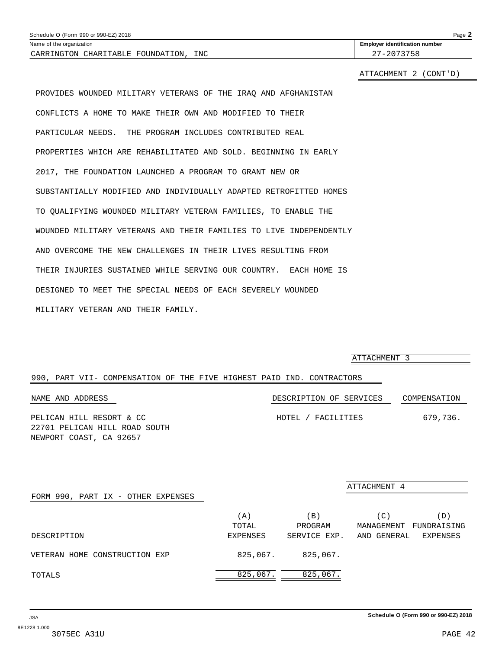<span id="page-37-0"></span>

| Schedule O (Form 990 or 990-EZ) 2018 | Page |
|--------------------------------------|------|
|--------------------------------------|------|

CARRINGTON CHARITABLE FOUNDATION, INC 27-2073758

Name of the organization **identification is a structure of the original of the original of the original of the original of the original of the original of the original of the original of the original of the original of t** 

ATTACHMENT 2 (CONT'D)

PROVIDES WOUNDED MILITARY VETERANS OF THE IRAQ AND AFGHANISTAN CONFLICTS A HOME TO MAKE THEIR OWN AND MODIFIED TO THEIR PARTICULAR NEEDS. THE PROGRAM INCLUDES CONTRIBUTED REAL PROPERTIES WHICH ARE REHABILITATED AND SOLD. BEGINNING IN EARLY 2017, THE FOUNDATION LAUNCHED A PROGRAM TO GRANT NEW OR SUBSTANTIALLY MODIFIED AND INDIVIDUALLY ADAPTED RETROFITTED HOMES TO QUALIFYING WOUNDED MILITARY VETERAN FAMILIES, TO ENABLE THE WOUNDED MILITARY VETERANS AND THEIR FAMILIES TO LIVE INDEPENDENTLY AND OVERCOME THE NEW CHALLENGES IN THEIR LIVES RESULTING FROM THEIR INJURIES SUSTAINED WHILE SERVING OUR COUNTRY. EACH HOME IS DESIGNED TO MEET THE SPECIAL NEEDS OF EACH SEVERELY WOUNDED MILITARY VETERAN AND THEIR FAMILY.

ATTACHMENT 3

#### 990, PART VII- COMPENSATION OF THE FIVE HIGHEST PAID IND. CONTRACTORS

| NAME AND ADDRESS                                          | DESCRIPTION OF SERVICES | COMPENSATION |
|-----------------------------------------------------------|-------------------------|--------------|
| PELICAN HILL RESORT & CC<br>22701 PELICAN HILL ROAD SOUTH | HOTEL / FACILITIES      | 679.736.     |
|                                                           |                         |              |

NEWPORT COAST, CA 92657

|                                    |          |                | ATTACHMENT 4              |
|------------------------------------|----------|----------------|---------------------------|
| FORM 990, PART IX - OTHER EXPENSES |          |                |                           |
|                                    | $'$ A )  | $\mathbf{B}$ ) | (D)                       |
|                                    | TOTAL    | PROGRAM        | MANAGEMENT<br>FUNDRAISING |
| DESCRIPTION                        | EXPENSES | SERVICE EXP.   | AND GENERAL<br>EXPENSES   |
| VETERAN HOME CONSTRUCTION EXP      | 825,067. | 825,067.       |                           |
| TOTALS                             | 825,067. | 825,067.       |                           |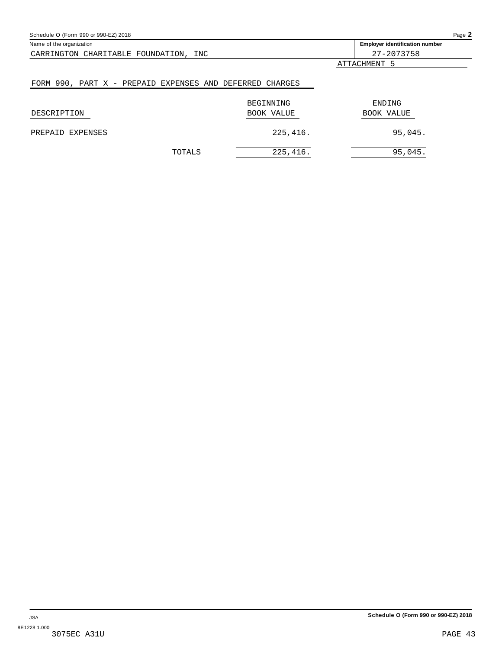<span id="page-38-0"></span>

| Schedule O (Form 990 or 990-EZ) 2018                     |                   | Page 2                                |
|----------------------------------------------------------|-------------------|---------------------------------------|
| Name of the organization                                 |                   | <b>Employer identification number</b> |
| CARRINGTON CHARITABLE FOUNDATION, INC                    |                   | 27-2073758                            |
|                                                          |                   | ATTACHMENT 5                          |
| FORM 990, PART X - PREPAID EXPENSES AND DEFERRED CHARGES |                   |                                       |
|                                                          | BEGINNING         | ENDING                                |
| DESCRIPTION                                              | <b>BOOK VALUE</b> | <b>BOOK VALUE</b>                     |
| EXPENSES<br>PREPAID                                      | 225,416.          | 95,045.                               |
| TOTALS                                                   | 225,416.          | 95,045.                               |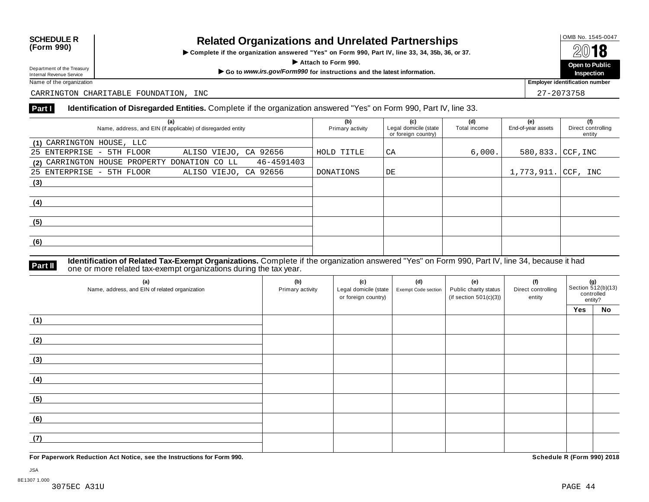# OMB No. 1545-0047 **SCHEDULE R (Form 990) Related Organizations and Unrelated Partnerships**

 $\triangleright$  Complete if the organization answered "Yes" on Form 990, Part IV, line 33, 34, 35b, 36, or 37.  $\overline{A}$  **I O**<br>
Attach to Form 990.<br>  $\overline{A}$  Attach to Form 990.

Department of the Treasury<br>
Internal Revenue Service<br>
Name of the organization<br>
Name of the organization<br>
Name of the organization<br> **Name of the organization** 

**Inspection**

Department of the Treasury<br>Internal Revenue Service

CARRINGTON CHARITABLE FOUNDATION, INC 27-2073758

#### **Part I Identification of Disregarded Entities.** Complete if the organization answered "Yes" on Form 990, Part IV, line 33.

| (a)<br>Name, address, and EIN (if applicable) of disregarded entity | (b)<br>Primary activity | (c)<br>Legal domicile (state<br>or foreign country) | (d)<br>Total income | (e)<br>End-of-year assets | (f)<br>Direct controlling<br>entity |
|---------------------------------------------------------------------|-------------------------|-----------------------------------------------------|---------------------|---------------------------|-------------------------------------|
| (1) CARRINGTON HOUSE, LLC                                           |                         |                                                     |                     |                           |                                     |
| ALISO VIEJO, CA 92656<br>25 ENTERPRISE - 5TH FLOOR                  | HOLD TITLE              | СA                                                  | 6,000.              | 580,833. CCF, INC         |                                     |
| 46-4591403<br>(2) CARRINGTON HOUSE PROPERTY DONATION CO LL          |                         |                                                     |                     |                           |                                     |
| 25 ENTERPRISE - 5TH FLOOR<br>ALISO VIEJO, CA 92656                  | DONATIONS               | DE                                                  |                     | 1,773,911. CCF, INC       |                                     |
| (3)                                                                 |                         |                                                     |                     |                           |                                     |
|                                                                     |                         |                                                     |                     |                           |                                     |
| (4)                                                                 |                         |                                                     |                     |                           |                                     |
|                                                                     |                         |                                                     |                     |                           |                                     |
| (5)                                                                 |                         |                                                     |                     |                           |                                     |
|                                                                     |                         |                                                     |                     |                           |                                     |
| (6)                                                                 |                         |                                                     |                     |                           |                                     |
|                                                                     |                         |                                                     |                     |                           |                                     |

**Identification of Related Tax-Exempt Organizations.** Complete if the organization answered "Yes" on Form 990, Part IV, line 34, because it had **Part II** one or more related tax-exempt organizations during the tax year.

| (a)<br>Name, address, and EIN of related organization | (b)<br>Primary activity | (c)<br>Legal domicile (state<br>or foreign country) | (d)<br>Exempt Code section | (e)<br>Public charity status<br>(if section $501(c)(3)$ ) | (f)<br>Direct controlling<br>entity | <b>(g)</b><br>Section 512(b)(13)<br>controlled<br>entity? |           |
|-------------------------------------------------------|-------------------------|-----------------------------------------------------|----------------------------|-----------------------------------------------------------|-------------------------------------|-----------------------------------------------------------|-----------|
|                                                       |                         |                                                     |                            |                                                           |                                     | Yes                                                       | <b>No</b> |
| (1)                                                   |                         |                                                     |                            |                                                           |                                     |                                                           |           |
| (2)                                                   |                         |                                                     |                            |                                                           |                                     |                                                           |           |
| (3)                                                   |                         |                                                     |                            |                                                           |                                     |                                                           |           |
| (4)                                                   |                         |                                                     |                            |                                                           |                                     |                                                           |           |
| (5)                                                   |                         |                                                     |                            |                                                           |                                     |                                                           |           |
| (6)                                                   |                         |                                                     |                            |                                                           |                                     |                                                           |           |
| (7)                                                   |                         |                                                     |                            |                                                           |                                     |                                                           |           |

**For Paperwork Reduction Act Notice, see the Instructions for Form 990. Schedule R (Form 990) 2018**

JSA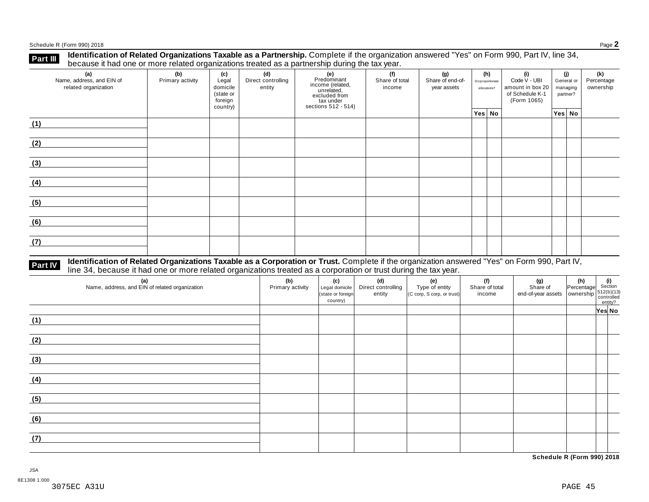Schedule <sup>R</sup> (Form 990) <sup>2018</sup> Page **2**

**Part III** Identification of Related Organizations Taxable as a Partnership. Complete if the organization answered "Yes" on Form 990, Part IV, line 34,<br>because it had one or more related organizations treated as a partners

| (a)<br>Name, address, and EIN of<br>related organization | (b)<br>Primary activity | (c)<br>Legal<br>domicile<br>(state or<br>foreign<br>country) | (d)<br>Direct controlling<br>entity | (e)<br>Predominant<br>income (related,<br>unrelated,<br>excluded from<br>$\frac{3}{10}$ tax under<br>sections 512 - 514) | (f)<br>(g)<br>Share of total<br>Share of end-of-<br>income<br>year assets |  | (h)<br>Disproportionate<br>allocations? | (i)<br>Code V - UBI<br>amount in box 20<br>of Schedule K-1<br>(Form 1065) | (i)<br>General or<br>managing<br>partner? |        | (k)<br>Percentage<br>ownership |
|----------------------------------------------------------|-------------------------|--------------------------------------------------------------|-------------------------------------|--------------------------------------------------------------------------------------------------------------------------|---------------------------------------------------------------------------|--|-----------------------------------------|---------------------------------------------------------------------------|-------------------------------------------|--------|--------------------------------|
|                                                          |                         |                                                              |                                     |                                                                                                                          |                                                                           |  | Yes No                                  |                                                                           |                                           | Yes No |                                |
| (1)                                                      |                         |                                                              |                                     |                                                                                                                          |                                                                           |  |                                         |                                                                           |                                           |        |                                |
| (2)                                                      |                         |                                                              |                                     |                                                                                                                          |                                                                           |  |                                         |                                                                           |                                           |        |                                |
| (3)                                                      |                         |                                                              |                                     |                                                                                                                          |                                                                           |  |                                         |                                                                           |                                           |        |                                |
| (4)                                                      |                         |                                                              |                                     |                                                                                                                          |                                                                           |  |                                         |                                                                           |                                           |        |                                |
| (5)                                                      |                         |                                                              |                                     |                                                                                                                          |                                                                           |  |                                         |                                                                           |                                           |        |                                |
| (6)                                                      |                         |                                                              |                                     |                                                                                                                          |                                                                           |  |                                         |                                                                           |                                           |        |                                |
| (7)                                                      |                         |                                                              |                                     |                                                                                                                          |                                                                           |  |                                         |                                                                           |                                           |        |                                |

# **Part IV** Identification of Related Organizations Taxable as a Corporation or Trust. Complete if the organization answered "Yes" on Form 990, Part IV,<br>line 34, because it had one or more related organizations treated as a

| (a)<br>Name, address, and EIN of related organization | (b)<br>Primary activity | (c)<br>Legal domicile<br>(state or foreign<br>country) | (d)<br>Direct controlling<br>entity | (e)<br>Type of entity<br>$(C \text{ comp}, S \text{ comp}, \text{ or trust})$ | (f)<br>Share of total<br>income | (g)<br>Share of<br>end-of-year assets<br>whership<br>outrolled<br>entity? | $\begin{vmatrix} (h) \\ Percentage \end{vmatrix}$ Section |        |
|-------------------------------------------------------|-------------------------|--------------------------------------------------------|-------------------------------------|-------------------------------------------------------------------------------|---------------------------------|---------------------------------------------------------------------------|-----------------------------------------------------------|--------|
|                                                       |                         |                                                        |                                     |                                                                               |                                 |                                                                           |                                                           | Yes No |
| (1)                                                   |                         |                                                        |                                     |                                                                               |                                 |                                                                           |                                                           |        |
| (2)                                                   |                         |                                                        |                                     |                                                                               |                                 |                                                                           |                                                           |        |
| (3)                                                   |                         |                                                        |                                     |                                                                               |                                 |                                                                           |                                                           |        |
| (4)                                                   |                         |                                                        |                                     |                                                                               |                                 |                                                                           |                                                           |        |
| (5)                                                   |                         |                                                        |                                     |                                                                               |                                 |                                                                           |                                                           |        |
| (6)                                                   |                         |                                                        |                                     |                                                                               |                                 |                                                                           |                                                           |        |
| (7)                                                   |                         |                                                        |                                     |                                                                               |                                 |                                                                           |                                                           |        |

**Schedule R (Form 990) 2018**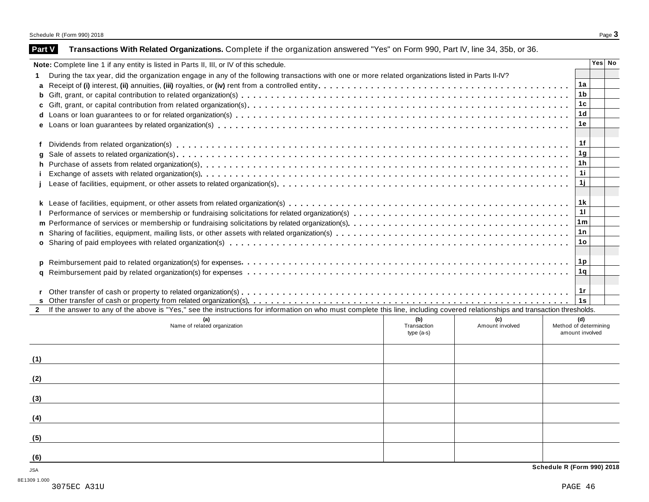|                                                                                                                                                                              |                    |                        | Yes   No                     |
|------------------------------------------------------------------------------------------------------------------------------------------------------------------------------|--------------------|------------------------|------------------------------|
| During the tax year, did the organization engage in any of the following transactions with one or more related organizations listed in Parts II-IV?                          |                    |                        |                              |
|                                                                                                                                                                              |                    |                        | 1a                           |
|                                                                                                                                                                              |                    |                        | 1b                           |
|                                                                                                                                                                              |                    |                        | 1 <sub>c</sub>               |
|                                                                                                                                                                              |                    |                        | 1 <sub>d</sub>               |
|                                                                                                                                                                              |                    |                        | 1e                           |
|                                                                                                                                                                              |                    |                        |                              |
|                                                                                                                                                                              |                    |                        | 1f                           |
| q                                                                                                                                                                            |                    |                        | 1g                           |
|                                                                                                                                                                              |                    |                        | 1 <sub>h</sub>               |
|                                                                                                                                                                              |                    |                        | 11                           |
|                                                                                                                                                                              |                    |                        | 1j                           |
|                                                                                                                                                                              |                    |                        |                              |
|                                                                                                                                                                              |                    |                        | 1 k                          |
|                                                                                                                                                                              |                    |                        | 11                           |
|                                                                                                                                                                              |                    |                        | 1m                           |
|                                                                                                                                                                              |                    |                        | 1n                           |
|                                                                                                                                                                              |                    |                        | 1o                           |
|                                                                                                                                                                              |                    |                        |                              |
|                                                                                                                                                                              |                    |                        | 1p                           |
|                                                                                                                                                                              |                    |                        | 1q                           |
|                                                                                                                                                                              |                    |                        | 1r                           |
|                                                                                                                                                                              |                    |                        |                              |
|                                                                                                                                                                              |                    |                        |                              |
|                                                                                                                                                                              |                    |                        | 1s                           |
| If the answer to any of the above is "Yes," see the instructions for information on who must complete this line, including covered relationships and transaction thresholds. |                    |                        |                              |
| (a)<br>Name of related organization                                                                                                                                          | (b)<br>Transaction | (c)<br>Amount involved | (d)<br>Method of determining |
|                                                                                                                                                                              | type (a-s)         |                        | amount involved              |
|                                                                                                                                                                              |                    |                        |                              |
|                                                                                                                                                                              |                    |                        |                              |
|                                                                                                                                                                              |                    |                        |                              |
|                                                                                                                                                                              |                    |                        |                              |
|                                                                                                                                                                              |                    |                        |                              |
|                                                                                                                                                                              |                    |                        |                              |
|                                                                                                                                                                              |                    |                        |                              |
| (1)<br>(2)<br>(3)<br>(4)<br>(5)<br>(6)                                                                                                                                       |                    |                        | Schedule R (Form 990) 2018   |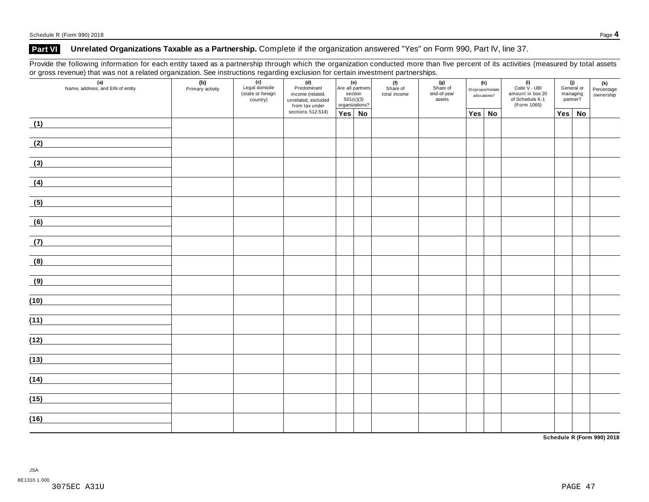## **Part VI Unrelated Organizations Taxable as a Partnership.** Complete if the organization answered "Yes" on Form 990, Part IV, line 37.

Provide the following information for each entity taxed as a partnership through which the organization conducted more than five percent of its activities (measured by total assets or gross revenue) that was not a related organization. See instructions regarding exclusion for certain investment partnerships.

| $\overline{\phantom{0}}$ | (a)<br>Name, address, and EIN of entity | (b)<br>Primary activity | $\overline{\phantom{0}}$<br>(c)<br>Legal domicile<br>(state or foreign<br>country) | (d)<br>Predominant<br>income (related,<br>unrelated, excluded<br>from tax under | (e)<br>Are all partners<br>section<br>501(c)(3)<br>organizations? |  | (f)<br>Share of<br>total income |  | (h)<br>Disproportionate<br>allocations? |  | (i)<br>Code V - UBI<br>amount in box 20<br>of Schedule K-1<br>(Form 1065) | (j)<br>General or<br>managing<br>partner? |    | (k)<br>Percentage<br>ownership |
|--------------------------|-----------------------------------------|-------------------------|------------------------------------------------------------------------------------|---------------------------------------------------------------------------------|-------------------------------------------------------------------|--|---------------------------------|--|-----------------------------------------|--|---------------------------------------------------------------------------|-------------------------------------------|----|--------------------------------|
|                          |                                         |                         |                                                                                    | sections 512-514)                                                               | $Yes \mid No$                                                     |  |                                 |  | Yes   No                                |  |                                                                           | Yes                                       | No |                                |
| (1)                      |                                         |                         |                                                                                    |                                                                                 |                                                                   |  |                                 |  |                                         |  |                                                                           |                                           |    |                                |
| (2)                      |                                         |                         |                                                                                    |                                                                                 |                                                                   |  |                                 |  |                                         |  |                                                                           |                                           |    |                                |
| (3)                      |                                         |                         |                                                                                    |                                                                                 |                                                                   |  |                                 |  |                                         |  |                                                                           |                                           |    |                                |
| (4)                      |                                         |                         |                                                                                    |                                                                                 |                                                                   |  |                                 |  |                                         |  |                                                                           |                                           |    |                                |
| (5)                      |                                         |                         |                                                                                    |                                                                                 |                                                                   |  |                                 |  |                                         |  |                                                                           |                                           |    |                                |
| (6)                      |                                         |                         |                                                                                    |                                                                                 |                                                                   |  |                                 |  |                                         |  |                                                                           |                                           |    |                                |
| (7)                      |                                         |                         |                                                                                    |                                                                                 |                                                                   |  |                                 |  |                                         |  |                                                                           |                                           |    |                                |
| (8)                      |                                         |                         |                                                                                    |                                                                                 |                                                                   |  |                                 |  |                                         |  |                                                                           |                                           |    |                                |
| (9)                      |                                         |                         |                                                                                    |                                                                                 |                                                                   |  |                                 |  |                                         |  |                                                                           |                                           |    |                                |
| (10)                     |                                         |                         |                                                                                    |                                                                                 |                                                                   |  |                                 |  |                                         |  |                                                                           |                                           |    |                                |
| (11)                     |                                         |                         |                                                                                    |                                                                                 |                                                                   |  |                                 |  |                                         |  |                                                                           |                                           |    |                                |
| (12)                     |                                         |                         |                                                                                    |                                                                                 |                                                                   |  |                                 |  |                                         |  |                                                                           |                                           |    |                                |
| (13)                     |                                         |                         |                                                                                    |                                                                                 |                                                                   |  |                                 |  |                                         |  |                                                                           |                                           |    |                                |
| (14)                     |                                         |                         |                                                                                    |                                                                                 |                                                                   |  |                                 |  |                                         |  |                                                                           |                                           |    |                                |
|                          |                                         |                         |                                                                                    |                                                                                 |                                                                   |  |                                 |  |                                         |  |                                                                           |                                           |    |                                |
| (15)                     |                                         |                         |                                                                                    |                                                                                 |                                                                   |  |                                 |  |                                         |  |                                                                           |                                           |    |                                |
| (16)                     |                                         |                         |                                                                                    |                                                                                 |                                                                   |  |                                 |  |                                         |  |                                                                           |                                           |    |                                |

**Schedule R (Form 990) 2018**